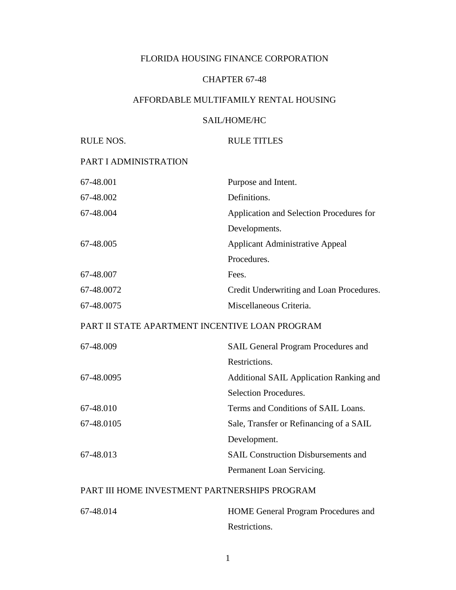## FLORIDA HOUSING FINANCE CORPORATION

## CHAPTER 67-48

# AFFORDABLE MULTIFAMILY RENTAL HOUSING

## SAIL/HOME/HC

# PART I ADMINISTRATION

| 67-48.001                                      | Purpose and Intent.                        |
|------------------------------------------------|--------------------------------------------|
| 67-48.002                                      | Definitions.                               |
| 67-48.004                                      | Application and Selection Procedures for   |
|                                                | Developments.                              |
| 67-48.005                                      | <b>Applicant Administrative Appeal</b>     |
|                                                | Procedures.                                |
| 67-48.007                                      | Fees.                                      |
| 67-48.0072                                     | Credit Underwriting and Loan Procedures.   |
| 67-48.0075                                     | Miscellaneous Criteria.                    |
| PART II STATE APARTMENT INCENTIVE LOAN PROGRAM |                                            |
| 67-48.009                                      | <b>SAIL General Program Procedures and</b> |
|                                                | Restrictions.                              |
| 67-48.0095                                     | Additional SAIL Application Ranking and    |
|                                                | Selection Procedures.                      |
| 67-48.010                                      | Terms and Conditions of SAIL Loans.        |
| 67-48.0105                                     | Sale, Transfer or Refinancing of a SAIL    |
|                                                | Development.                               |
| 67-48.013                                      | <b>SAIL Construction Disbursements and</b> |
|                                                | Permanent Loan Servicing.                  |
| PART III HOME INVESTMENT PARTNERSHIPS PROGRAM  |                                            |

67-48.014 HOME General Program Procedures and Restrictions.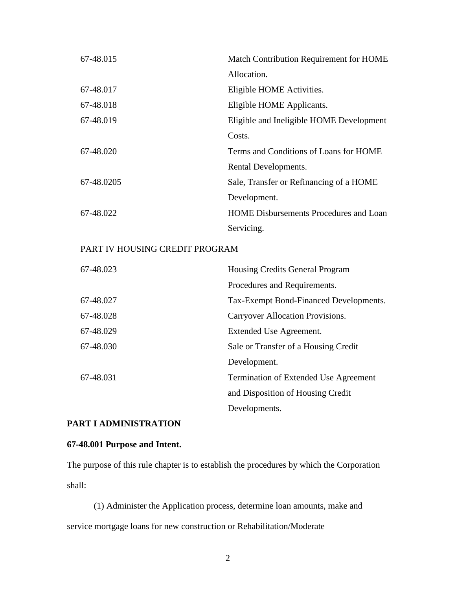| 67-48.015                      | Match Contribution Requirement for HOME       |
|--------------------------------|-----------------------------------------------|
|                                | Allocation.                                   |
| 67-48.017                      | Eligible HOME Activities.                     |
| 67-48.018                      | Eligible HOME Applicants.                     |
| 67-48.019                      | Eligible and Ineligible HOME Development      |
|                                | Costs.                                        |
| 67-48.020                      | Terms and Conditions of Loans for HOME        |
|                                | Rental Developments.                          |
| 67-48.0205                     | Sale, Transfer or Refinancing of a HOME       |
|                                | Development.                                  |
| 67-48.022                      | <b>HOME Disbursements Procedures and Loan</b> |
|                                | Servicing.                                    |
| PART IV HOUSING CREDIT PROGRAM |                                               |
|                                |                                               |
| 67-48.023                      | Housing Credits General Program               |
|                                | Procedures and Requirements.                  |
| 67-48.027                      | Tax-Exempt Bond-Financed Developments.        |
| 67-48.028                      | Carryover Allocation Provisions.              |
| 67-48.029                      | <b>Extended Use Agreement.</b>                |
| 67-48.030                      | Sale or Transfer of a Housing Credit          |
|                                | Development.                                  |
| 67-48.031                      | Termination of Extended Use Agreement         |

## **PART I ADMINISTRATION**

## **67-48.001 Purpose and Intent.**

The purpose of this rule chapter is to establish the procedures by which the Corporation shall:

Developments.

(1) Administer the Application process, determine loan amounts, make and service mortgage loans for new construction or Rehabilitation/Moderate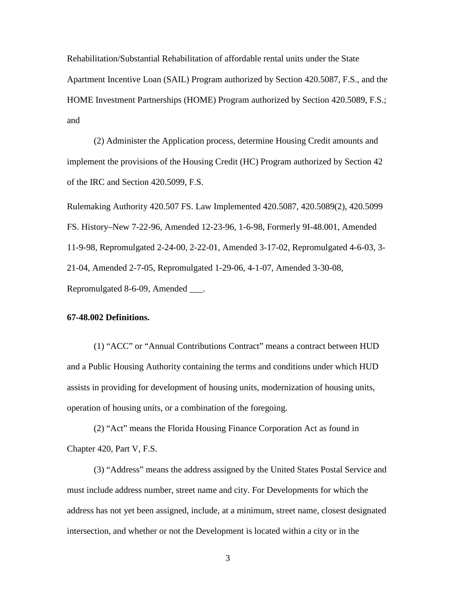Rehabilitation/Substantial Rehabilitation of affordable rental units under the State Apartment Incentive Loan (SAIL) Program authorized by Section 420.5087, F.S., and the HOME Investment Partnerships (HOME) Program authorized by Section 420.5089, F.S.; and

(2) Administer the Application process, determine Housing Credit amounts and implement the provisions of the Housing Credit (HC) Program authorized by Section 42 of the IRC and Section 420.5099, F.S.

Rulemaking Authority 420.507 FS. Law Implemented 420.5087, 420.5089(2), 420.5099 FS. History–New 7-22-96, Amended 12-23-96, 1-6-98, Formerly 9I-48.001, Amended 11-9-98, Repromulgated 2-24-00, 2-22-01, Amended 3-17-02, Repromulgated 4-6-03, 3- 21-04, Amended 2-7-05, Repromulgated 1-29-06, 4-1-07, Amended 3-30-08, Repromulgated 8-6-09, Amended \_\_\_.

### **67-48.002 Definitions.**

(1) "ACC" or "Annual Contributions Contract" means a contract between HUD and a Public Housing Authority containing the terms and conditions under which HUD assists in providing for development of housing units, modernization of housing units, operation of housing units, or a combination of the foregoing.

(2) "Act" means the Florida Housing Finance Corporation Act as found in Chapter 420, Part V, F.S.

(3) "Address" means the address assigned by the United States Postal Service and must include address number, street name and city. For Developments for which the address has not yet been assigned, include, at a minimum, street name, closest designated intersection, and whether or not the Development is located within a city or in the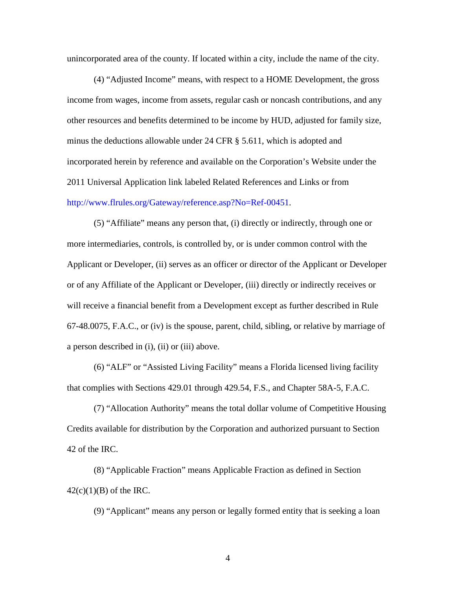unincorporated area of the county. If located within a city, include the name of the city.

(4) "Adjusted Income" means, with respect to a HOME Development, the gross income from wages, income from assets, regular cash or noncash contributions, and any other resources and benefits determined to be income by HUD, adjusted for family size, minus the deductions allowable under 24 CFR § 5.611, which is adopted and incorporated herein by reference and available on the Corporation's Website under the 2011 Universal Application link labeled Related References and Links or from [http://www.flrules.org/Gateway/reference.asp?No=Ref-00451.](https://www.flrules.org/Gateway/reference.asp?No=Ref-00451)

(5) "Affiliate" means any person that, (i) directly or indirectly, through one or more intermediaries, controls, is controlled by, or is under common control with the Applicant or Developer, (ii) serves as an officer or director of the Applicant or Developer or of any Affiliate of the Applicant or Developer, (iii) directly or indirectly receives or will receive a financial benefit from a Development except as further described in Rule 67-48.0075, F.A.C., or (iv) is the spouse, parent, child, sibling, or relative by marriage of a person described in (i), (ii) or (iii) above.

(6) "ALF" or "Assisted Living Facility" means a Florida licensed living facility that complies with Sections 429.01 through 429.54, F.S., and Chapter 58A-5, F.A.C.

(7) "Allocation Authority" means the total dollar volume of Competitive Housing Credits available for distribution by the Corporation and authorized pursuant to Section 42 of the IRC.

(8) "Applicable Fraction" means Applicable Fraction as defined in Section  $42(c)(1)(B)$  of the IRC.

(9) "Applicant" means any person or legally formed entity that is seeking a loan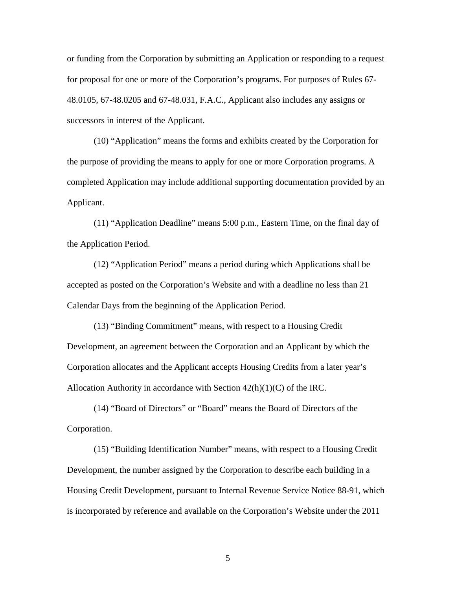or funding from the Corporation by submitting an Application or responding to a request for proposal for one or more of the Corporation's programs. For purposes of Rules 67- 48.0105, 67-48.0205 and 67-48.031, F.A.C., Applicant also includes any assigns or successors in interest of the Applicant.

(10) "Application" means the forms and exhibits created by the Corporation for the purpose of providing the means to apply for one or more Corporation programs. A completed Application may include additional supporting documentation provided by an Applicant.

(11) "Application Deadline" means 5:00 p.m., Eastern Time, on the final day of the Application Period.

(12) "Application Period" means a period during which Applications shall be accepted as posted on the Corporation's Website and with a deadline no less than 21 Calendar Days from the beginning of the Application Period.

(13) "Binding Commitment" means, with respect to a Housing Credit Development, an agreement between the Corporation and an Applicant by which the Corporation allocates and the Applicant accepts Housing Credits from a later year's Allocation Authority in accordance with Section  $42(h)(1)(C)$  of the IRC.

(14) "Board of Directors" or "Board" means the Board of Directors of the Corporation.

(15) "Building Identification Number" means, with respect to a Housing Credit Development, the number assigned by the Corporation to describe each building in a Housing Credit Development, pursuant to Internal Revenue Service Notice 88-91, which is incorporated by reference and available on the Corporation's Website under the 2011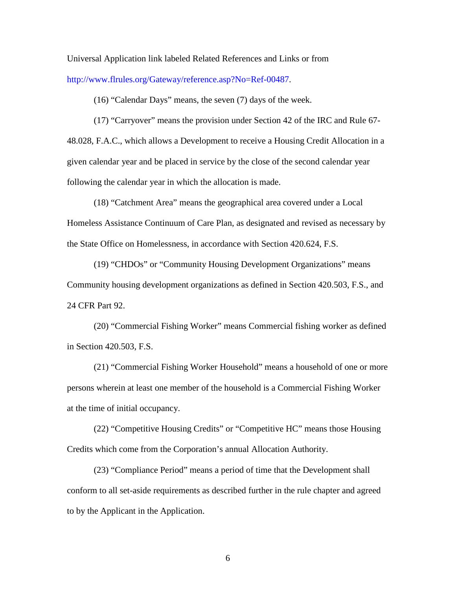Universal Application link labeled Related References and Links or from [http://www.flrules.org/Gateway/reference.asp?No=Ref-00487.](https://www.flrules.org/Gateway/reference.asp?No=Ref-00487)

(16) "Calendar Days" means, the seven (7) days of the week.

(17) "Carryover" means the provision under Section 42 of the IRC and Rule 67- 48.028, F.A.C., which allows a Development to receive a Housing Credit Allocation in a given calendar year and be placed in service by the close of the second calendar year following the calendar year in which the allocation is made.

(18) "Catchment Area" means the geographical area covered under a Local Homeless Assistance Continuum of Care Plan, as designated and revised as necessary by the State Office on Homelessness, in accordance with Section 420.624, F.S.

(19) "CHDOs" or "Community Housing Development Organizations" means Community housing development organizations as defined in Section 420.503, F.S., and 24 CFR Part 92.

(20) "Commercial Fishing Worker" means Commercial fishing worker as defined in Section 420.503, F.S.

(21) "Commercial Fishing Worker Household" means a household of one or more persons wherein at least one member of the household is a Commercial Fishing Worker at the time of initial occupancy.

(22) "Competitive Housing Credits" or "Competitive HC" means those Housing Credits which come from the Corporation's annual Allocation Authority.

(23) "Compliance Period" means a period of time that the Development shall conform to all set-aside requirements as described further in the rule chapter and agreed to by the Applicant in the Application.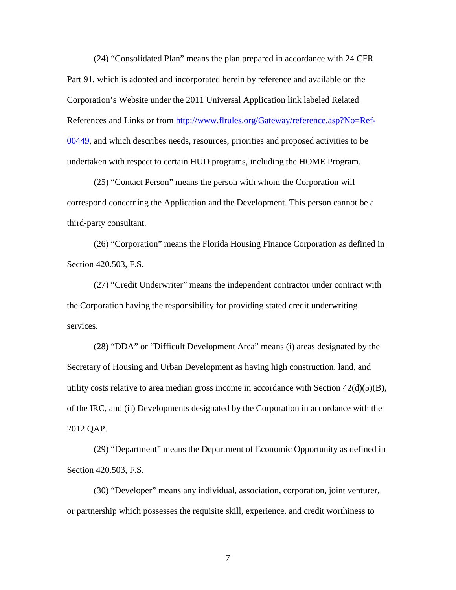(24) "Consolidated Plan" means the plan prepared in accordance with 24 CFR Part 91, which is adopted and incorporated herein by reference and available on the Corporation's Website under the 2011 Universal Application link labeled Related References and Links or from [http://www.flrules.org/Gateway/reference.asp?No=Ref-](https://www.flrules.org/Gateway/reference.asp?No=Ref-00449)[00449,](https://www.flrules.org/Gateway/reference.asp?No=Ref-00449) and which describes needs, resources, priorities and proposed activities to be undertaken with respect to certain HUD programs, including the HOME Program.

(25) "Contact Person" means the person with whom the Corporation will correspond concerning the Application and the Development. This person cannot be a third-party consultant.

(26) "Corporation" means the Florida Housing Finance Corporation as defined in Section 420.503, F.S.

(27) "Credit Underwriter" means the independent contractor under contract with the Corporation having the responsibility for providing stated credit underwriting services.

(28) "DDA" or "Difficult Development Area" means (i) areas designated by the Secretary of Housing and Urban Development as having high construction, land, and utility costs relative to area median gross income in accordance with Section  $42(d)(5)(B)$ , of the IRC, and (ii) Developments designated by the Corporation in accordance with the 2012 QAP.

(29) "Department" means the Department of Economic Opportunity as defined in Section 420.503, F.S.

(30) "Developer" means any individual, association, corporation, joint venturer, or partnership which possesses the requisite skill, experience, and credit worthiness to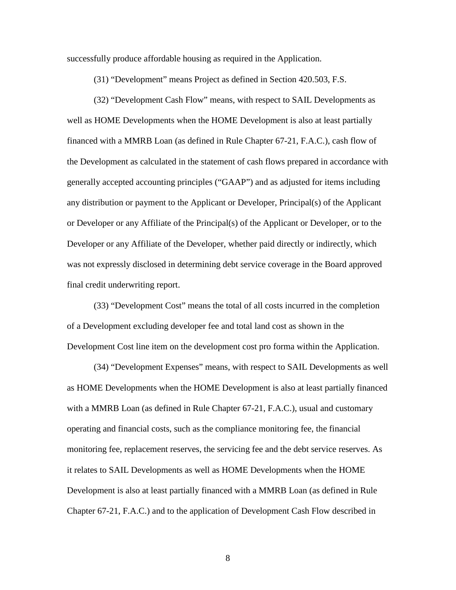successfully produce affordable housing as required in the Application.

(31) "Development" means Project as defined in Section 420.503, F.S.

(32) "Development Cash Flow" means, with respect to SAIL Developments as well as HOME Developments when the HOME Development is also at least partially financed with a MMRB Loan (as defined in Rule Chapter 67-21, F.A.C.), cash flow of the Development as calculated in the statement of cash flows prepared in accordance with generally accepted accounting principles ("GAAP") and as adjusted for items including any distribution or payment to the Applicant or Developer, Principal(s) of the Applicant or Developer or any Affiliate of the Principal(s) of the Applicant or Developer, or to the Developer or any Affiliate of the Developer, whether paid directly or indirectly, which was not expressly disclosed in determining debt service coverage in the Board approved final credit underwriting report.

(33) "Development Cost" means the total of all costs incurred in the completion of a Development excluding developer fee and total land cost as shown in the Development Cost line item on the development cost pro forma within the Application.

(34) "Development Expenses" means, with respect to SAIL Developments as well as HOME Developments when the HOME Development is also at least partially financed with a MMRB Loan (as defined in Rule Chapter 67-21, F.A.C.), usual and customary operating and financial costs, such as the compliance monitoring fee, the financial monitoring fee, replacement reserves, the servicing fee and the debt service reserves. As it relates to SAIL Developments as well as HOME Developments when the HOME Development is also at least partially financed with a MMRB Loan (as defined in Rule Chapter 67-21, F.A.C.) and to the application of Development Cash Flow described in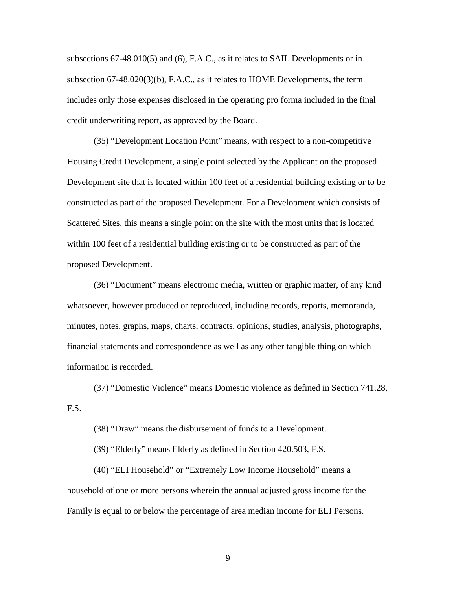subsections 67-48.010(5) and (6), F.A.C., as it relates to SAIL Developments or in subsection 67-48.020(3)(b), F.A.C., as it relates to HOME Developments, the term includes only those expenses disclosed in the operating pro forma included in the final credit underwriting report, as approved by the Board.

(35) "Development Location Point" means, with respect to a non-competitive Housing Credit Development, a single point selected by the Applicant on the proposed Development site that is located within 100 feet of a residential building existing or to be constructed as part of the proposed Development. For a Development which consists of Scattered Sites, this means a single point on the site with the most units that is located within 100 feet of a residential building existing or to be constructed as part of the proposed Development.

(36) "Document" means electronic media, written or graphic matter, of any kind whatsoever, however produced or reproduced, including records, reports, memoranda, minutes, notes, graphs, maps, charts, contracts, opinions, studies, analysis, photographs, financial statements and correspondence as well as any other tangible thing on which information is recorded.

(37) "Domestic Violence" means Domestic violence as defined in Section 741.28, F.S.

(38) "Draw" means the disbursement of funds to a Development.

(39) "Elderly" means Elderly as defined in Section 420.503, F.S.

(40) "ELI Household" or "Extremely Low Income Household" means a household of one or more persons wherein the annual adjusted gross income for the Family is equal to or below the percentage of area median income for ELI Persons.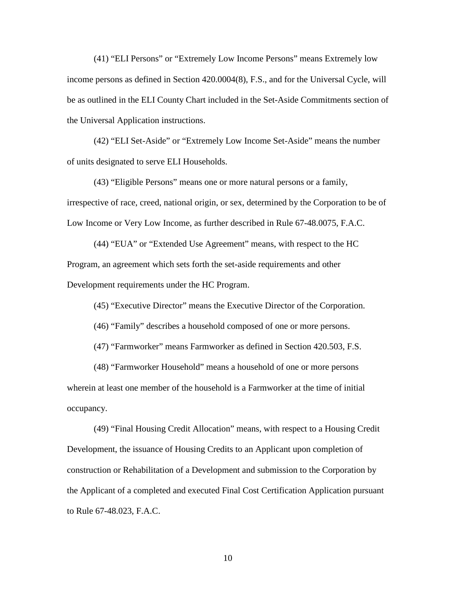(41) "ELI Persons" or "Extremely Low Income Persons" means Extremely low income persons as defined in Section 420.0004(8), F.S., and for the Universal Cycle, will be as outlined in the ELI County Chart included in the Set-Aside Commitments section of the Universal Application instructions.

(42) "ELI Set-Aside" or "Extremely Low Income Set-Aside" means the number of units designated to serve ELI Households.

(43) "Eligible Persons" means one or more natural persons or a family, irrespective of race, creed, national origin, or sex, determined by the Corporation to be of Low Income or Very Low Income, as further described in Rule 67-48.0075, F.A.C.

(44) "EUA" or "Extended Use Agreement" means, with respect to the HC Program, an agreement which sets forth the set-aside requirements and other Development requirements under the HC Program.

(45) "Executive Director" means the Executive Director of the Corporation.

(46) "Family" describes a household composed of one or more persons.

(47) "Farmworker" means Farmworker as defined in Section 420.503, F.S.

(48) "Farmworker Household" means a household of one or more persons wherein at least one member of the household is a Farmworker at the time of initial occupancy.

(49) "Final Housing Credit Allocation" means, with respect to a Housing Credit Development, the issuance of Housing Credits to an Applicant upon completion of construction or Rehabilitation of a Development and submission to the Corporation by the Applicant of a completed and executed Final Cost Certification Application pursuant to Rule 67-48.023, F.A.C.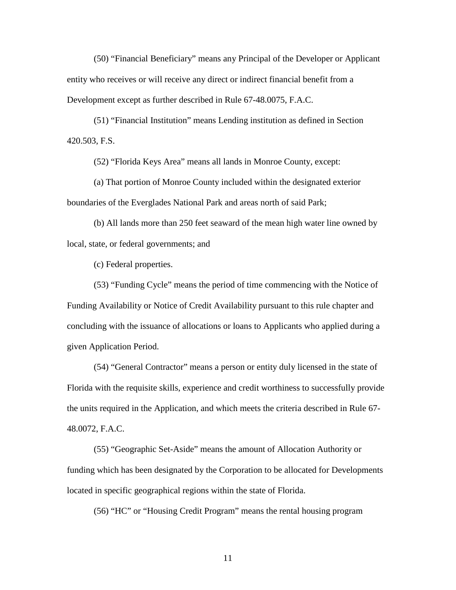(50) "Financial Beneficiary" means any Principal of the Developer or Applicant entity who receives or will receive any direct or indirect financial benefit from a Development except as further described in Rule 67-48.0075, F.A.C.

(51) "Financial Institution" means Lending institution as defined in Section 420.503, F.S.

(52) "Florida Keys Area" means all lands in Monroe County, except:

(a) That portion of Monroe County included within the designated exterior boundaries of the Everglades National Park and areas north of said Park;

(b) All lands more than 250 feet seaward of the mean high water line owned by local, state, or federal governments; and

(c) Federal properties.

(53) "Funding Cycle" means the period of time commencing with the Notice of Funding Availability or Notice of Credit Availability pursuant to this rule chapter and concluding with the issuance of allocations or loans to Applicants who applied during a given Application Period.

(54) "General Contractor" means a person or entity duly licensed in the state of Florida with the requisite skills, experience and credit worthiness to successfully provide the units required in the Application, and which meets the criteria described in Rule 67- 48.0072, F.A.C.

(55) "Geographic Set-Aside" means the amount of Allocation Authority or funding which has been designated by the Corporation to be allocated for Developments located in specific geographical regions within the state of Florida.

(56) "HC" or "Housing Credit Program" means the rental housing program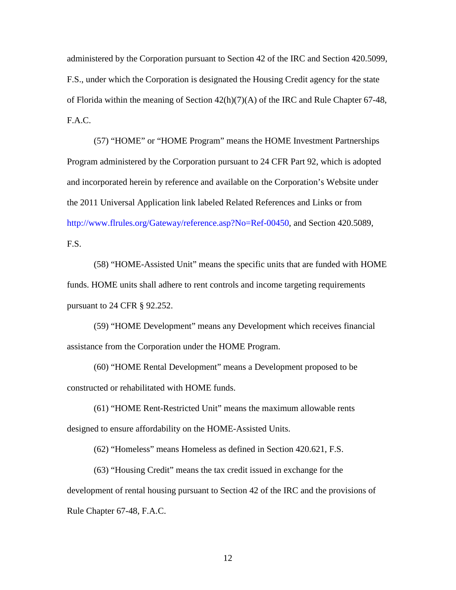administered by the Corporation pursuant to Section 42 of the IRC and Section 420.5099, F.S., under which the Corporation is designated the Housing Credit agency for the state of Florida within the meaning of Section  $42(h)(7)(A)$  of the IRC and Rule Chapter 67-48, F.A.C.

(57) "HOME" or "HOME Program" means the HOME Investment Partnerships Program administered by the Corporation pursuant to 24 CFR Part 92, which is adopted and incorporated herein by reference and available on the Corporation's Website under the 2011 Universal Application link labeled Related References and Links or from [http://www.flrules.org/Gateway/reference.asp?No=Ref-00450,](https://www.flrules.org/Gateway/reference.asp?No=Ref-00450) and Section 420.5089, F.S.

(58) "HOME-Assisted Unit" means the specific units that are funded with HOME funds. HOME units shall adhere to rent controls and income targeting requirements pursuant to 24 CFR § 92.252.

(59) "HOME Development" means any Development which receives financial assistance from the Corporation under the HOME Program.

(60) "HOME Rental Development" means a Development proposed to be constructed or rehabilitated with HOME funds.

(61) "HOME Rent-Restricted Unit" means the maximum allowable rents designed to ensure affordability on the HOME-Assisted Units.

(62) "Homeless" means Homeless as defined in Section 420.621, F.S.

(63) "Housing Credit" means the tax credit issued in exchange for the development of rental housing pursuant to Section 42 of the IRC and the provisions of Rule Chapter 67-48, F.A.C.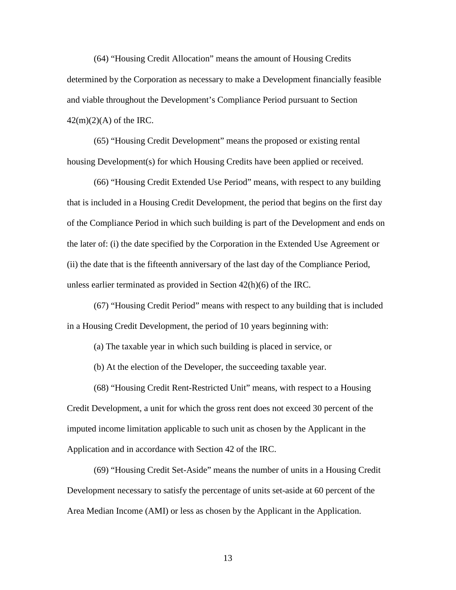(64) "Housing Credit Allocation" means the amount of Housing Credits determined by the Corporation as necessary to make a Development financially feasible and viable throughout the Development's Compliance Period pursuant to Section  $42(m)(2)(A)$  of the IRC.

(65) "Housing Credit Development" means the proposed or existing rental housing Development(s) for which Housing Credits have been applied or received.

(66) "Housing Credit Extended Use Period" means, with respect to any building that is included in a Housing Credit Development, the period that begins on the first day of the Compliance Period in which such building is part of the Development and ends on the later of: (i) the date specified by the Corporation in the Extended Use Agreement or (ii) the date that is the fifteenth anniversary of the last day of the Compliance Period, unless earlier terminated as provided in Section 42(h)(6) of the IRC.

(67) "Housing Credit Period" means with respect to any building that is included in a Housing Credit Development, the period of 10 years beginning with:

(a) The taxable year in which such building is placed in service, or

(b) At the election of the Developer, the succeeding taxable year.

(68) "Housing Credit Rent-Restricted Unit" means, with respect to a Housing Credit Development, a unit for which the gross rent does not exceed 30 percent of the imputed income limitation applicable to such unit as chosen by the Applicant in the Application and in accordance with Section 42 of the IRC.

(69) "Housing Credit Set-Aside" means the number of units in a Housing Credit Development necessary to satisfy the percentage of units set-aside at 60 percent of the Area Median Income (AMI) or less as chosen by the Applicant in the Application.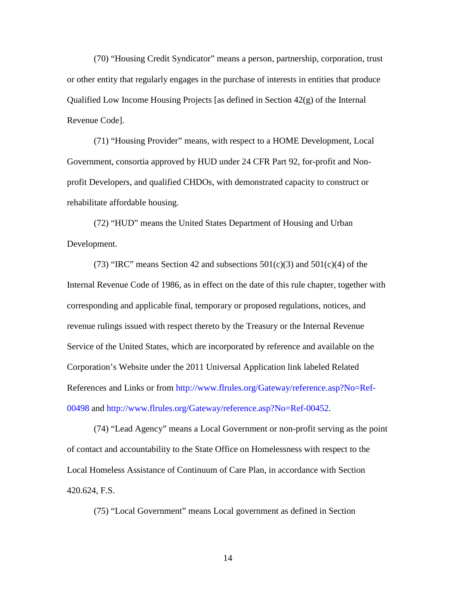(70) "Housing Credit Syndicator" means a person, partnership, corporation, trust or other entity that regularly engages in the purchase of interests in entities that produce Qualified Low Income Housing Projects [as defined in Section  $42(g)$  of the Internal Revenue Code].

(71) "Housing Provider" means, with respect to a HOME Development, Local Government, consortia approved by HUD under 24 CFR Part 92, for-profit and Nonprofit Developers, and qualified CHDOs, with demonstrated capacity to construct or rehabilitate affordable housing.

(72) "HUD" means the United States Department of Housing and Urban Development.

(73) "IRC" means Section 42 and subsections  $501(c)(3)$  and  $501(c)(4)$  of the Internal Revenue Code of 1986, as in effect on the date of this rule chapter, together with corresponding and applicable final, temporary or proposed regulations, notices, and revenue rulings issued with respect thereto by the Treasury or the Internal Revenue Service of the United States, which are incorporated by reference and available on the Corporation's Website under the 2011 Universal Application link labeled Related References and Links or from [http://www.flrules.org/Gateway/reference.asp?No=Ref-](https://www.flrules.org/Gateway/reference.asp?No=Ref-00498)[00498](https://www.flrules.org/Gateway/reference.asp?No=Ref-00498) and [http://www.flrules.org/Gateway/reference.asp?No=Ref-00452.](https://www.flrules.org/Gateway/reference.asp?No=Ref-00452)

(74) "Lead Agency" means a Local Government or non-profit serving as the point of contact and accountability to the State Office on Homelessness with respect to the Local Homeless Assistance of Continuum of Care Plan, in accordance with Section 420.624, F.S.

(75) "Local Government" means Local government as defined in Section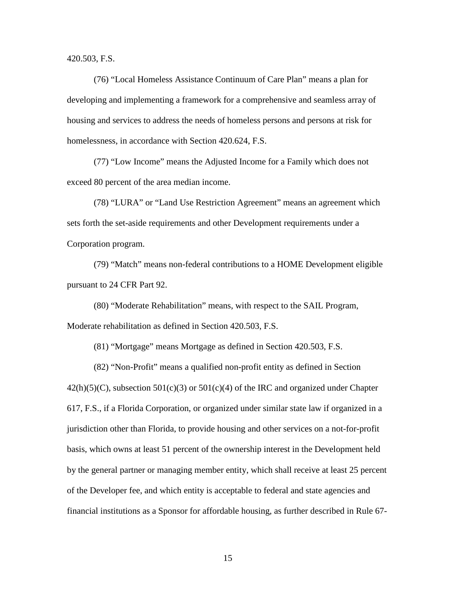420.503, F.S.

(76) "Local Homeless Assistance Continuum of Care Plan" means a plan for developing and implementing a framework for a comprehensive and seamless array of housing and services to address the needs of homeless persons and persons at risk for homelessness, in accordance with Section 420.624, F.S.

(77) "Low Income" means the Adjusted Income for a Family which does not exceed 80 percent of the area median income.

(78) "LURA" or "Land Use Restriction Agreement" means an agreement which sets forth the set-aside requirements and other Development requirements under a Corporation program.

(79) "Match" means non-federal contributions to a HOME Development eligible pursuant to 24 CFR Part 92.

(80) "Moderate Rehabilitation" means, with respect to the SAIL Program, Moderate rehabilitation as defined in Section 420.503, F.S.

(81) "Mortgage" means Mortgage as defined in Section 420.503, F.S.

(82) "Non-Profit" means a qualified non-profit entity as defined in Section  $42(h)(5)(C)$ , subsection  $501(c)(3)$  or  $501(c)(4)$  of the IRC and organized under Chapter 617, F.S., if a Florida Corporation, or organized under similar state law if organized in a jurisdiction other than Florida, to provide housing and other services on a not-for-profit basis, which owns at least 51 percent of the ownership interest in the Development held by the general partner or managing member entity, which shall receive at least 25 percent of the Developer fee, and which entity is acceptable to federal and state agencies and financial institutions as a Sponsor for affordable housing, as further described in Rule 67-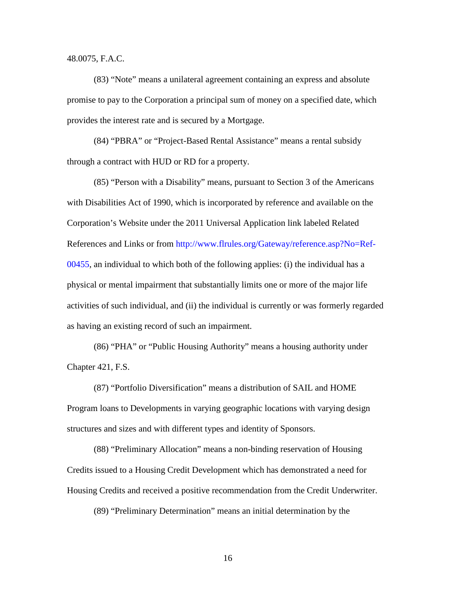48.0075, F.A.C.

(83) "Note" means a unilateral agreement containing an express and absolute promise to pay to the Corporation a principal sum of money on a specified date, which provides the interest rate and is secured by a Mortgage.

(84) "PBRA" or "Project-Based Rental Assistance" means a rental subsidy through a contract with HUD or RD for a property.

(85) "Person with a Disability" means, pursuant to Section 3 of the Americans with Disabilities Act of 1990, which is incorporated by reference and available on the Corporation's Website under the 2011 Universal Application link labeled Related References and Links or from [http://www.flrules.org/Gateway/reference.asp?No=Ref-](https://www.flrules.org/Gateway/reference.asp?No=Ref-00455)[00455,](https://www.flrules.org/Gateway/reference.asp?No=Ref-00455) an individual to which both of the following applies: (i) the individual has a physical or mental impairment that substantially limits one or more of the major life activities of such individual, and (ii) the individual is currently or was formerly regarded as having an existing record of such an impairment.

(86) "PHA" or "Public Housing Authority" means a housing authority under Chapter 421, F.S.

(87) "Portfolio Diversification" means a distribution of SAIL and HOME Program loans to Developments in varying geographic locations with varying design structures and sizes and with different types and identity of Sponsors.

(88) "Preliminary Allocation" means a non-binding reservation of Housing Credits issued to a Housing Credit Development which has demonstrated a need for Housing Credits and received a positive recommendation from the Credit Underwriter.

(89) "Preliminary Determination" means an initial determination by the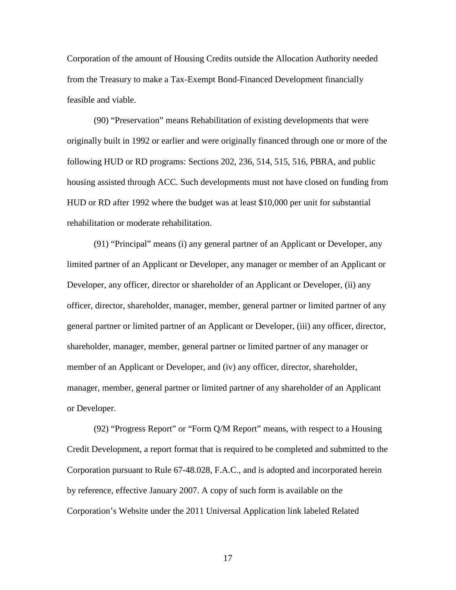Corporation of the amount of Housing Credits outside the Allocation Authority needed from the Treasury to make a Tax-Exempt Bond-Financed Development financially feasible and viable.

(90) "Preservation" means Rehabilitation of existing developments that were originally built in 1992 or earlier and were originally financed through one or more of the following HUD or RD programs: Sections 202, 236, 514, 515, 516, PBRA, and public housing assisted through ACC. Such developments must not have closed on funding from HUD or RD after 1992 where the budget was at least \$10,000 per unit for substantial rehabilitation or moderate rehabilitation.

(91) "Principal" means (i) any general partner of an Applicant or Developer, any limited partner of an Applicant or Developer, any manager or member of an Applicant or Developer, any officer, director or shareholder of an Applicant or Developer, (ii) any officer, director, shareholder, manager, member, general partner or limited partner of any general partner or limited partner of an Applicant or Developer, (iii) any officer, director, shareholder, manager, member, general partner or limited partner of any manager or member of an Applicant or Developer, and (iv) any officer, director, shareholder, manager, member, general partner or limited partner of any shareholder of an Applicant or Developer.

(92) "Progress Report" or "Form Q/M Report" means, with respect to a Housing Credit Development, a report format that is required to be completed and submitted to the Corporation pursuant to Rule 67-48.028, F.A.C., and is adopted and incorporated herein by reference, effective January 2007. A copy of such form is available on the Corporation's Website under the 2011 Universal Application link labeled Related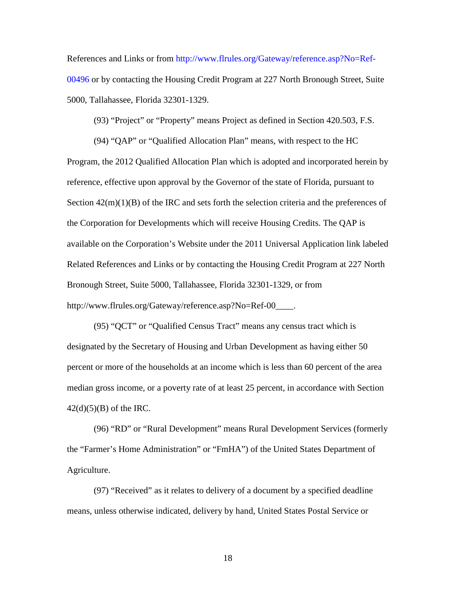References and Links or from [http://www.flrules.org/Gateway/reference.asp?No=Ref-](https://www.flrules.org/Gateway/reference.asp?No=Ref-00496)[00496](https://www.flrules.org/Gateway/reference.asp?No=Ref-00496) or by contacting the Housing Credit Program at 227 North Bronough Street, Suite 5000, Tallahassee, Florida 32301-1329.

(93) "Project" or "Property" means Project as defined in Section 420.503, F.S.

(94) "QAP" or "Qualified Allocation Plan" means, with respect to the HC Program, the 2012 Qualified Allocation Plan which is adopted and incorporated herein by reference, effective upon approval by the Governor of the state of Florida, pursuant to Section  $42(m)(1)(B)$  of the IRC and sets forth the selection criteria and the preferences of the Corporation for Developments which will receive Housing Credits. The QAP is available on the Corporation's Website under the 2011 Universal Application link labeled Related References and Links or by contacting the Housing Credit Program at 227 North Bronough Street, Suite 5000, Tallahassee, Florida 32301-1329, or from http://www.flrules.org/Gateway/reference.asp?No=Ref-00\_\_\_\_.

(95) "QCT" or "Qualified Census Tract" means any census tract which is designated by the Secretary of Housing and Urban Development as having either 50 percent or more of the households at an income which is less than 60 percent of the area median gross income, or a poverty rate of at least 25 percent, in accordance with Section  $42(d)(5)(B)$  of the IRC.

(96) "RD" or "Rural Development" means Rural Development Services (formerly the "Farmer's Home Administration" or "FmHA") of the United States Department of Agriculture.

(97) "Received" as it relates to delivery of a document by a specified deadline means, unless otherwise indicated, delivery by hand, United States Postal Service or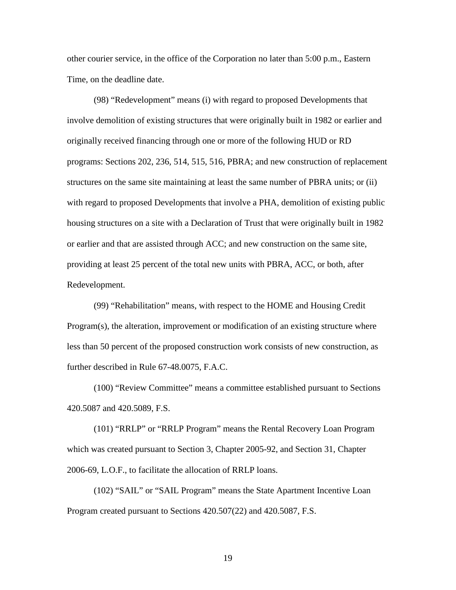other courier service, in the office of the Corporation no later than 5:00 p.m., Eastern Time, on the deadline date.

(98) "Redevelopment" means (i) with regard to proposed Developments that involve demolition of existing structures that were originally built in 1982 or earlier and originally received financing through one or more of the following HUD or RD programs: Sections 202, 236, 514, 515, 516, PBRA; and new construction of replacement structures on the same site maintaining at least the same number of PBRA units; or (ii) with regard to proposed Developments that involve a PHA, demolition of existing public housing structures on a site with a Declaration of Trust that were originally built in 1982 or earlier and that are assisted through ACC; and new construction on the same site, providing at least 25 percent of the total new units with PBRA, ACC, or both, after Redevelopment.

(99) "Rehabilitation" means, with respect to the HOME and Housing Credit Program(s), the alteration, improvement or modification of an existing structure where less than 50 percent of the proposed construction work consists of new construction, as further described in Rule 67-48.0075, F.A.C.

(100) "Review Committee" means a committee established pursuant to Sections 420.5087 and 420.5089, F.S.

(101) "RRLP" or "RRLP Program" means the Rental Recovery Loan Program which was created pursuant to Section 3, Chapter 2005-92, and Section 31, Chapter 2006-69, L.O.F., to facilitate the allocation of RRLP loans.

(102) "SAIL" or "SAIL Program" means the State Apartment Incentive Loan Program created pursuant to Sections 420.507(22) and 420.5087, F.S.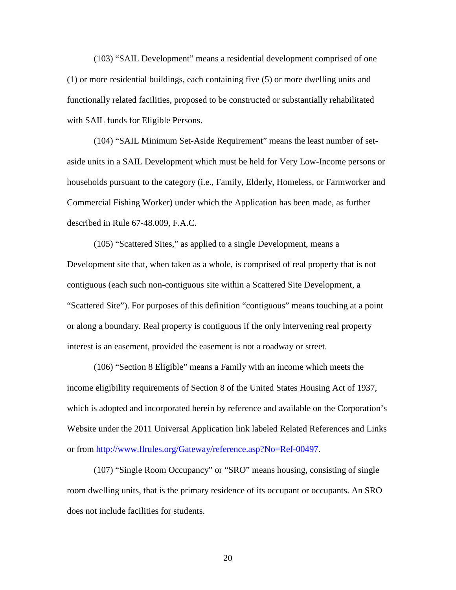(103) "SAIL Development" means a residential development comprised of one (1) or more residential buildings, each containing five (5) or more dwelling units and functionally related facilities, proposed to be constructed or substantially rehabilitated with SAIL funds for Eligible Persons.

(104) "SAIL Minimum Set-Aside Requirement" means the least number of setaside units in a SAIL Development which must be held for Very Low-Income persons or households pursuant to the category (i.e., Family, Elderly, Homeless, or Farmworker and Commercial Fishing Worker) under which the Application has been made, as further described in Rule 67-48.009, F.A.C.

(105) "Scattered Sites," as applied to a single Development, means a Development site that, when taken as a whole, is comprised of real property that is not contiguous (each such non-contiguous site within a Scattered Site Development, a "Scattered Site"). For purposes of this definition "contiguous" means touching at a point or along a boundary. Real property is contiguous if the only intervening real property interest is an easement, provided the easement is not a roadway or street.

(106) "Section 8 Eligible" means a Family with an income which meets the income eligibility requirements of Section 8 of the United States Housing Act of 1937, which is adopted and incorporated herein by reference and available on the Corporation's Website under the 2011 Universal Application link labeled Related References and Links or from [http://www.flrules.org/Gateway/reference.asp?No=Ref-00497.](https://www.flrules.org/Gateway/reference.asp?No=Ref-00497)

(107) "Single Room Occupancy" or "SRO" means housing, consisting of single room dwelling units, that is the primary residence of its occupant or occupants. An SRO does not include facilities for students.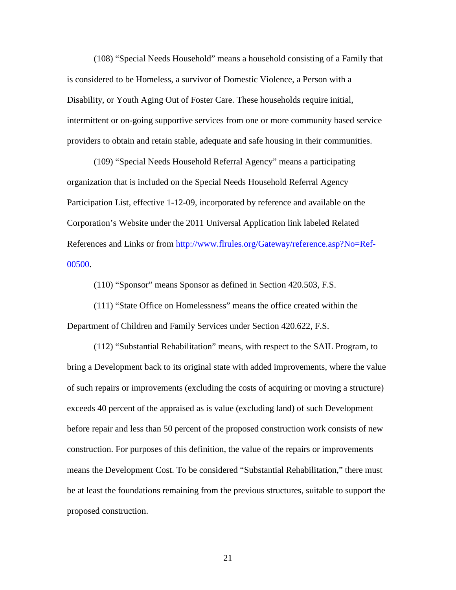(108) "Special Needs Household" means a household consisting of a Family that is considered to be Homeless, a survivor of Domestic Violence, a Person with a Disability, or Youth Aging Out of Foster Care. These households require initial, intermittent or on-going supportive services from one or more community based service providers to obtain and retain stable, adequate and safe housing in their communities.

(109) "Special Needs Household Referral Agency" means a participating organization that is included on the Special Needs Household Referral Agency Participation List, effective 1-12-09, incorporated by reference and available on the Corporation's Website under the 2011 Universal Application link labeled Related References and Links or from [http://www.flrules.org/Gateway/reference.asp?No=Ref-](https://www.flrules.org/Gateway/reference.asp?No=Ref-00500)[00500.](https://www.flrules.org/Gateway/reference.asp?No=Ref-00500)

(110) "Sponsor" means Sponsor as defined in Section 420.503, F.S.

(111) "State Office on Homelessness" means the office created within the Department of Children and Family Services under Section 420.622, F.S.

(112) "Substantial Rehabilitation" means, with respect to the SAIL Program, to bring a Development back to its original state with added improvements, where the value of such repairs or improvements (excluding the costs of acquiring or moving a structure) exceeds 40 percent of the appraised as is value (excluding land) of such Development before repair and less than 50 percent of the proposed construction work consists of new construction. For purposes of this definition, the value of the repairs or improvements means the Development Cost. To be considered "Substantial Rehabilitation," there must be at least the foundations remaining from the previous structures, suitable to support the proposed construction.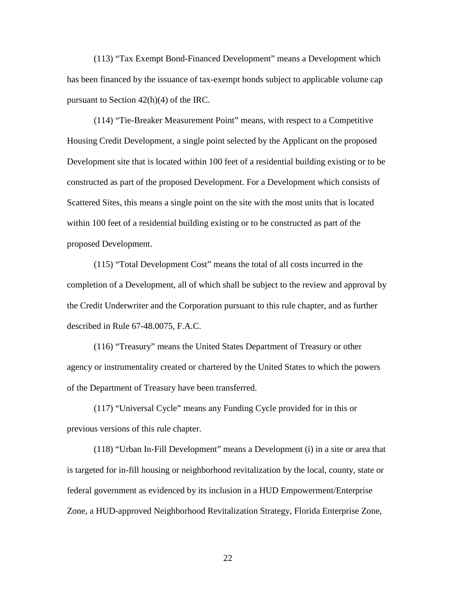(113) "Tax Exempt Bond-Financed Development" means a Development which has been financed by the issuance of tax-exempt bonds subject to applicable volume cap pursuant to Section 42(h)(4) of the IRC.

(114) "Tie-Breaker Measurement Point" means, with respect to a Competitive Housing Credit Development, a single point selected by the Applicant on the proposed Development site that is located within 100 feet of a residential building existing or to be constructed as part of the proposed Development. For a Development which consists of Scattered Sites, this means a single point on the site with the most units that is located within 100 feet of a residential building existing or to be constructed as part of the proposed Development.

(115) "Total Development Cost" means the total of all costs incurred in the completion of a Development, all of which shall be subject to the review and approval by the Credit Underwriter and the Corporation pursuant to this rule chapter, and as further described in Rule 67-48.0075, F.A.C.

(116) "Treasury" means the United States Department of Treasury or other agency or instrumentality created or chartered by the United States to which the powers of the Department of Treasury have been transferred.

(117) "Universal Cycle" means any Funding Cycle provided for in this or previous versions of this rule chapter.

(118) "Urban In-Fill Development" means a Development (i) in a site or area that is targeted for in-fill housing or neighborhood revitalization by the local, county, state or federal government as evidenced by its inclusion in a HUD Empowerment/Enterprise Zone, a HUD-approved Neighborhood Revitalization Strategy, Florida Enterprise Zone,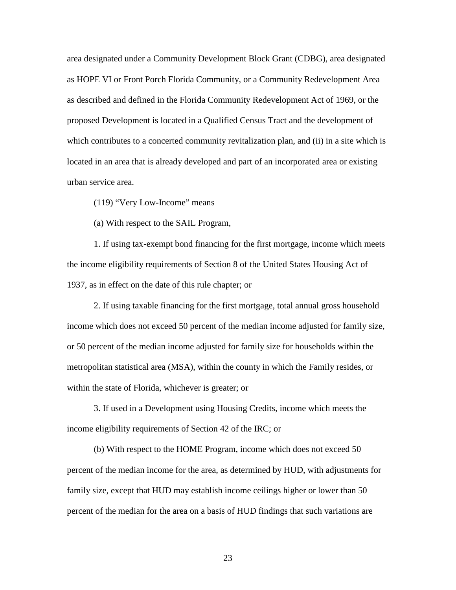area designated under a Community Development Block Grant (CDBG), area designated as HOPE VI or Front Porch Florida Community, or a Community Redevelopment Area as described and defined in the Florida Community Redevelopment Act of 1969, or the proposed Development is located in a Qualified Census Tract and the development of which contributes to a concerted community revitalization plan, and (ii) in a site which is located in an area that is already developed and part of an incorporated area or existing urban service area.

(119) "Very Low-Income" means

(a) With respect to the SAIL Program,

1. If using tax-exempt bond financing for the first mortgage, income which meets the income eligibility requirements of Section 8 of the United States Housing Act of 1937, as in effect on the date of this rule chapter; or

2. If using taxable financing for the first mortgage, total annual gross household income which does not exceed 50 percent of the median income adjusted for family size, or 50 percent of the median income adjusted for family size for households within the metropolitan statistical area (MSA), within the county in which the Family resides, or within the state of Florida, whichever is greater; or

3. If used in a Development using Housing Credits, income which meets the income eligibility requirements of Section 42 of the IRC; or

(b) With respect to the HOME Program, income which does not exceed 50 percent of the median income for the area, as determined by HUD, with adjustments for family size, except that HUD may establish income ceilings higher or lower than 50 percent of the median for the area on a basis of HUD findings that such variations are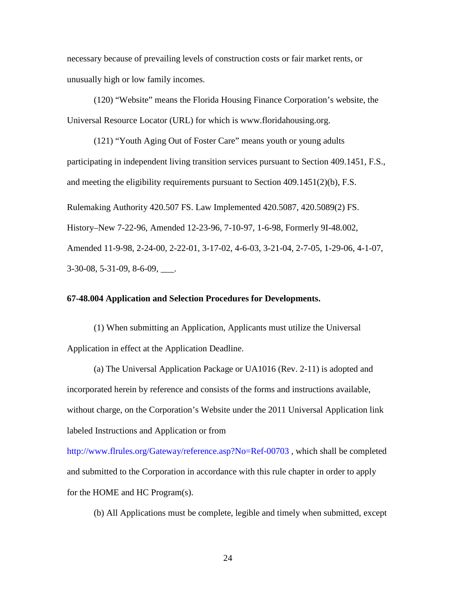necessary because of prevailing levels of construction costs or fair market rents, or unusually high or low family incomes.

(120) "Website" means the Florida Housing Finance Corporation's website, the Universal Resource Locator (URL) for which is [www.floridahousing.org.](http://www.floridahousing.org/)

(121) "Youth Aging Out of Foster Care" means youth or young adults participating in independent living transition services pursuant to Section 409.1451, F.S., and meeting the eligibility requirements pursuant to Section 409.1451(2)(b), F.S. Rulemaking Authority 420.507 FS. Law Implemented 420.5087, 420.5089(2) FS. History–New 7-22-96, Amended 12-23-96, 7-10-97, 1-6-98, Formerly 9I-48.002, Amended 11-9-98, 2-24-00, 2-22-01, 3-17-02, 4-6-03, 3-21-04, 2-7-05, 1-29-06, 4-1-07, 3-30-08, 5-31-09, 8-6-09, \_\_\_.

#### **67-48.004 Application and Selection Procedures for Developments.**

(1) When submitting an Application, Applicants must utilize the Universal Application in effect at the Application Deadline.

(a) The Universal Application Package or UA1016 (Rev. 2-11) is adopted and incorporated herein by reference and consists of the forms and instructions available, without charge, on the Corporation's Website under the 2011 Universal Application link labeled Instructions and Application or from

<http://www.flrules.org/Gateway/reference.asp?No=Ref-00703> , which shall be completed and submitted to the Corporation in accordance with this rule chapter in order to apply for the HOME and HC Program(s).

(b) All Applications must be complete, legible and timely when submitted, except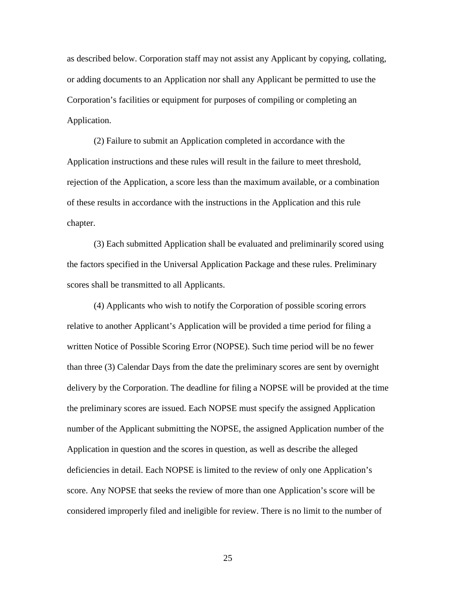as described below. Corporation staff may not assist any Applicant by copying, collating, or adding documents to an Application nor shall any Applicant be permitted to use the Corporation's facilities or equipment for purposes of compiling or completing an Application.

(2) Failure to submit an Application completed in accordance with the Application instructions and these rules will result in the failure to meet threshold, rejection of the Application, a score less than the maximum available, or a combination of these results in accordance with the instructions in the Application and this rule chapter.

(3) Each submitted Application shall be evaluated and preliminarily scored using the factors specified in the Universal Application Package and these rules. Preliminary scores shall be transmitted to all Applicants.

(4) Applicants who wish to notify the Corporation of possible scoring errors relative to another Applicant's Application will be provided a time period for filing a written Notice of Possible Scoring Error (NOPSE). Such time period will be no fewer than three (3) Calendar Days from the date the preliminary scores are sent by overnight delivery by the Corporation. The deadline for filing a NOPSE will be provided at the time the preliminary scores are issued. Each NOPSE must specify the assigned Application number of the Applicant submitting the NOPSE, the assigned Application number of the Application in question and the scores in question, as well as describe the alleged deficiencies in detail. Each NOPSE is limited to the review of only one Application's score. Any NOPSE that seeks the review of more than one Application's score will be considered improperly filed and ineligible for review. There is no limit to the number of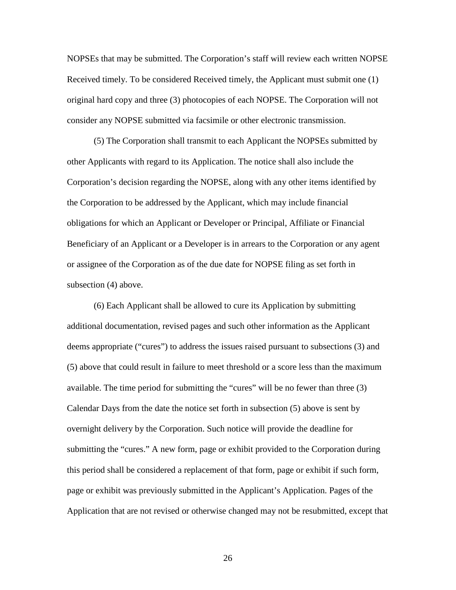NOPSEs that may be submitted. The Corporation's staff will review each written NOPSE Received timely. To be considered Received timely, the Applicant must submit one (1) original hard copy and three (3) photocopies of each NOPSE. The Corporation will not consider any NOPSE submitted via facsimile or other electronic transmission.

(5) The Corporation shall transmit to each Applicant the NOPSEs submitted by other Applicants with regard to its Application. The notice shall also include the Corporation's decision regarding the NOPSE, along with any other items identified by the Corporation to be addressed by the Applicant, which may include financial obligations for which an Applicant or Developer or Principal, Affiliate or Financial Beneficiary of an Applicant or a Developer is in arrears to the Corporation or any agent or assignee of the Corporation as of the due date for NOPSE filing as set forth in subsection (4) above.

(6) Each Applicant shall be allowed to cure its Application by submitting additional documentation, revised pages and such other information as the Applicant deems appropriate ("cures") to address the issues raised pursuant to subsections (3) and (5) above that could result in failure to meet threshold or a score less than the maximum available. The time period for submitting the "cures" will be no fewer than three (3) Calendar Days from the date the notice set forth in subsection (5) above is sent by overnight delivery by the Corporation. Such notice will provide the deadline for submitting the "cures." A new form, page or exhibit provided to the Corporation during this period shall be considered a replacement of that form, page or exhibit if such form, page or exhibit was previously submitted in the Applicant's Application. Pages of the Application that are not revised or otherwise changed may not be resubmitted, except that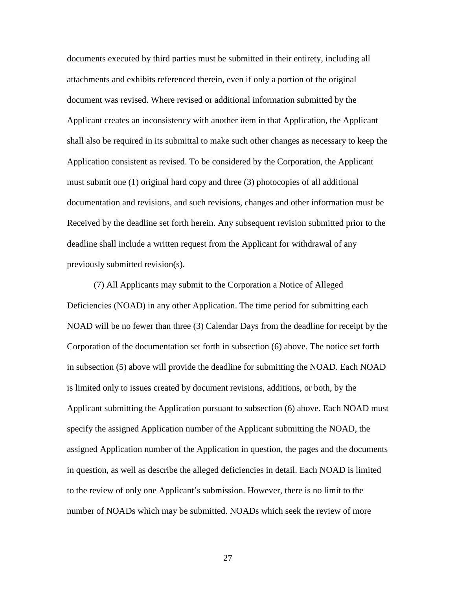documents executed by third parties must be submitted in their entirety, including all attachments and exhibits referenced therein, even if only a portion of the original document was revised. Where revised or additional information submitted by the Applicant creates an inconsistency with another item in that Application, the Applicant shall also be required in its submittal to make such other changes as necessary to keep the Application consistent as revised. To be considered by the Corporation, the Applicant must submit one (1) original hard copy and three (3) photocopies of all additional documentation and revisions, and such revisions, changes and other information must be Received by the deadline set forth herein. Any subsequent revision submitted prior to the deadline shall include a written request from the Applicant for withdrawal of any previously submitted revision(s).

(7) All Applicants may submit to the Corporation a Notice of Alleged Deficiencies (NOAD) in any other Application. The time period for submitting each NOAD will be no fewer than three (3) Calendar Days from the deadline for receipt by the Corporation of the documentation set forth in subsection (6) above. The notice set forth in subsection (5) above will provide the deadline for submitting the NOAD. Each NOAD is limited only to issues created by document revisions, additions, or both, by the Applicant submitting the Application pursuant to subsection (6) above. Each NOAD must specify the assigned Application number of the Applicant submitting the NOAD, the assigned Application number of the Application in question, the pages and the documents in question, as well as describe the alleged deficiencies in detail. Each NOAD is limited to the review of only one Applicant's submission. However, there is no limit to the number of NOADs which may be submitted. NOADs which seek the review of more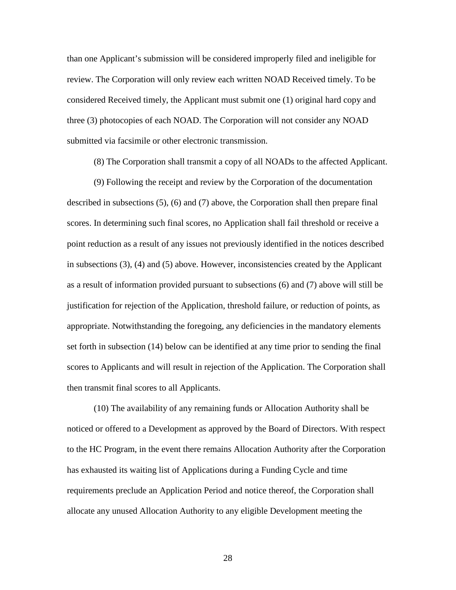than one Applicant's submission will be considered improperly filed and ineligible for review. The Corporation will only review each written NOAD Received timely. To be considered Received timely, the Applicant must submit one (1) original hard copy and three (3) photocopies of each NOAD. The Corporation will not consider any NOAD submitted via facsimile or other electronic transmission.

(8) The Corporation shall transmit a copy of all NOADs to the affected Applicant.

(9) Following the receipt and review by the Corporation of the documentation described in subsections (5), (6) and (7) above, the Corporation shall then prepare final scores. In determining such final scores, no Application shall fail threshold or receive a point reduction as a result of any issues not previously identified in the notices described in subsections (3), (4) and (5) above. However, inconsistencies created by the Applicant as a result of information provided pursuant to subsections (6) and (7) above will still be justification for rejection of the Application, threshold failure, or reduction of points, as appropriate. Notwithstanding the foregoing, any deficiencies in the mandatory elements set forth in subsection (14) below can be identified at any time prior to sending the final scores to Applicants and will result in rejection of the Application. The Corporation shall then transmit final scores to all Applicants.

(10) The availability of any remaining funds or Allocation Authority shall be noticed or offered to a Development as approved by the Board of Directors. With respect to the HC Program, in the event there remains Allocation Authority after the Corporation has exhausted its waiting list of Applications during a Funding Cycle and time requirements preclude an Application Period and notice thereof, the Corporation shall allocate any unused Allocation Authority to any eligible Development meeting the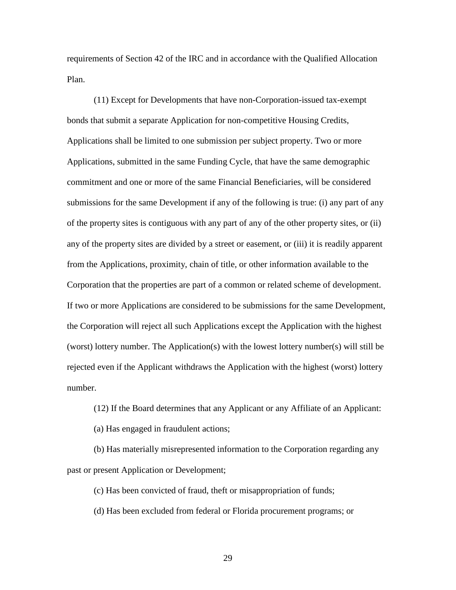requirements of Section 42 of the IRC and in accordance with the Qualified Allocation Plan.

(11) Except for Developments that have non-Corporation-issued tax-exempt bonds that submit a separate Application for non-competitive Housing Credits, Applications shall be limited to one submission per subject property. Two or more Applications, submitted in the same Funding Cycle, that have the same demographic commitment and one or more of the same Financial Beneficiaries, will be considered submissions for the same Development if any of the following is true: (i) any part of any of the property sites is contiguous with any part of any of the other property sites, or (ii) any of the property sites are divided by a street or easement, or (iii) it is readily apparent from the Applications, proximity, chain of title, or other information available to the Corporation that the properties are part of a common or related scheme of development. If two or more Applications are considered to be submissions for the same Development, the Corporation will reject all such Applications except the Application with the highest (worst) lottery number. The Application(s) with the lowest lottery number(s) will still be rejected even if the Applicant withdraws the Application with the highest (worst) lottery number.

(12) If the Board determines that any Applicant or any Affiliate of an Applicant:

(a) Has engaged in fraudulent actions;

(b) Has materially misrepresented information to the Corporation regarding any past or present Application or Development;

(c) Has been convicted of fraud, theft or misappropriation of funds;

(d) Has been excluded from federal or Florida procurement programs; or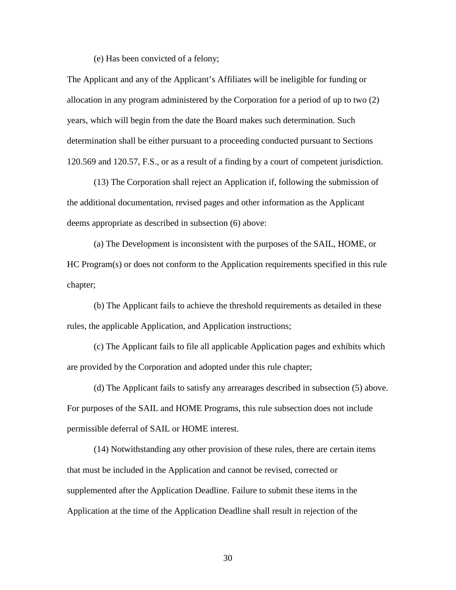(e) Has been convicted of a felony;

The Applicant and any of the Applicant's Affiliates will be ineligible for funding or allocation in any program administered by the Corporation for a period of up to two (2) years, which will begin from the date the Board makes such determination. Such determination shall be either pursuant to a proceeding conducted pursuant to Sections 120.569 and 120.57, F.S., or as a result of a finding by a court of competent jurisdiction.

(13) The Corporation shall reject an Application if, following the submission of the additional documentation, revised pages and other information as the Applicant deems appropriate as described in subsection (6) above:

(a) The Development is inconsistent with the purposes of the SAIL, HOME, or HC Program(s) or does not conform to the Application requirements specified in this rule chapter;

(b) The Applicant fails to achieve the threshold requirements as detailed in these rules, the applicable Application, and Application instructions;

(c) The Applicant fails to file all applicable Application pages and exhibits which are provided by the Corporation and adopted under this rule chapter;

(d) The Applicant fails to satisfy any arrearages described in subsection (5) above. For purposes of the SAIL and HOME Programs, this rule subsection does not include permissible deferral of SAIL or HOME interest.

(14) Notwithstanding any other provision of these rules, there are certain items that must be included in the Application and cannot be revised, corrected or supplemented after the Application Deadline. Failure to submit these items in the Application at the time of the Application Deadline shall result in rejection of the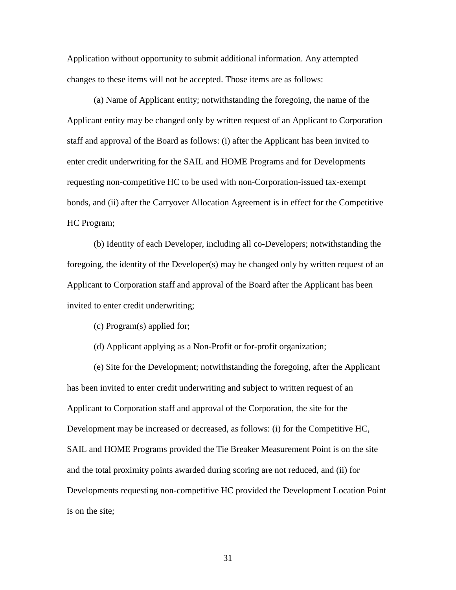Application without opportunity to submit additional information. Any attempted changes to these items will not be accepted. Those items are as follows:

(a) Name of Applicant entity; notwithstanding the foregoing, the name of the Applicant entity may be changed only by written request of an Applicant to Corporation staff and approval of the Board as follows: (i) after the Applicant has been invited to enter credit underwriting for the SAIL and HOME Programs and for Developments requesting non-competitive HC to be used with non-Corporation-issued tax-exempt bonds, and (ii) after the Carryover Allocation Agreement is in effect for the Competitive HC Program;

(b) Identity of each Developer, including all co-Developers; notwithstanding the foregoing, the identity of the Developer(s) may be changed only by written request of an Applicant to Corporation staff and approval of the Board after the Applicant has been invited to enter credit underwriting;

(c) Program(s) applied for;

(d) Applicant applying as a Non-Profit or for-profit organization;

(e) Site for the Development; notwithstanding the foregoing, after the Applicant has been invited to enter credit underwriting and subject to written request of an Applicant to Corporation staff and approval of the Corporation, the site for the Development may be increased or decreased, as follows: (i) for the Competitive HC, SAIL and HOME Programs provided the Tie Breaker Measurement Point is on the site and the total proximity points awarded during scoring are not reduced, and (ii) for Developments requesting non-competitive HC provided the Development Location Point is on the site;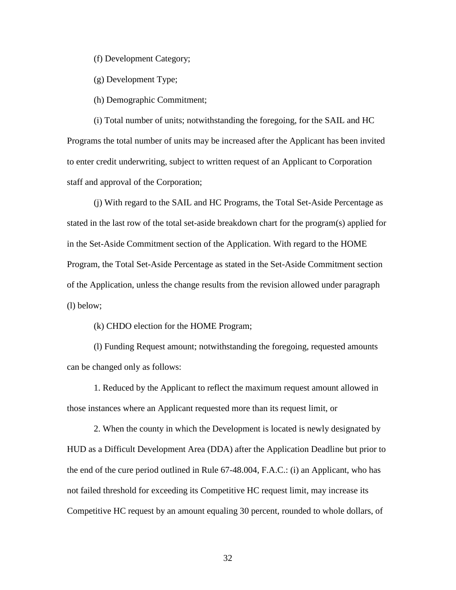(f) Development Category;

(g) Development Type;

(h) Demographic Commitment;

(i) Total number of units; notwithstanding the foregoing, for the SAIL and HC Programs the total number of units may be increased after the Applicant has been invited to enter credit underwriting, subject to written request of an Applicant to Corporation staff and approval of the Corporation;

(j) With regard to the SAIL and HC Programs, the Total Set-Aside Percentage as stated in the last row of the total set-aside breakdown chart for the program(s) applied for in the Set-Aside Commitment section of the Application. With regard to the HOME Program, the Total Set-Aside Percentage as stated in the Set-Aside Commitment section of the Application, unless the change results from the revision allowed under paragraph (l) below;

(k) CHDO election for the HOME Program;

(l) Funding Request amount; notwithstanding the foregoing, requested amounts can be changed only as follows:

1. Reduced by the Applicant to reflect the maximum request amount allowed in those instances where an Applicant requested more than its request limit, or

2. When the county in which the Development is located is newly designated by HUD as a Difficult Development Area (DDA) after the Application Deadline but prior to the end of the cure period outlined in Rule 67-48.004, F.A.C.: (i) an Applicant, who has not failed threshold for exceeding its Competitive HC request limit, may increase its Competitive HC request by an amount equaling 30 percent, rounded to whole dollars, of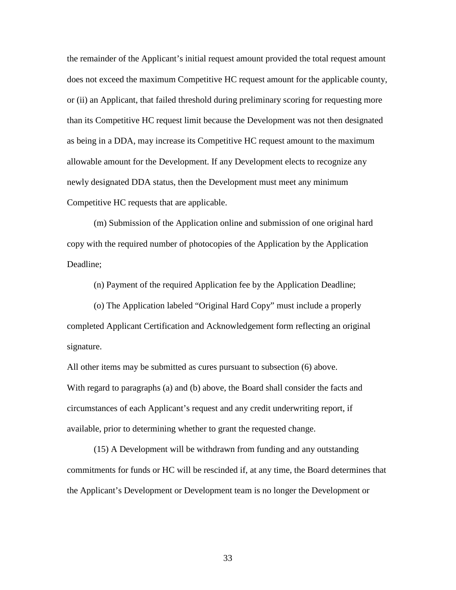the remainder of the Applicant's initial request amount provided the total request amount does not exceed the maximum Competitive HC request amount for the applicable county, or (ii) an Applicant, that failed threshold during preliminary scoring for requesting more than its Competitive HC request limit because the Development was not then designated as being in a DDA, may increase its Competitive HC request amount to the maximum allowable amount for the Development. If any Development elects to recognize any newly designated DDA status, then the Development must meet any minimum Competitive HC requests that are applicable.

(m) Submission of the Application online and submission of one original hard copy with the required number of photocopies of the Application by the Application Deadline;

(n) Payment of the required Application fee by the Application Deadline;

(o) The Application labeled "Original Hard Copy" must include a properly completed Applicant Certification and Acknowledgement form reflecting an original signature.

All other items may be submitted as cures pursuant to subsection (6) above. With regard to paragraphs (a) and (b) above, the Board shall consider the facts and circumstances of each Applicant's request and any credit underwriting report, if available, prior to determining whether to grant the requested change.

(15) A Development will be withdrawn from funding and any outstanding commitments for funds or HC will be rescinded if, at any time, the Board determines that the Applicant's Development or Development team is no longer the Development or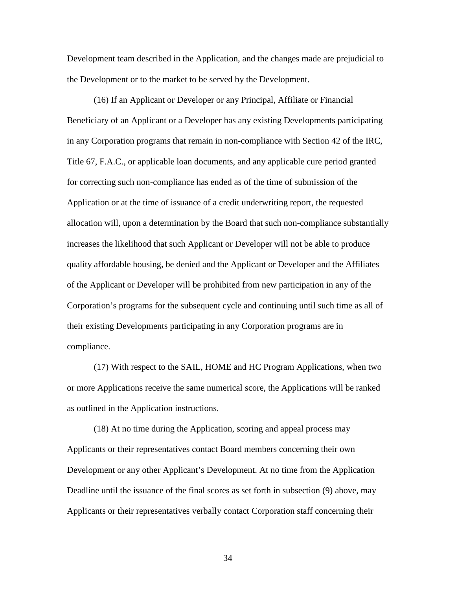Development team described in the Application, and the changes made are prejudicial to the Development or to the market to be served by the Development.

(16) If an Applicant or Developer or any Principal, Affiliate or Financial Beneficiary of an Applicant or a Developer has any existing Developments participating in any Corporation programs that remain in non-compliance with Section 42 of the IRC, Title 67, F.A.C., or applicable loan documents, and any applicable cure period granted for correcting such non-compliance has ended as of the time of submission of the Application or at the time of issuance of a credit underwriting report, the requested allocation will, upon a determination by the Board that such non-compliance substantially increases the likelihood that such Applicant or Developer will not be able to produce quality affordable housing, be denied and the Applicant or Developer and the Affiliates of the Applicant or Developer will be prohibited from new participation in any of the Corporation's programs for the subsequent cycle and continuing until such time as all of their existing Developments participating in any Corporation programs are in compliance.

(17) With respect to the SAIL, HOME and HC Program Applications, when two or more Applications receive the same numerical score, the Applications will be ranked as outlined in the Application instructions.

(18) At no time during the Application, scoring and appeal process may Applicants or their representatives contact Board members concerning their own Development or any other Applicant's Development. At no time from the Application Deadline until the issuance of the final scores as set forth in subsection (9) above, may Applicants or their representatives verbally contact Corporation staff concerning their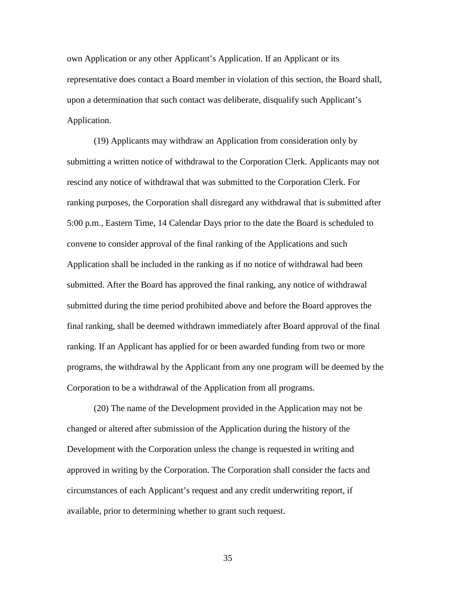own Application or any other Applicant's Application. If an Applicant or its representative does contact a Board member in violation of this section, the Board shall, upon a determination that such contact was deliberate, disqualify such Applicant's Application.

(19) Applicants may withdraw an Application from consideration only by submitting a written notice of withdrawal to the Corporation Clerk. Applicants may not rescind any notice of withdrawal that was submitted to the Corporation Clerk. For ranking purposes, the Corporation shall disregard any withdrawal that is submitted after 5:00 p.m., Eastern Time, 14 Calendar Days prior to the date the Board is scheduled to convene to consider approval of the final ranking of the Applications and such Application shall be included in the ranking as if no notice of withdrawal had been submitted. After the Board has approved the final ranking, any notice of withdrawal submitted during the time period prohibited above and before the Board approves the final ranking, shall be deemed withdrawn immediately after Board approval of the final ranking. If an Applicant has applied for or been awarded funding from two or more programs, the withdrawal by the Applicant from any one program will be deemed by the Corporation to be a withdrawal of the Application from all programs.

(20) The name of the Development provided in the Application may not be changed or altered after submission of the Application during the history of the Development with the Corporation unless the change is requested in writing and approved in writing by the Corporation. The Corporation shall consider the facts and circumstances of each Applicant's request and any credit underwriting report, if available, prior to determining whether to grant such request.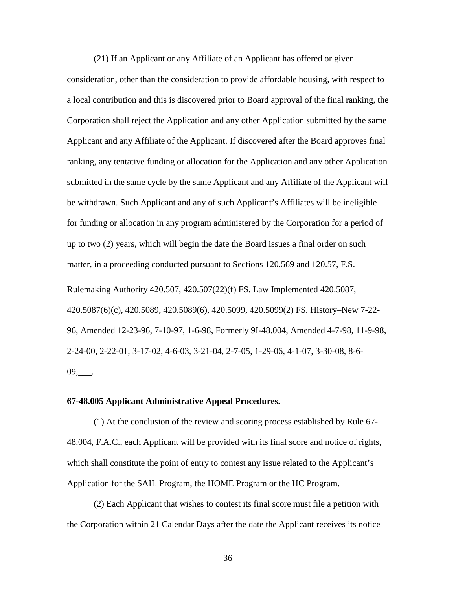(21) If an Applicant or any Affiliate of an Applicant has offered or given

consideration, other than the consideration to provide affordable housing, with respect to a local contribution and this is discovered prior to Board approval of the final ranking, the Corporation shall reject the Application and any other Application submitted by the same Applicant and any Affiliate of the Applicant. If discovered after the Board approves final ranking, any tentative funding or allocation for the Application and any other Application submitted in the same cycle by the same Applicant and any Affiliate of the Applicant will be withdrawn. Such Applicant and any of such Applicant's Affiliates will be ineligible for funding or allocation in any program administered by the Corporation for a period of up to two (2) years, which will begin the date the Board issues a final order on such matter, in a proceeding conducted pursuant to Sections 120.569 and 120.57, F.S.

Rulemaking Authority 420.507, 420.507(22)(f) FS. Law Implemented 420.5087, 420.5087(6)(c), 420.5089, 420.5089(6), 420.5099, 420.5099(2) FS. History–New 7-22- 96, Amended 12-23-96, 7-10-97, 1-6-98, Formerly 9I-48.004, Amended 4-7-98, 11-9-98, 2-24-00, 2-22-01, 3-17-02, 4-6-03, 3-21-04, 2-7-05, 1-29-06, 4-1-07, 3-30-08, 8-6-  $09,$ ........

#### **67-48.005 Applicant Administrative Appeal Procedures.**

(1) At the conclusion of the review and scoring process established by Rule 67- 48.004, F.A.C., each Applicant will be provided with its final score and notice of rights, which shall constitute the point of entry to contest any issue related to the Applicant's Application for the SAIL Program, the HOME Program or the HC Program.

(2) Each Applicant that wishes to contest its final score must file a petition with the Corporation within 21 Calendar Days after the date the Applicant receives its notice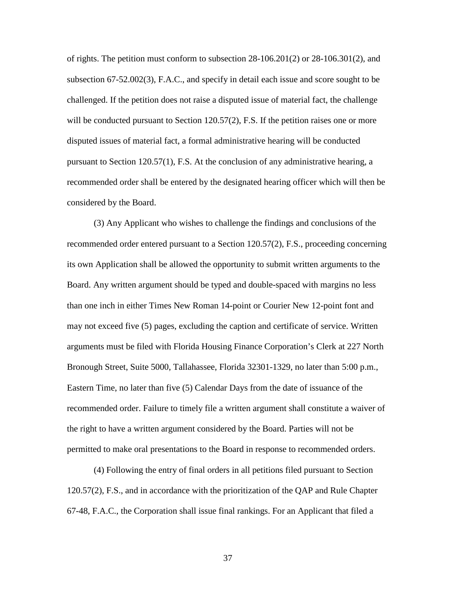of rights. The petition must conform to subsection  $28-106.201(2)$  or  $28-106.301(2)$ , and subsection 67-52.002(3), F.A.C., and specify in detail each issue and score sought to be challenged. If the petition does not raise a disputed issue of material fact, the challenge will be conducted pursuant to Section 120.57(2), F.S. If the petition raises one or more disputed issues of material fact, a formal administrative hearing will be conducted pursuant to Section 120.57(1), F.S. At the conclusion of any administrative hearing, a recommended order shall be entered by the designated hearing officer which will then be considered by the Board.

(3) Any Applicant who wishes to challenge the findings and conclusions of the recommended order entered pursuant to a Section 120.57(2), F.S., proceeding concerning its own Application shall be allowed the opportunity to submit written arguments to the Board. Any written argument should be typed and double-spaced with margins no less than one inch in either Times New Roman 14-point or Courier New 12-point font and may not exceed five (5) pages, excluding the caption and certificate of service. Written arguments must be filed with Florida Housing Finance Corporation's Clerk at 227 North Bronough Street, Suite 5000, Tallahassee, Florida 32301-1329, no later than 5:00 p.m., Eastern Time, no later than five (5) Calendar Days from the date of issuance of the recommended order. Failure to timely file a written argument shall constitute a waiver of the right to have a written argument considered by the Board. Parties will not be permitted to make oral presentations to the Board in response to recommended orders.

(4) Following the entry of final orders in all petitions filed pursuant to Section 120.57(2), F.S., and in accordance with the prioritization of the QAP and Rule Chapter 67-48, F.A.C., the Corporation shall issue final rankings. For an Applicant that filed a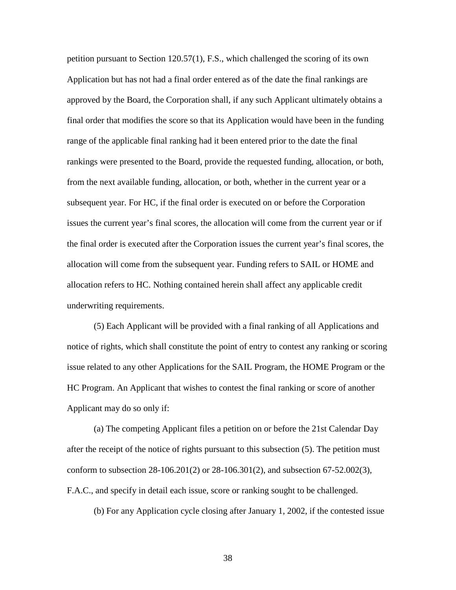petition pursuant to Section 120.57(1), F.S., which challenged the scoring of its own Application but has not had a final order entered as of the date the final rankings are approved by the Board, the Corporation shall, if any such Applicant ultimately obtains a final order that modifies the score so that its Application would have been in the funding range of the applicable final ranking had it been entered prior to the date the final rankings were presented to the Board, provide the requested funding, allocation, or both, from the next available funding, allocation, or both, whether in the current year or a subsequent year. For HC, if the final order is executed on or before the Corporation issues the current year's final scores, the allocation will come from the current year or if the final order is executed after the Corporation issues the current year's final scores, the allocation will come from the subsequent year. Funding refers to SAIL or HOME and allocation refers to HC. Nothing contained herein shall affect any applicable credit underwriting requirements.

(5) Each Applicant will be provided with a final ranking of all Applications and notice of rights, which shall constitute the point of entry to contest any ranking or scoring issue related to any other Applications for the SAIL Program, the HOME Program or the HC Program. An Applicant that wishes to contest the final ranking or score of another Applicant may do so only if:

(a) The competing Applicant files a petition on or before the 21st Calendar Day after the receipt of the notice of rights pursuant to this subsection (5). The petition must conform to subsection 28-106.201(2) or 28-106.301(2), and subsection 67-52.002(3), F.A.C., and specify in detail each issue, score or ranking sought to be challenged.

(b) For any Application cycle closing after January 1, 2002, if the contested issue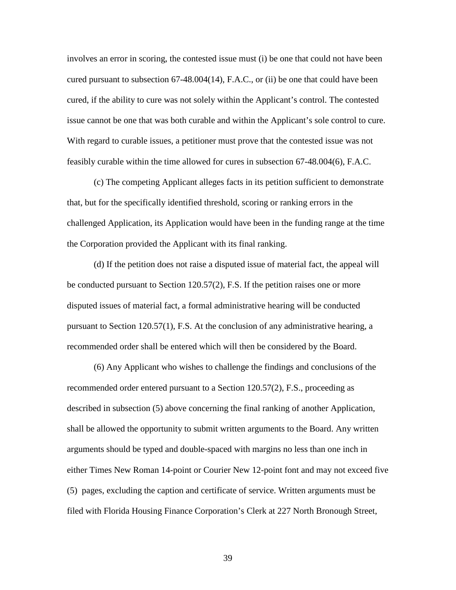involves an error in scoring, the contested issue must (i) be one that could not have been cured pursuant to subsection 67-48.004(14), F.A.C., or (ii) be one that could have been cured, if the ability to cure was not solely within the Applicant's control. The contested issue cannot be one that was both curable and within the Applicant's sole control to cure. With regard to curable issues, a petitioner must prove that the contested issue was not feasibly curable within the time allowed for cures in subsection 67-48.004(6), F.A.C.

(c) The competing Applicant alleges facts in its petition sufficient to demonstrate that, but for the specifically identified threshold, scoring or ranking errors in the challenged Application, its Application would have been in the funding range at the time the Corporation provided the Applicant with its final ranking.

(d) If the petition does not raise a disputed issue of material fact, the appeal will be conducted pursuant to Section 120.57(2), F.S. If the petition raises one or more disputed issues of material fact, a formal administrative hearing will be conducted pursuant to Section 120.57(1), F.S. At the conclusion of any administrative hearing, a recommended order shall be entered which will then be considered by the Board.

(6) Any Applicant who wishes to challenge the findings and conclusions of the recommended order entered pursuant to a Section 120.57(2), F.S., proceeding as described in subsection (5) above concerning the final ranking of another Application, shall be allowed the opportunity to submit written arguments to the Board. Any written arguments should be typed and double-spaced with margins no less than one inch in either Times New Roman 14-point or Courier New 12-point font and may not exceed five (5) pages, excluding the caption and certificate of service. Written arguments must be filed with Florida Housing Finance Corporation's Clerk at 227 North Bronough Street,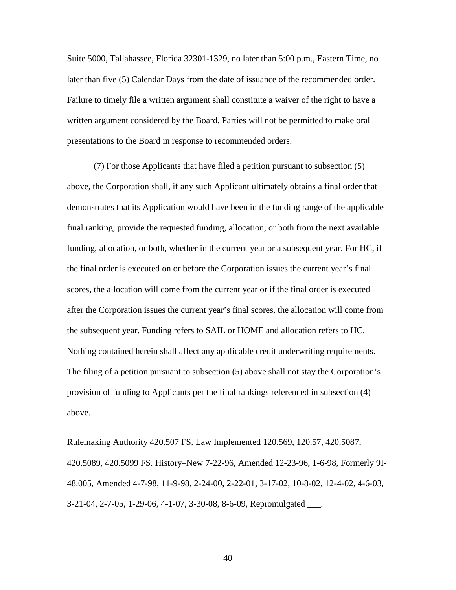Suite 5000, Tallahassee, Florida 32301-1329, no later than 5:00 p.m., Eastern Time, no later than five (5) Calendar Days from the date of issuance of the recommended order. Failure to timely file a written argument shall constitute a waiver of the right to have a written argument considered by the Board. Parties will not be permitted to make oral presentations to the Board in response to recommended orders.

(7) For those Applicants that have filed a petition pursuant to subsection (5) above, the Corporation shall, if any such Applicant ultimately obtains a final order that demonstrates that its Application would have been in the funding range of the applicable final ranking, provide the requested funding, allocation, or both from the next available funding, allocation, or both, whether in the current year or a subsequent year. For HC, if the final order is executed on or before the Corporation issues the current year's final scores, the allocation will come from the current year or if the final order is executed after the Corporation issues the current year's final scores, the allocation will come from the subsequent year. Funding refers to SAIL or HOME and allocation refers to HC. Nothing contained herein shall affect any applicable credit underwriting requirements. The filing of a petition pursuant to subsection (5) above shall not stay the Corporation's provision of funding to Applicants per the final rankings referenced in subsection (4) above.

Rulemaking Authority 420.507 FS. Law Implemented 120.569, 120.57, 420.5087, 420.5089, 420.5099 FS. History–New 7-22-96, Amended 12-23-96, 1-6-98, Formerly 9I-48.005, Amended 4-7-98, 11-9-98, 2-24-00, 2-22-01, 3-17-02, 10-8-02, 12-4-02, 4-6-03, 3-21-04, 2-7-05, 1-29-06, 4-1-07, 3-30-08, 8-6-09, Repromulgated \_\_\_.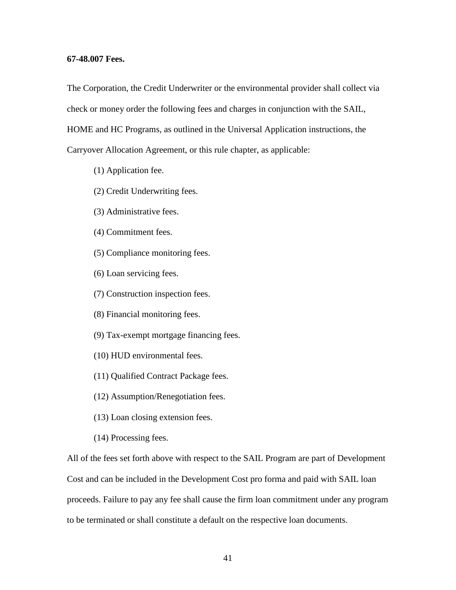## **67-48.007 Fees.**

The Corporation, the Credit Underwriter or the environmental provider shall collect via check or money order the following fees and charges in conjunction with the SAIL, HOME and HC Programs, as outlined in the Universal Application instructions, the Carryover Allocation Agreement, or this rule chapter, as applicable:

- (1) Application fee.
- (2) Credit Underwriting fees.
- (3) Administrative fees.
- (4) Commitment fees.
- (5) Compliance monitoring fees.
- (6) Loan servicing fees.
- (7) Construction inspection fees.
- (8) Financial monitoring fees.
- (9) Tax-exempt mortgage financing fees.
- (10) HUD environmental fees.
- (11) Qualified Contract Package fees.
- (12) Assumption/Renegotiation fees.
- (13) Loan closing extension fees.
- (14) Processing fees.

All of the fees set forth above with respect to the SAIL Program are part of Development Cost and can be included in the Development Cost pro forma and paid with SAIL loan proceeds. Failure to pay any fee shall cause the firm loan commitment under any program to be terminated or shall constitute a default on the respective loan documents.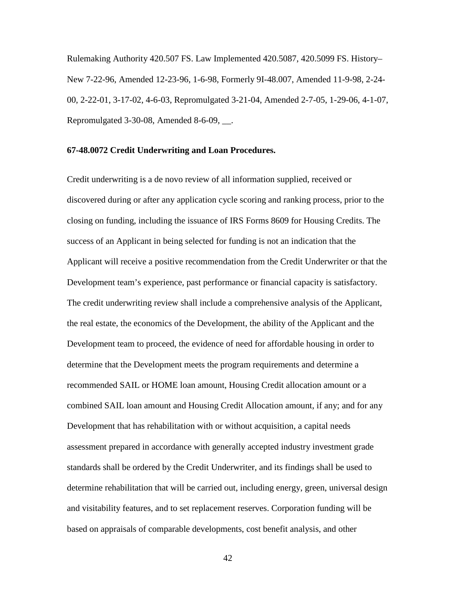Rulemaking Authority 420.507 FS. Law Implemented 420.5087, 420.5099 FS. History– New 7-22-96, Amended 12-23-96, 1-6-98, Formerly 9I-48.007, Amended 11-9-98, 2-24- 00, 2-22-01, 3-17-02, 4-6-03, Repromulgated 3-21-04, Amended 2-7-05, 1-29-06, 4-1-07, Repromulgated 3-30-08, Amended 8-6-09, \_\_.

## **67-48.0072 Credit Underwriting and Loan Procedures.**

Credit underwriting is a de novo review of all information supplied, received or discovered during or after any application cycle scoring and ranking process, prior to the closing on funding, including the issuance of IRS Forms 8609 for Housing Credits. The success of an Applicant in being selected for funding is not an indication that the Applicant will receive a positive recommendation from the Credit Underwriter or that the Development team's experience, past performance or financial capacity is satisfactory. The credit underwriting review shall include a comprehensive analysis of the Applicant, the real estate, the economics of the Development, the ability of the Applicant and the Development team to proceed, the evidence of need for affordable housing in order to determine that the Development meets the program requirements and determine a recommended SAIL or HOME loan amount, Housing Credit allocation amount or a combined SAIL loan amount and Housing Credit Allocation amount, if any; and for any Development that has rehabilitation with or without acquisition, a capital needs assessment prepared in accordance with generally accepted industry investment grade standards shall be ordered by the Credit Underwriter, and its findings shall be used to determine rehabilitation that will be carried out, including energy, green, universal design and visitability features, and to set replacement reserves. Corporation funding will be based on appraisals of comparable developments, cost benefit analysis, and other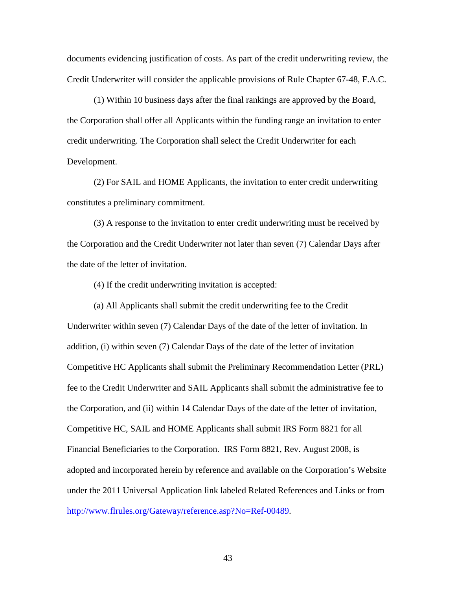documents evidencing justification of costs. As part of the credit underwriting review, the Credit Underwriter will consider the applicable provisions of Rule Chapter 67-48, F.A.C.

(1) Within 10 business days after the final rankings are approved by the Board, the Corporation shall offer all Applicants within the funding range an invitation to enter credit underwriting. The Corporation shall select the Credit Underwriter for each Development.

(2) For SAIL and HOME Applicants, the invitation to enter credit underwriting constitutes a preliminary commitment.

(3) A response to the invitation to enter credit underwriting must be received by the Corporation and the Credit Underwriter not later than seven (7) Calendar Days after the date of the letter of invitation.

(4) If the credit underwriting invitation is accepted:

(a) All Applicants shall submit the credit underwriting fee to the Credit Underwriter within seven (7) Calendar Days of the date of the letter of invitation. In addition, (i) within seven (7) Calendar Days of the date of the letter of invitation Competitive HC Applicants shall submit the Preliminary Recommendation Letter (PRL) fee to the Credit Underwriter and SAIL Applicants shall submit the administrative fee to the Corporation, and (ii) within 14 Calendar Days of the date of the letter of invitation, Competitive HC, SAIL and HOME Applicants shall submit IRS Form 8821 for all Financial Beneficiaries to the Corporation. IRS Form 8821, Rev. August 2008, is adopted and incorporated herein by reference and available on the Corporation's Website under the 2011 Universal Application link labeled Related References and Links or from [http://www.flrules.org/Gateway/reference.asp?No=Ref-00489.](https://www.flrules.org/Gateway/reference.asp?No=Ref-00489)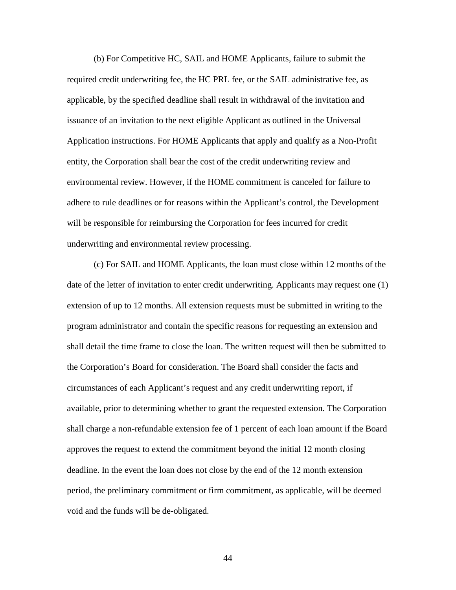(b) For Competitive HC, SAIL and HOME Applicants, failure to submit the required credit underwriting fee, the HC PRL fee, or the SAIL administrative fee, as applicable, by the specified deadline shall result in withdrawal of the invitation and issuance of an invitation to the next eligible Applicant as outlined in the Universal Application instructions. For HOME Applicants that apply and qualify as a Non-Profit entity, the Corporation shall bear the cost of the credit underwriting review and environmental review. However, if the HOME commitment is canceled for failure to adhere to rule deadlines or for reasons within the Applicant's control, the Development will be responsible for reimbursing the Corporation for fees incurred for credit underwriting and environmental review processing.

(c) For SAIL and HOME Applicants, the loan must close within 12 months of the date of the letter of invitation to enter credit underwriting. Applicants may request one (1) extension of up to 12 months. All extension requests must be submitted in writing to the program administrator and contain the specific reasons for requesting an extension and shall detail the time frame to close the loan. The written request will then be submitted to the Corporation's Board for consideration. The Board shall consider the facts and circumstances of each Applicant's request and any credit underwriting report, if available, prior to determining whether to grant the requested extension. The Corporation shall charge a non-refundable extension fee of 1 percent of each loan amount if the Board approves the request to extend the commitment beyond the initial 12 month closing deadline. In the event the loan does not close by the end of the 12 month extension period, the preliminary commitment or firm commitment, as applicable, will be deemed void and the funds will be de-obligated.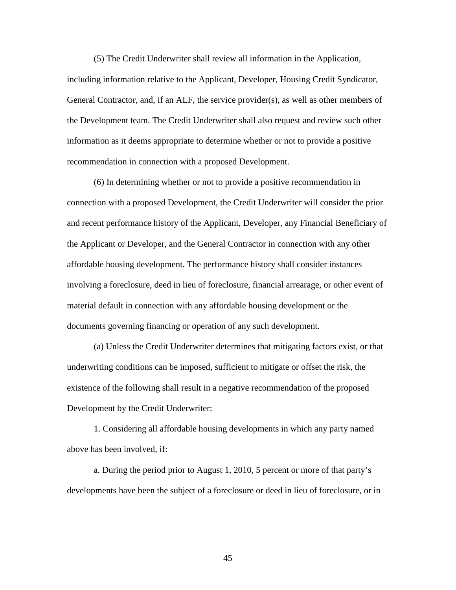(5) The Credit Underwriter shall review all information in the Application,

including information relative to the Applicant, Developer, Housing Credit Syndicator, General Contractor, and, if an ALF, the service provider(s), as well as other members of the Development team. The Credit Underwriter shall also request and review such other information as it deems appropriate to determine whether or not to provide a positive recommendation in connection with a proposed Development.

(6) In determining whether or not to provide a positive recommendation in connection with a proposed Development, the Credit Underwriter will consider the prior and recent performance history of the Applicant, Developer, any Financial Beneficiary of the Applicant or Developer, and the General Contractor in connection with any other affordable housing development. The performance history shall consider instances involving a foreclosure, deed in lieu of foreclosure, financial arrearage, or other event of material default in connection with any affordable housing development or the documents governing financing or operation of any such development.

(a) Unless the Credit Underwriter determines that mitigating factors exist, or that underwriting conditions can be imposed, sufficient to mitigate or offset the risk, the existence of the following shall result in a negative recommendation of the proposed Development by the Credit Underwriter:

1. Considering all affordable housing developments in which any party named above has been involved, if:

a. During the period prior to August 1, 2010, 5 percent or more of that party's developments have been the subject of a foreclosure or deed in lieu of foreclosure, or in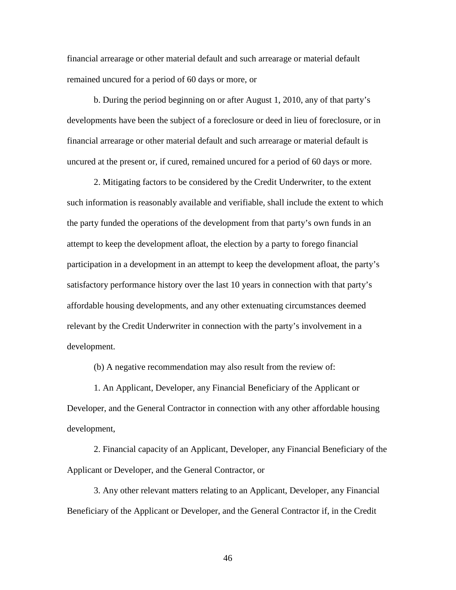financial arrearage or other material default and such arrearage or material default remained uncured for a period of 60 days or more, or

b. During the period beginning on or after August 1, 2010, any of that party's developments have been the subject of a foreclosure or deed in lieu of foreclosure, or in financial arrearage or other material default and such arrearage or material default is uncured at the present or, if cured, remained uncured for a period of 60 days or more.

2. Mitigating factors to be considered by the Credit Underwriter, to the extent such information is reasonably available and verifiable, shall include the extent to which the party funded the operations of the development from that party's own funds in an attempt to keep the development afloat, the election by a party to forego financial participation in a development in an attempt to keep the development afloat, the party's satisfactory performance history over the last 10 years in connection with that party's affordable housing developments, and any other extenuating circumstances deemed relevant by the Credit Underwriter in connection with the party's involvement in a development.

(b) A negative recommendation may also result from the review of:

1. An Applicant, Developer, any Financial Beneficiary of the Applicant or Developer, and the General Contractor in connection with any other affordable housing development,

2. Financial capacity of an Applicant, Developer, any Financial Beneficiary of the Applicant or Developer, and the General Contractor, or

3. Any other relevant matters relating to an Applicant, Developer, any Financial Beneficiary of the Applicant or Developer, and the General Contractor if, in the Credit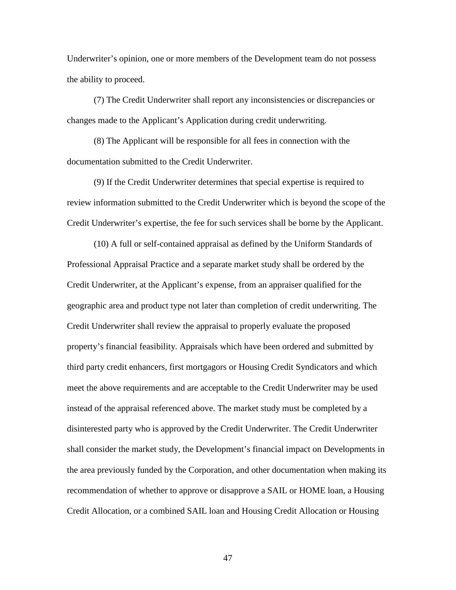Underwriter's opinion, one or more members of the Development team do not possess the ability to proceed.

(7) The Credit Underwriter shall report any inconsistencies or discrepancies or changes made to the Applicant's Application during credit underwriting.

(8) The Applicant will be responsible for all fees in connection with the documentation submitted to the Credit Underwriter.

(9) If the Credit Underwriter determines that special expertise is required to review information submitted to the Credit Underwriter which is beyond the scope of the Credit Underwriter's expertise, the fee for such services shall be borne by the Applicant.

(10) A full or self-contained appraisal as defined by the Uniform Standards of Professional Appraisal Practice and a separate market study shall be ordered by the Credit Underwriter, at the Applicant's expense, from an appraiser qualified for the geographic area and product type not later than completion of credit underwriting. The Credit Underwriter shall review the appraisal to properly evaluate the proposed property's financial feasibility. Appraisals which have been ordered and submitted by third party credit enhancers, first mortgagors or Housing Credit Syndicators and which meet the above requirements and are acceptable to the Credit Underwriter may be used instead of the appraisal referenced above. The market study must be completed by a disinterested party who is approved by the Credit Underwriter. The Credit Underwriter shall consider the market study, the Development's financial impact on Developments in the area previously funded by the Corporation, and other documentation when making its recommendation of whether to approve or disapprove a SAIL or HOME loan, a Housing Credit Allocation, or a combined SAIL loan and Housing Credit Allocation or Housing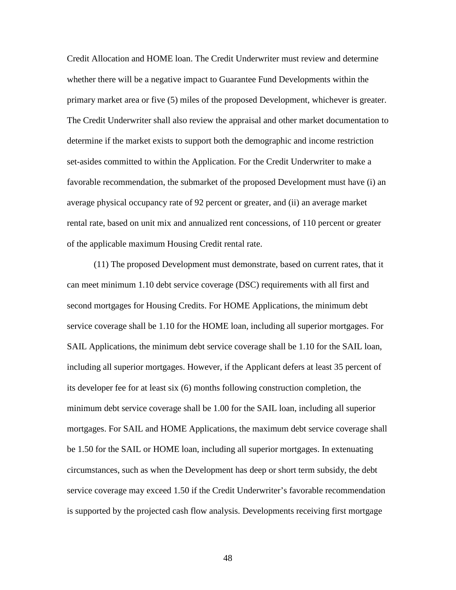Credit Allocation and HOME loan. The Credit Underwriter must review and determine whether there will be a negative impact to Guarantee Fund Developments within the primary market area or five (5) miles of the proposed Development, whichever is greater. The Credit Underwriter shall also review the appraisal and other market documentation to determine if the market exists to support both the demographic and income restriction set-asides committed to within the Application. For the Credit Underwriter to make a favorable recommendation, the submarket of the proposed Development must have (i) an average physical occupancy rate of 92 percent or greater, and (ii) an average market rental rate, based on unit mix and annualized rent concessions, of 110 percent or greater of the applicable maximum Housing Credit rental rate.

(11) The proposed Development must demonstrate, based on current rates, that it can meet minimum 1.10 debt service coverage (DSC) requirements with all first and second mortgages for Housing Credits. For HOME Applications, the minimum debt service coverage shall be 1.10 for the HOME loan, including all superior mortgages. For SAIL Applications, the minimum debt service coverage shall be 1.10 for the SAIL loan, including all superior mortgages. However, if the Applicant defers at least 35 percent of its developer fee for at least six (6) months following construction completion, the minimum debt service coverage shall be 1.00 for the SAIL loan, including all superior mortgages. For SAIL and HOME Applications, the maximum debt service coverage shall be 1.50 for the SAIL or HOME loan, including all superior mortgages. In extenuating circumstances, such as when the Development has deep or short term subsidy, the debt service coverage may exceed 1.50 if the Credit Underwriter's favorable recommendation is supported by the projected cash flow analysis. Developments receiving first mortgage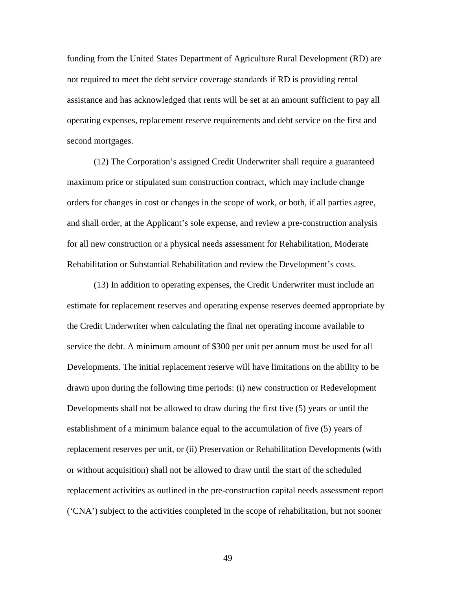funding from the United States Department of Agriculture Rural Development (RD) are not required to meet the debt service coverage standards if RD is providing rental assistance and has acknowledged that rents will be set at an amount sufficient to pay all operating expenses, replacement reserve requirements and debt service on the first and second mortgages.

(12) The Corporation's assigned Credit Underwriter shall require a guaranteed maximum price or stipulated sum construction contract, which may include change orders for changes in cost or changes in the scope of work, or both, if all parties agree, and shall order, at the Applicant's sole expense, and review a pre-construction analysis for all new construction or a physical needs assessment for Rehabilitation, Moderate Rehabilitation or Substantial Rehabilitation and review the Development's costs.

(13) In addition to operating expenses, the Credit Underwriter must include an estimate for replacement reserves and operating expense reserves deemed appropriate by the Credit Underwriter when calculating the final net operating income available to service the debt. A minimum amount of \$300 per unit per annum must be used for all Developments. The initial replacement reserve will have limitations on the ability to be drawn upon during the following time periods: (i) new construction or Redevelopment Developments shall not be allowed to draw during the first five (5) years or until the establishment of a minimum balance equal to the accumulation of five (5) years of replacement reserves per unit, or (ii) Preservation or Rehabilitation Developments (with or without acquisition) shall not be allowed to draw until the start of the scheduled replacement activities as outlined in the pre-construction capital needs assessment report ('CNA') subject to the activities completed in the scope of rehabilitation, but not sooner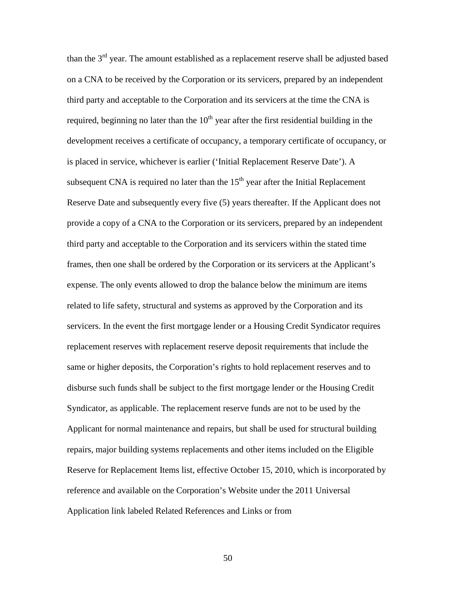than the  $3<sup>rd</sup>$  year. The amount established as a replacement reserve shall be adjusted based on a CNA to be received by the Corporation or its servicers, prepared by an independent third party and acceptable to the Corporation and its servicers at the time the CNA is required, beginning no later than the  $10<sup>th</sup>$  year after the first residential building in the development receives a certificate of occupancy, a temporary certificate of occupancy, or is placed in service, whichever is earlier ('Initial Replacement Reserve Date'). A subsequent CNA is required no later than the  $15<sup>th</sup>$  year after the Initial Replacement Reserve Date and subsequently every five (5) years thereafter. If the Applicant does not provide a copy of a CNA to the Corporation or its servicers, prepared by an independent third party and acceptable to the Corporation and its servicers within the stated time frames, then one shall be ordered by the Corporation or its servicers at the Applicant's expense. The only events allowed to drop the balance below the minimum are items related to life safety, structural and systems as approved by the Corporation and its servicers. In the event the first mortgage lender or a Housing Credit Syndicator requires replacement reserves with replacement reserve deposit requirements that include the same or higher deposits, the Corporation's rights to hold replacement reserves and to disburse such funds shall be subject to the first mortgage lender or the Housing Credit Syndicator, as applicable. The replacement reserve funds are not to be used by the Applicant for normal maintenance and repairs, but shall be used for structural building repairs, major building systems replacements and other items included on the Eligible Reserve for Replacement Items list, effective October 15, 2010, which is incorporated by reference and available on the Corporation's Website under the 2011 Universal Application link labeled Related References and Links or from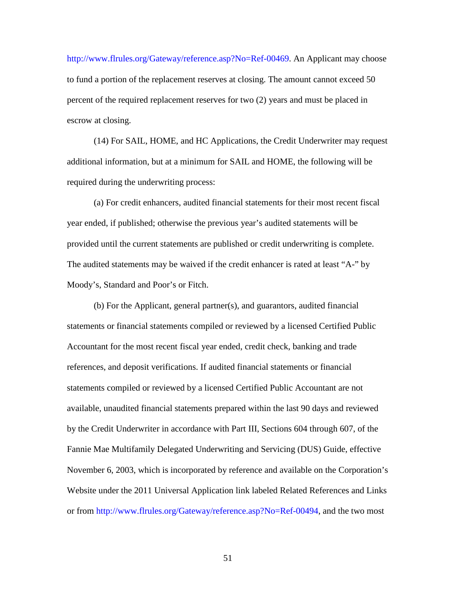[http://www.flrules.org/Gateway/reference.asp?No=Ref-00469.](https://www.flrules.org/Gateway/reference.asp?No=Ref-00469) An Applicant may choose to fund a portion of the replacement reserves at closing. The amount cannot exceed 50 percent of the required replacement reserves for two (2) years and must be placed in escrow at closing.

(14) For SAIL, HOME, and HC Applications, the Credit Underwriter may request additional information, but at a minimum for SAIL and HOME, the following will be required during the underwriting process:

(a) For credit enhancers, audited financial statements for their most recent fiscal year ended, if published; otherwise the previous year's audited statements will be provided until the current statements are published or credit underwriting is complete. The audited statements may be waived if the credit enhancer is rated at least "A-" by Moody's, Standard and Poor's or Fitch.

(b) For the Applicant, general partner(s), and guarantors, audited financial statements or financial statements compiled or reviewed by a licensed Certified Public Accountant for the most recent fiscal year ended, credit check, banking and trade references, and deposit verifications. If audited financial statements or financial statements compiled or reviewed by a licensed Certified Public Accountant are not available, unaudited financial statements prepared within the last 90 days and reviewed by the Credit Underwriter in accordance with Part III, Sections 604 through 607, of the Fannie Mae Multifamily Delegated Underwriting and Servicing (DUS) Guide, effective November 6, 2003, which is incorporated by reference and available on the Corporation's Website under the 2011 Universal Application link labeled Related References and Links or from [http://www.flrules.org/Gateway/reference.asp?No=Ref-00494,](https://www.flrules.org/Gateway/reference.asp?No=Ref-00494) and the two most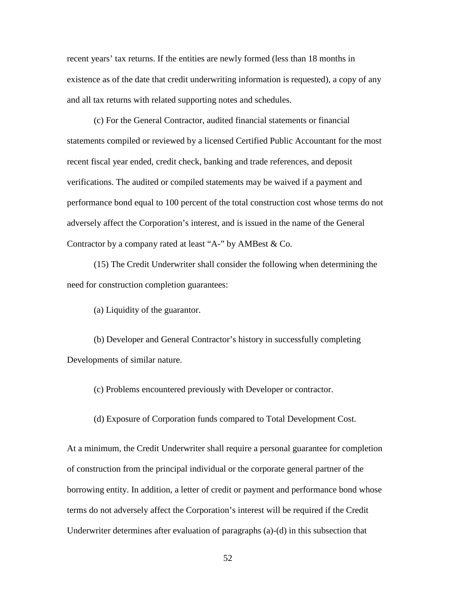recent years' tax returns. If the entities are newly formed (less than 18 months in existence as of the date that credit underwriting information is requested), a copy of any and all tax returns with related supporting notes and schedules.

(c) For the General Contractor, audited financial statements or financial statements compiled or reviewed by a licensed Certified Public Accountant for the most recent fiscal year ended, credit check, banking and trade references, and deposit verifications. The audited or compiled statements may be waived if a payment and performance bond equal to 100 percent of the total construction cost whose terms do not adversely affect the Corporation's interest, and is issued in the name of the General Contractor by a company rated at least "A-" by AMBest  $& Co.$ 

(15) The Credit Underwriter shall consider the following when determining the need for construction completion guarantees:

(a) Liquidity of the guarantor.

(b) Developer and General Contractor's history in successfully completing Developments of similar nature.

(c) Problems encountered previously with Developer or contractor.

(d) Exposure of Corporation funds compared to Total Development Cost.

At a minimum, the Credit Underwriter shall require a personal guarantee for completion of construction from the principal individual or the corporate general partner of the borrowing entity. In addition, a letter of credit or payment and performance bond whose terms do not adversely affect the Corporation's interest will be required if the Credit Underwriter determines after evaluation of paragraphs (a)-(d) in this subsection that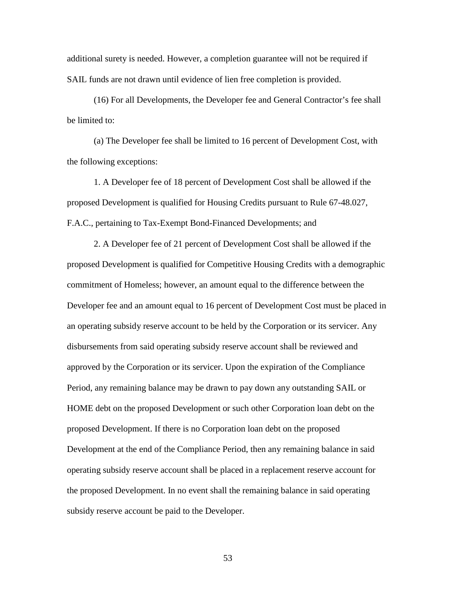additional surety is needed. However, a completion guarantee will not be required if SAIL funds are not drawn until evidence of lien free completion is provided.

(16) For all Developments, the Developer fee and General Contractor's fee shall be limited to:

(a) The Developer fee shall be limited to 16 percent of Development Cost, with the following exceptions:

1. A Developer fee of 18 percent of Development Cost shall be allowed if the proposed Development is qualified for Housing Credits pursuant to Rule 67-48.027, F.A.C., pertaining to Tax-Exempt Bond-Financed Developments; and

2. A Developer fee of 21 percent of Development Cost shall be allowed if the proposed Development is qualified for Competitive Housing Credits with a demographic commitment of Homeless; however, an amount equal to the difference between the Developer fee and an amount equal to 16 percent of Development Cost must be placed in an operating subsidy reserve account to be held by the Corporation or its servicer. Any disbursements from said operating subsidy reserve account shall be reviewed and approved by the Corporation or its servicer. Upon the expiration of the Compliance Period, any remaining balance may be drawn to pay down any outstanding SAIL or HOME debt on the proposed Development or such other Corporation loan debt on the proposed Development. If there is no Corporation loan debt on the proposed Development at the end of the Compliance Period, then any remaining balance in said operating subsidy reserve account shall be placed in a replacement reserve account for the proposed Development. In no event shall the remaining balance in said operating subsidy reserve account be paid to the Developer.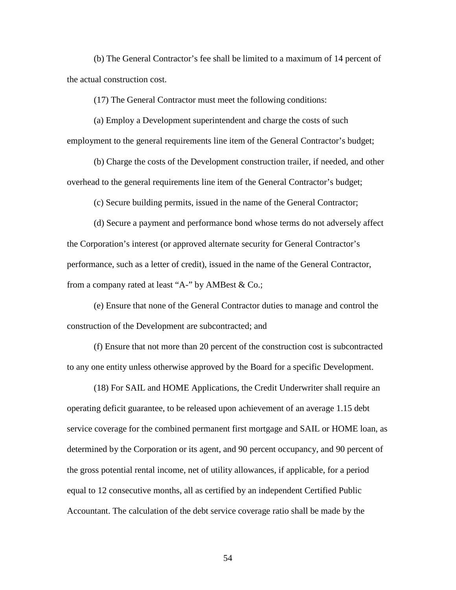(b) The General Contractor's fee shall be limited to a maximum of 14 percent of the actual construction cost.

(17) The General Contractor must meet the following conditions:

(a) Employ a Development superintendent and charge the costs of such employment to the general requirements line item of the General Contractor's budget;

(b) Charge the costs of the Development construction trailer, if needed, and other overhead to the general requirements line item of the General Contractor's budget;

(c) Secure building permits, issued in the name of the General Contractor;

(d) Secure a payment and performance bond whose terms do not adversely affect the Corporation's interest (or approved alternate security for General Contractor's performance, such as a letter of credit), issued in the name of the General Contractor, from a company rated at least "A-" by AMBest & Co.;

(e) Ensure that none of the General Contractor duties to manage and control the construction of the Development are subcontracted; and

(f) Ensure that not more than 20 percent of the construction cost is subcontracted to any one entity unless otherwise approved by the Board for a specific Development.

(18) For SAIL and HOME Applications, the Credit Underwriter shall require an operating deficit guarantee, to be released upon achievement of an average 1.15 debt service coverage for the combined permanent first mortgage and SAIL or HOME loan, as determined by the Corporation or its agent, and 90 percent occupancy, and 90 percent of the gross potential rental income, net of utility allowances, if applicable, for a period equal to 12 consecutive months, all as certified by an independent Certified Public Accountant. The calculation of the debt service coverage ratio shall be made by the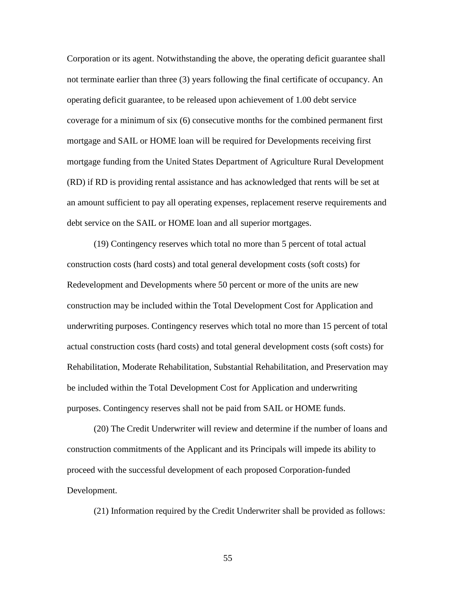Corporation or its agent. Notwithstanding the above, the operating deficit guarantee shall not terminate earlier than three (3) years following the final certificate of occupancy. An operating deficit guarantee, to be released upon achievement of 1.00 debt service coverage for a minimum of six (6) consecutive months for the combined permanent first mortgage and SAIL or HOME loan will be required for Developments receiving first mortgage funding from the United States Department of Agriculture Rural Development (RD) if RD is providing rental assistance and has acknowledged that rents will be set at an amount sufficient to pay all operating expenses, replacement reserve requirements and debt service on the SAIL or HOME loan and all superior mortgages.

(19) Contingency reserves which total no more than 5 percent of total actual construction costs (hard costs) and total general development costs (soft costs) for Redevelopment and Developments where 50 percent or more of the units are new construction may be included within the Total Development Cost for Application and underwriting purposes. Contingency reserves which total no more than 15 percent of total actual construction costs (hard costs) and total general development costs (soft costs) for Rehabilitation, Moderate Rehabilitation, Substantial Rehabilitation, and Preservation may be included within the Total Development Cost for Application and underwriting purposes. Contingency reserves shall not be paid from SAIL or HOME funds.

(20) The Credit Underwriter will review and determine if the number of loans and construction commitments of the Applicant and its Principals will impede its ability to proceed with the successful development of each proposed Corporation-funded Development.

(21) Information required by the Credit Underwriter shall be provided as follows: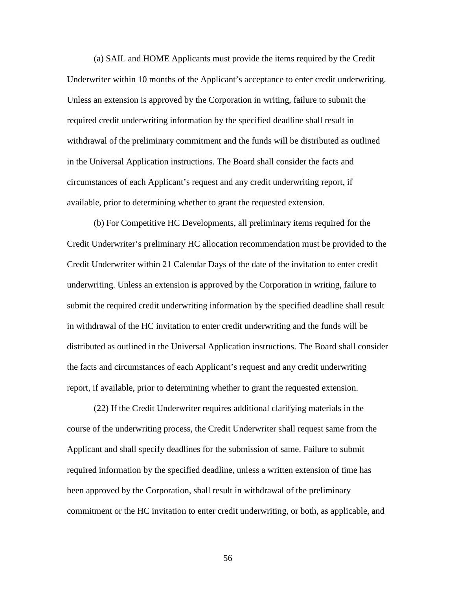(a) SAIL and HOME Applicants must provide the items required by the Credit Underwriter within 10 months of the Applicant's acceptance to enter credit underwriting. Unless an extension is approved by the Corporation in writing, failure to submit the required credit underwriting information by the specified deadline shall result in withdrawal of the preliminary commitment and the funds will be distributed as outlined in the Universal Application instructions. The Board shall consider the facts and circumstances of each Applicant's request and any credit underwriting report, if available, prior to determining whether to grant the requested extension.

(b) For Competitive HC Developments, all preliminary items required for the Credit Underwriter's preliminary HC allocation recommendation must be provided to the Credit Underwriter within 21 Calendar Days of the date of the invitation to enter credit underwriting. Unless an extension is approved by the Corporation in writing, failure to submit the required credit underwriting information by the specified deadline shall result in withdrawal of the HC invitation to enter credit underwriting and the funds will be distributed as outlined in the Universal Application instructions. The Board shall consider the facts and circumstances of each Applicant's request and any credit underwriting report, if available, prior to determining whether to grant the requested extension.

(22) If the Credit Underwriter requires additional clarifying materials in the course of the underwriting process, the Credit Underwriter shall request same from the Applicant and shall specify deadlines for the submission of same. Failure to submit required information by the specified deadline, unless a written extension of time has been approved by the Corporation, shall result in withdrawal of the preliminary commitment or the HC invitation to enter credit underwriting, or both, as applicable, and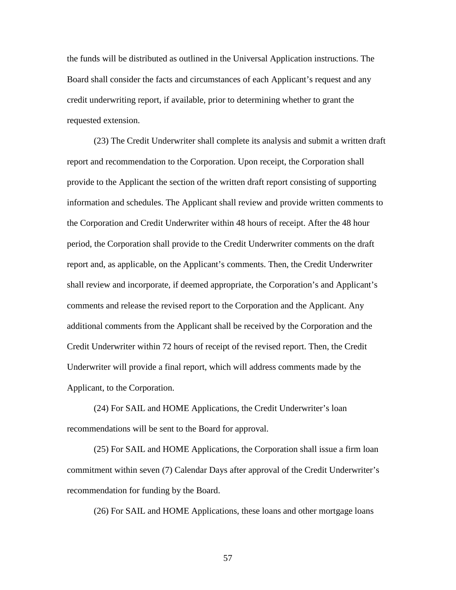the funds will be distributed as outlined in the Universal Application instructions. The Board shall consider the facts and circumstances of each Applicant's request and any credit underwriting report, if available, prior to determining whether to grant the requested extension.

(23) The Credit Underwriter shall complete its analysis and submit a written draft report and recommendation to the Corporation. Upon receipt, the Corporation shall provide to the Applicant the section of the written draft report consisting of supporting information and schedules. The Applicant shall review and provide written comments to the Corporation and Credit Underwriter within 48 hours of receipt. After the 48 hour period, the Corporation shall provide to the Credit Underwriter comments on the draft report and, as applicable, on the Applicant's comments. Then, the Credit Underwriter shall review and incorporate, if deemed appropriate, the Corporation's and Applicant's comments and release the revised report to the Corporation and the Applicant. Any additional comments from the Applicant shall be received by the Corporation and the Credit Underwriter within 72 hours of receipt of the revised report. Then, the Credit Underwriter will provide a final report, which will address comments made by the Applicant, to the Corporation.

(24) For SAIL and HOME Applications, the Credit Underwriter's loan recommendations will be sent to the Board for approval.

(25) For SAIL and HOME Applications, the Corporation shall issue a firm loan commitment within seven (7) Calendar Days after approval of the Credit Underwriter's recommendation for funding by the Board.

(26) For SAIL and HOME Applications, these loans and other mortgage loans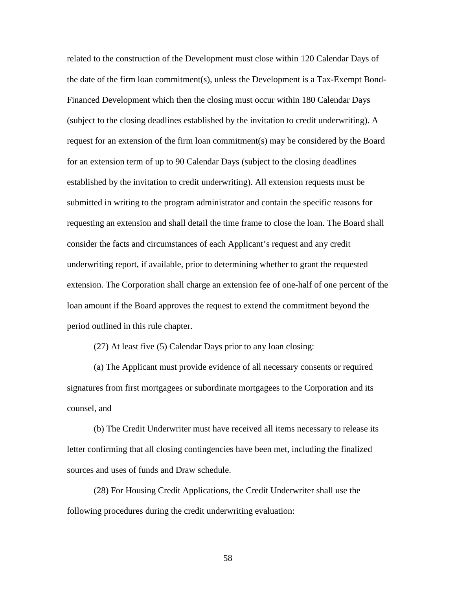related to the construction of the Development must close within 120 Calendar Days of the date of the firm loan commitment(s), unless the Development is a Tax-Exempt Bond-Financed Development which then the closing must occur within 180 Calendar Days (subject to the closing deadlines established by the invitation to credit underwriting). A request for an extension of the firm loan commitment(s) may be considered by the Board for an extension term of up to 90 Calendar Days (subject to the closing deadlines established by the invitation to credit underwriting). All extension requests must be submitted in writing to the program administrator and contain the specific reasons for requesting an extension and shall detail the time frame to close the loan. The Board shall consider the facts and circumstances of each Applicant's request and any credit underwriting report, if available, prior to determining whether to grant the requested extension. The Corporation shall charge an extension fee of one-half of one percent of the loan amount if the Board approves the request to extend the commitment beyond the period outlined in this rule chapter.

(27) At least five (5) Calendar Days prior to any loan closing:

(a) The Applicant must provide evidence of all necessary consents or required signatures from first mortgagees or subordinate mortgagees to the Corporation and its counsel, and

(b) The Credit Underwriter must have received all items necessary to release its letter confirming that all closing contingencies have been met, including the finalized sources and uses of funds and Draw schedule.

(28) For Housing Credit Applications, the Credit Underwriter shall use the following procedures during the credit underwriting evaluation: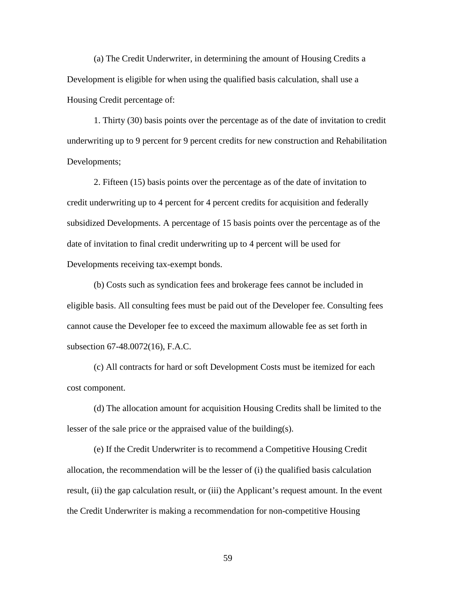(a) The Credit Underwriter, in determining the amount of Housing Credits a Development is eligible for when using the qualified basis calculation, shall use a Housing Credit percentage of:

1. Thirty (30) basis points over the percentage as of the date of invitation to credit underwriting up to 9 percent for 9 percent credits for new construction and Rehabilitation Developments;

2. Fifteen (15) basis points over the percentage as of the date of invitation to credit underwriting up to 4 percent for 4 percent credits for acquisition and federally subsidized Developments. A percentage of 15 basis points over the percentage as of the date of invitation to final credit underwriting up to 4 percent will be used for Developments receiving tax-exempt bonds.

(b) Costs such as syndication fees and brokerage fees cannot be included in eligible basis. All consulting fees must be paid out of the Developer fee. Consulting fees cannot cause the Developer fee to exceed the maximum allowable fee as set forth in subsection 67-48.0072(16), F.A.C.

(c) All contracts for hard or soft Development Costs must be itemized for each cost component.

(d) The allocation amount for acquisition Housing Credits shall be limited to the lesser of the sale price or the appraised value of the building(s).

(e) If the Credit Underwriter is to recommend a Competitive Housing Credit allocation, the recommendation will be the lesser of (i) the qualified basis calculation result, (ii) the gap calculation result, or (iii) the Applicant's request amount. In the event the Credit Underwriter is making a recommendation for non-competitive Housing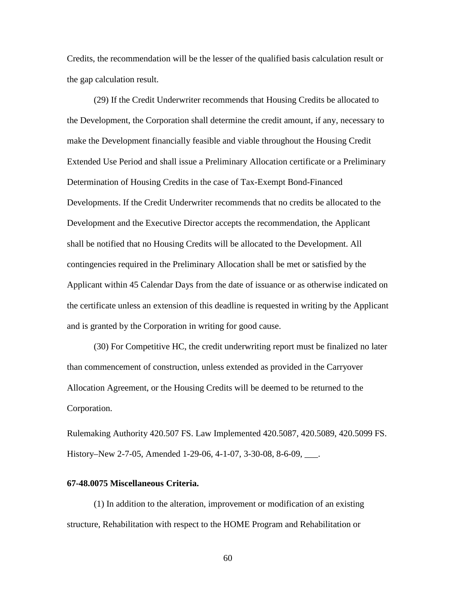Credits, the recommendation will be the lesser of the qualified basis calculation result or the gap calculation result.

(29) If the Credit Underwriter recommends that Housing Credits be allocated to the Development, the Corporation shall determine the credit amount, if any, necessary to make the Development financially feasible and viable throughout the Housing Credit Extended Use Period and shall issue a Preliminary Allocation certificate or a Preliminary Determination of Housing Credits in the case of Tax-Exempt Bond-Financed Developments. If the Credit Underwriter recommends that no credits be allocated to the Development and the Executive Director accepts the recommendation, the Applicant shall be notified that no Housing Credits will be allocated to the Development. All contingencies required in the Preliminary Allocation shall be met or satisfied by the Applicant within 45 Calendar Days from the date of issuance or as otherwise indicated on the certificate unless an extension of this deadline is requested in writing by the Applicant and is granted by the Corporation in writing for good cause.

(30) For Competitive HC, the credit underwriting report must be finalized no later than commencement of construction, unless extended as provided in the Carryover Allocation Agreement, or the Housing Credits will be deemed to be returned to the Corporation.

Rulemaking Authority 420.507 FS. Law Implemented 420.5087, 420.5089, 420.5099 FS. History–New 2-7-05, Amended 1-29-06, 4-1-07, 3-30-08, 8-6-09, \_\_\_.

## **67-48.0075 Miscellaneous Criteria.**

(1) In addition to the alteration, improvement or modification of an existing structure, Rehabilitation with respect to the HOME Program and Rehabilitation or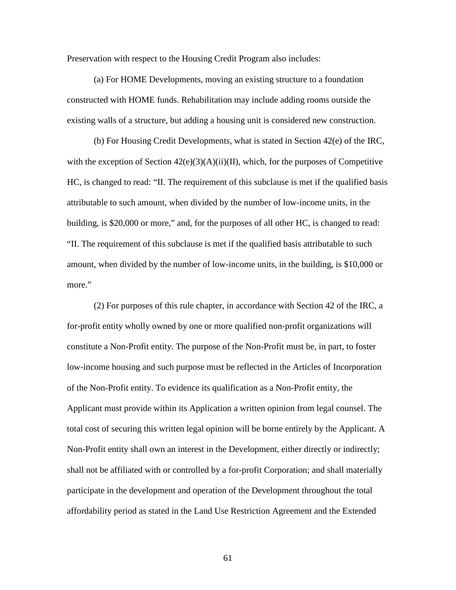Preservation with respect to the Housing Credit Program also includes:

(a) For HOME Developments, moving an existing structure to a foundation constructed with HOME funds. Rehabilitation may include adding rooms outside the existing walls of a structure, but adding a housing unit is considered new construction.

(b) For Housing Credit Developments, what is stated in Section 42(e) of the IRC, with the exception of Section  $42(e)(3)(A)(ii)(II)$ , which, for the purposes of Competitive HC, is changed to read: "II. The requirement of this subclause is met if the qualified basis attributable to such amount, when divided by the number of low-income units, in the building, is \$20,000 or more," and, for the purposes of all other HC, is changed to read: "II. The requirement of this subclause is met if the qualified basis attributable to such amount, when divided by the number of low-income units, in the building, is \$10,000 or more."

(2) For purposes of this rule chapter, in accordance with Section 42 of the IRC, a for-profit entity wholly owned by one or more qualified non-profit organizations will constitute a Non-Profit entity. The purpose of the Non-Profit must be, in part, to foster low-income housing and such purpose must be reflected in the Articles of Incorporation of the Non-Profit entity. To evidence its qualification as a Non-Profit entity, the Applicant must provide within its Application a written opinion from legal counsel. The total cost of securing this written legal opinion will be borne entirely by the Applicant. A Non-Profit entity shall own an interest in the Development, either directly or indirectly; shall not be affiliated with or controlled by a for-profit Corporation; and shall materially participate in the development and operation of the Development throughout the total affordability period as stated in the Land Use Restriction Agreement and the Extended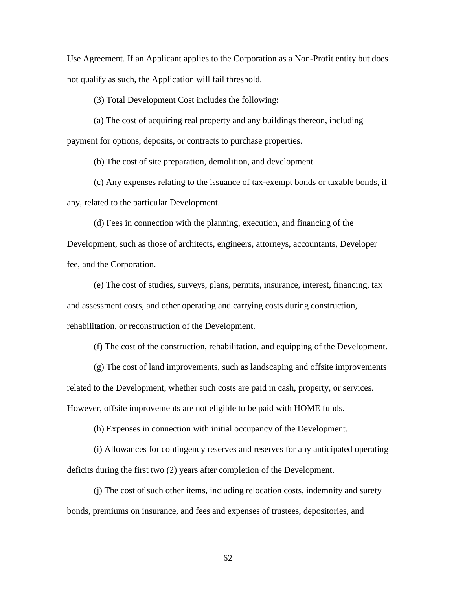Use Agreement. If an Applicant applies to the Corporation as a Non-Profit entity but does not qualify as such, the Application will fail threshold.

(3) Total Development Cost includes the following:

(a) The cost of acquiring real property and any buildings thereon, including payment for options, deposits, or contracts to purchase properties.

(b) The cost of site preparation, demolition, and development.

(c) Any expenses relating to the issuance of tax-exempt bonds or taxable bonds, if any, related to the particular Development.

(d) Fees in connection with the planning, execution, and financing of the Development, such as those of architects, engineers, attorneys, accountants, Developer fee, and the Corporation.

(e) The cost of studies, surveys, plans, permits, insurance, interest, financing, tax and assessment costs, and other operating and carrying costs during construction, rehabilitation, or reconstruction of the Development.

(f) The cost of the construction, rehabilitation, and equipping of the Development.

(g) The cost of land improvements, such as landscaping and offsite improvements related to the Development, whether such costs are paid in cash, property, or services. However, offsite improvements are not eligible to be paid with HOME funds.

(h) Expenses in connection with initial occupancy of the Development.

(i) Allowances for contingency reserves and reserves for any anticipated operating deficits during the first two (2) years after completion of the Development.

(j) The cost of such other items, including relocation costs, indemnity and surety bonds, premiums on insurance, and fees and expenses of trustees, depositories, and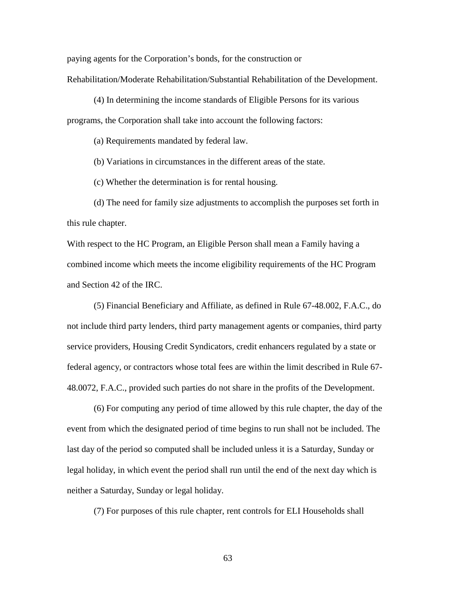paying agents for the Corporation's bonds, for the construction or Rehabilitation/Moderate Rehabilitation/Substantial Rehabilitation of the Development.

(4) In determining the income standards of Eligible Persons for its various programs, the Corporation shall take into account the following factors:

(a) Requirements mandated by federal law.

(b) Variations in circumstances in the different areas of the state.

(c) Whether the determination is for rental housing.

(d) The need for family size adjustments to accomplish the purposes set forth in this rule chapter.

With respect to the HC Program, an Eligible Person shall mean a Family having a combined income which meets the income eligibility requirements of the HC Program and Section 42 of the IRC.

(5) Financial Beneficiary and Affiliate, as defined in Rule 67-48.002, F.A.C., do not include third party lenders, third party management agents or companies, third party service providers, Housing Credit Syndicators, credit enhancers regulated by a state or federal agency, or contractors whose total fees are within the limit described in Rule 67- 48.0072, F.A.C., provided such parties do not share in the profits of the Development.

(6) For computing any period of time allowed by this rule chapter, the day of the event from which the designated period of time begins to run shall not be included. The last day of the period so computed shall be included unless it is a Saturday, Sunday or legal holiday, in which event the period shall run until the end of the next day which is neither a Saturday, Sunday or legal holiday.

(7) For purposes of this rule chapter, rent controls for ELI Households shall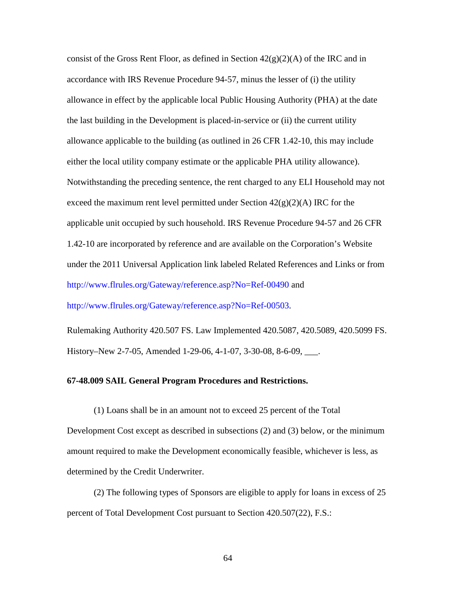consist of the Gross Rent Floor, as defined in Section  $42(g)(2)(A)$  of the IRC and in accordance with IRS Revenue Procedure 94-57, minus the lesser of (i) the utility allowance in effect by the applicable local Public Housing Authority (PHA) at the date the last building in the Development is placed-in-service or (ii) the current utility allowance applicable to the building (as outlined in 26 CFR 1.42-10, this may include either the local utility company estimate or the applicable PHA utility allowance). Notwithstanding the preceding sentence, the rent charged to any ELI Household may not exceed the maximum rent level permitted under Section  $42(g)(2)(A)$  IRC for the applicable unit occupied by such household. IRS Revenue Procedure 94-57 and 26 CFR 1.42-10 are incorporated by reference and are available on the Corporation's Website under the 2011 Universal Application link labeled Related References and Links or from [http://www.flrules.org/Gateway/reference.asp?No=Ref-00490](https://www.flrules.org/Gateway/reference.asp?No=Ref-00490) and [http://www.flrules.org/Gateway/reference.asp?No=Ref-00503.](https://www.flrules.org/Gateway/reference.asp?No=Ref-00503)

Rulemaking Authority 420.507 FS. Law Implemented 420.5087, 420.5089, 420.5099 FS. History–New 2-7-05, Amended 1-29-06, 4-1-07, 3-30-08, 8-6-09, \_\_\_.

# **67-48.009 SAIL General Program Procedures and Restrictions.**

(1) Loans shall be in an amount not to exceed 25 percent of the Total Development Cost except as described in subsections (2) and (3) below, or the minimum amount required to make the Development economically feasible, whichever is less, as determined by the Credit Underwriter.

(2) The following types of Sponsors are eligible to apply for loans in excess of 25 percent of Total Development Cost pursuant to Section 420.507(22), F.S.: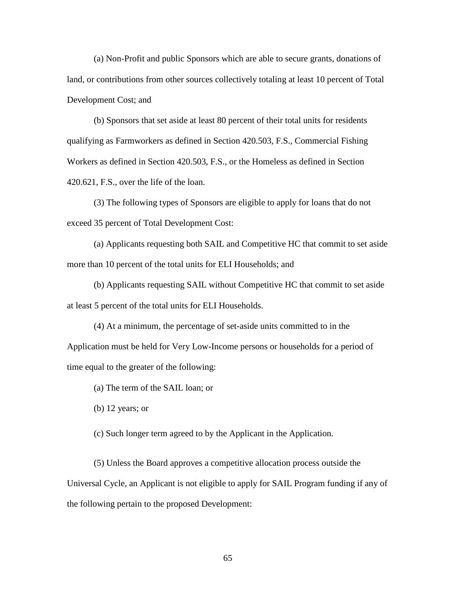(a) Non-Profit and public Sponsors which are able to secure grants, donations of land, or contributions from other sources collectively totaling at least 10 percent of Total Development Cost; and

(b) Sponsors that set aside at least 80 percent of their total units for residents qualifying as Farmworkers as defined in Section 420.503, F.S., Commercial Fishing Workers as defined in Section 420.503, F.S., or the Homeless as defined in Section 420.621, F.S., over the life of the loan.

(3) The following types of Sponsors are eligible to apply for loans that do not exceed 35 percent of Total Development Cost:

(a) Applicants requesting both SAIL and Competitive HC that commit to set aside more than 10 percent of the total units for ELI Households; and

(b) Applicants requesting SAIL without Competitive HC that commit to set aside at least 5 percent of the total units for ELI Households.

(4) At a minimum, the percentage of set-aside units committed to in the Application must be held for Very Low-Income persons or households for a period of time equal to the greater of the following:

(a) The term of the SAIL loan; or

(b) 12 years; or

(c) Such longer term agreed to by the Applicant in the Application.

(5) Unless the Board approves a competitive allocation process outside the Universal Cycle, an Applicant is not eligible to apply for SAIL Program funding if any of the following pertain to the proposed Development: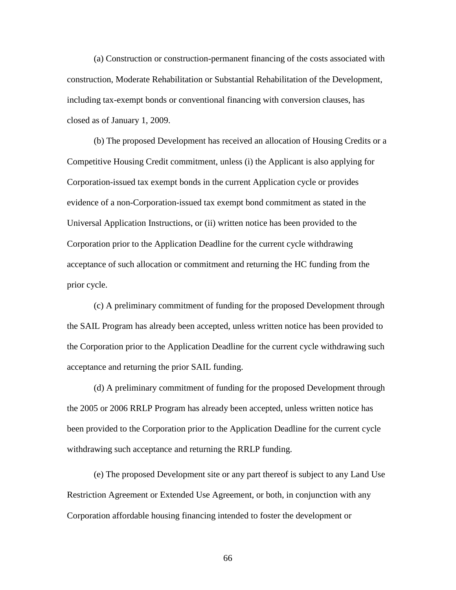(a) Construction or construction-permanent financing of the costs associated with construction, Moderate Rehabilitation or Substantial Rehabilitation of the Development, including tax-exempt bonds or conventional financing with conversion clauses, has closed as of January 1, 2009.

(b) The proposed Development has received an allocation of Housing Credits or a Competitive Housing Credit commitment, unless (i) the Applicant is also applying for Corporation-issued tax exempt bonds in the current Application cycle or provides evidence of a non-Corporation-issued tax exempt bond commitment as stated in the Universal Application Instructions, or (ii) written notice has been provided to the Corporation prior to the Application Deadline for the current cycle withdrawing acceptance of such allocation or commitment and returning the HC funding from the prior cycle.

(c) A preliminary commitment of funding for the proposed Development through the SAIL Program has already been accepted, unless written notice has been provided to the Corporation prior to the Application Deadline for the current cycle withdrawing such acceptance and returning the prior SAIL funding.

(d) A preliminary commitment of funding for the proposed Development through the 2005 or 2006 RRLP Program has already been accepted, unless written notice has been provided to the Corporation prior to the Application Deadline for the current cycle withdrawing such acceptance and returning the RRLP funding.

(e) The proposed Development site or any part thereof is subject to any Land Use Restriction Agreement or Extended Use Agreement, or both, in conjunction with any Corporation affordable housing financing intended to foster the development or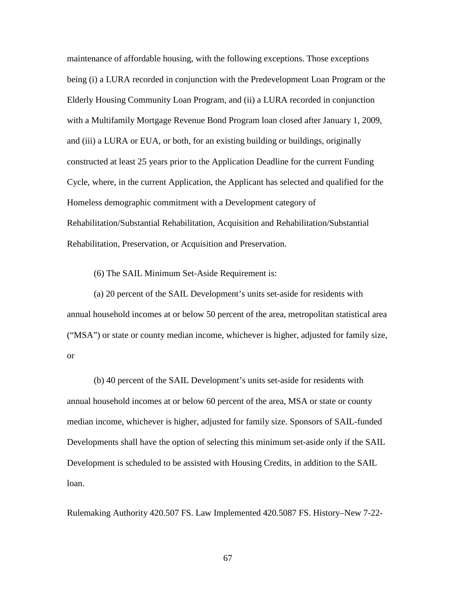maintenance of affordable housing, with the following exceptions. Those exceptions being (i) a LURA recorded in conjunction with the Predevelopment Loan Program or the Elderly Housing Community Loan Program, and (ii) a LURA recorded in conjunction with a Multifamily Mortgage Revenue Bond Program loan closed after January 1, 2009, and (iii) a LURA or EUA, or both, for an existing building or buildings, originally constructed at least 25 years prior to the Application Deadline for the current Funding Cycle, where, in the current Application, the Applicant has selected and qualified for the Homeless demographic commitment with a Development category of Rehabilitation/Substantial Rehabilitation, Acquisition and Rehabilitation/Substantial Rehabilitation, Preservation, or Acquisition and Preservation.

(6) The SAIL Minimum Set-Aside Requirement is:

(a) 20 percent of the SAIL Development's units set-aside for residents with annual household incomes at or below 50 percent of the area, metropolitan statistical area ("MSA") or state or county median income, whichever is higher, adjusted for family size, or

(b) 40 percent of the SAIL Development's units set-aside for residents with annual household incomes at or below 60 percent of the area, MSA or state or county median income, whichever is higher, adjusted for family size. Sponsors of SAIL-funded Developments shall have the option of selecting this minimum set-aside only if the SAIL Development is scheduled to be assisted with Housing Credits, in addition to the SAIL loan.

Rulemaking Authority 420.507 FS. Law Implemented 420.5087 FS. History–New 7-22-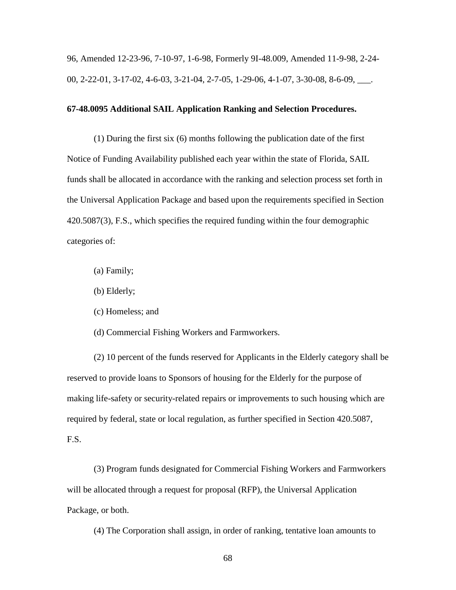96, Amended 12-23-96, 7-10-97, 1-6-98, Formerly 9I-48.009, Amended 11-9-98, 2-24- 00, 2-22-01, 3-17-02, 4-6-03, 3-21-04, 2-7-05, 1-29-06, 4-1-07, 3-30-08, 8-6-09, \_\_\_.

## **67-48.0095 Additional SAIL Application Ranking and Selection Procedures.**

(1) During the first six (6) months following the publication date of the first Notice of Funding Availability published each year within the state of Florida, SAIL funds shall be allocated in accordance with the ranking and selection process set forth in the Universal Application Package and based upon the requirements specified in Section 420.5087(3), F.S., which specifies the required funding within the four demographic categories of:

- (a) Family;
- (b) Elderly;
- (c) Homeless; and
- (d) Commercial Fishing Workers and Farmworkers.

(2) 10 percent of the funds reserved for Applicants in the Elderly category shall be reserved to provide loans to Sponsors of housing for the Elderly for the purpose of making life-safety or security-related repairs or improvements to such housing which are required by federal, state or local regulation, as further specified in Section 420.5087, F.S.

(3) Program funds designated for Commercial Fishing Workers and Farmworkers will be allocated through a request for proposal (RFP), the Universal Application Package, or both.

(4) The Corporation shall assign, in order of ranking, tentative loan amounts to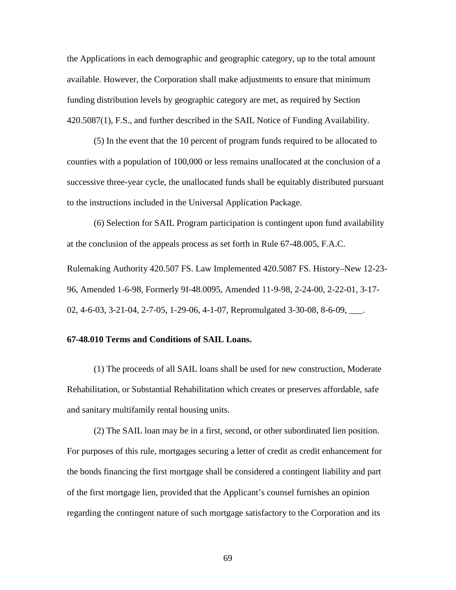the Applications in each demographic and geographic category, up to the total amount available. However, the Corporation shall make adjustments to ensure that minimum funding distribution levels by geographic category are met, as required by Section 420.5087(1), F.S., and further described in the SAIL Notice of Funding Availability.

(5) In the event that the 10 percent of program funds required to be allocated to counties with a population of 100,000 or less remains unallocated at the conclusion of a successive three-year cycle, the unallocated funds shall be equitably distributed pursuant to the instructions included in the Universal Application Package.

(6) Selection for SAIL Program participation is contingent upon fund availability at the conclusion of the appeals process as set forth in Rule 67-48.005, F.A.C.

Rulemaking Authority 420.507 FS. Law Implemented 420.5087 FS. History–New 12-23- 96, Amended 1-6-98, Formerly 9I-48.0095, Amended 11-9-98, 2-24-00, 2-22-01, 3-17- 02, 4-6-03, 3-21-04, 2-7-05, 1-29-06, 4-1-07, Repromulgated 3-30-08, 8-6-09, \_\_\_.

## **67-48.010 Terms and Conditions of SAIL Loans.**

(1) The proceeds of all SAIL loans shall be used for new construction, Moderate Rehabilitation, or Substantial Rehabilitation which creates or preserves affordable, safe and sanitary multifamily rental housing units.

(2) The SAIL loan may be in a first, second, or other subordinated lien position. For purposes of this rule, mortgages securing a letter of credit as credit enhancement for the bonds financing the first mortgage shall be considered a contingent liability and part of the first mortgage lien, provided that the Applicant's counsel furnishes an opinion regarding the contingent nature of such mortgage satisfactory to the Corporation and its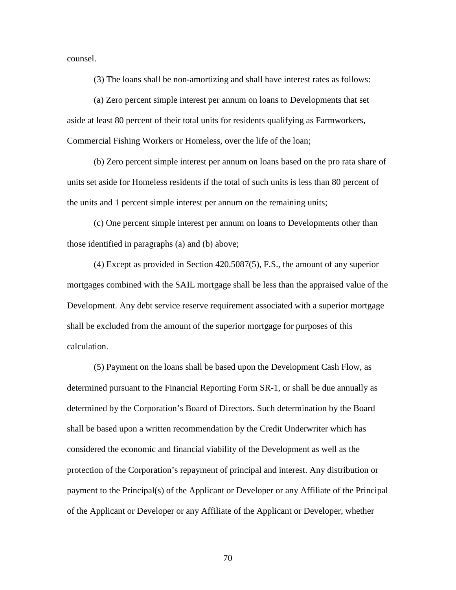counsel.

(3) The loans shall be non-amortizing and shall have interest rates as follows:

(a) Zero percent simple interest per annum on loans to Developments that set aside at least 80 percent of their total units for residents qualifying as Farmworkers, Commercial Fishing Workers or Homeless, over the life of the loan;

(b) Zero percent simple interest per annum on loans based on the pro rata share of units set aside for Homeless residents if the total of such units is less than 80 percent of the units and 1 percent simple interest per annum on the remaining units;

(c) One percent simple interest per annum on loans to Developments other than those identified in paragraphs (a) and (b) above;

(4) Except as provided in Section 420.5087(5), F.S., the amount of any superior mortgages combined with the SAIL mortgage shall be less than the appraised value of the Development. Any debt service reserve requirement associated with a superior mortgage shall be excluded from the amount of the superior mortgage for purposes of this calculation.

(5) Payment on the loans shall be based upon the Development Cash Flow, as determined pursuant to the Financial Reporting Form SR-1, or shall be due annually as determined by the Corporation's Board of Directors. Such determination by the Board shall be based upon a written recommendation by the Credit Underwriter which has considered the economic and financial viability of the Development as well as the protection of the Corporation's repayment of principal and interest. Any distribution or payment to the Principal(s) of the Applicant or Developer or any Affiliate of the Principal of the Applicant or Developer or any Affiliate of the Applicant or Developer, whether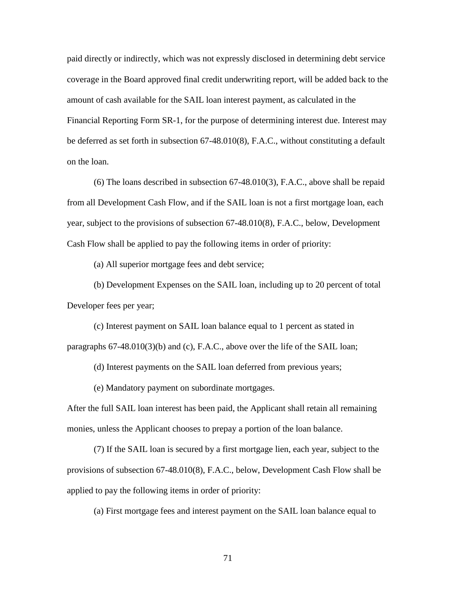paid directly or indirectly, which was not expressly disclosed in determining debt service coverage in the Board approved final credit underwriting report, will be added back to the amount of cash available for the SAIL loan interest payment, as calculated in the Financial Reporting Form SR-1, for the purpose of determining interest due. Interest may be deferred as set forth in subsection 67-48.010(8), F.A.C., without constituting a default on the loan.

(6) The loans described in subsection 67-48.010(3), F.A.C., above shall be repaid from all Development Cash Flow, and if the SAIL loan is not a first mortgage loan, each year, subject to the provisions of subsection 67-48.010(8), F.A.C., below, Development Cash Flow shall be applied to pay the following items in order of priority:

(a) All superior mortgage fees and debt service;

(b) Development Expenses on the SAIL loan, including up to 20 percent of total Developer fees per year;

(c) Interest payment on SAIL loan balance equal to 1 percent as stated in paragraphs 67-48.010(3)(b) and (c), F.A.C., above over the life of the SAIL loan;

(d) Interest payments on the SAIL loan deferred from previous years;

(e) Mandatory payment on subordinate mortgages.

After the full SAIL loan interest has been paid, the Applicant shall retain all remaining monies, unless the Applicant chooses to prepay a portion of the loan balance.

(7) If the SAIL loan is secured by a first mortgage lien, each year, subject to the provisions of subsection 67-48.010(8), F.A.C., below, Development Cash Flow shall be applied to pay the following items in order of priority:

(a) First mortgage fees and interest payment on the SAIL loan balance equal to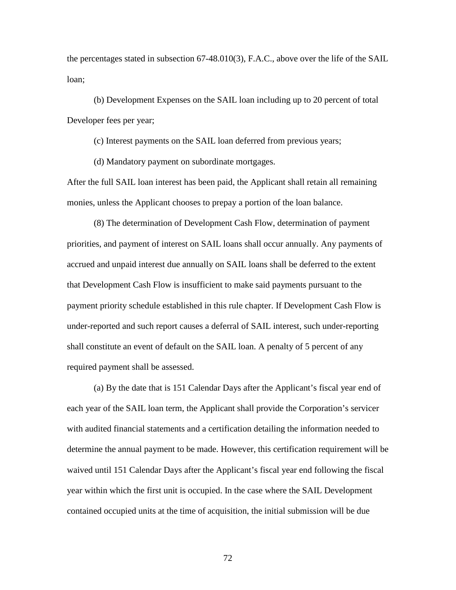the percentages stated in subsection 67-48.010(3), F.A.C., above over the life of the SAIL loan;

(b) Development Expenses on the SAIL loan including up to 20 percent of total Developer fees per year;

(c) Interest payments on the SAIL loan deferred from previous years;

(d) Mandatory payment on subordinate mortgages.

After the full SAIL loan interest has been paid, the Applicant shall retain all remaining monies, unless the Applicant chooses to prepay a portion of the loan balance.

(8) The determination of Development Cash Flow, determination of payment priorities, and payment of interest on SAIL loans shall occur annually. Any payments of accrued and unpaid interest due annually on SAIL loans shall be deferred to the extent that Development Cash Flow is insufficient to make said payments pursuant to the payment priority schedule established in this rule chapter. If Development Cash Flow is under-reported and such report causes a deferral of SAIL interest, such under-reporting shall constitute an event of default on the SAIL loan. A penalty of 5 percent of any required payment shall be assessed.

(a) By the date that is 151 Calendar Days after the Applicant's fiscal year end of each year of the SAIL loan term, the Applicant shall provide the Corporation's servicer with audited financial statements and a certification detailing the information needed to determine the annual payment to be made. However, this certification requirement will be waived until 151 Calendar Days after the Applicant's fiscal year end following the fiscal year within which the first unit is occupied. In the case where the SAIL Development contained occupied units at the time of acquisition, the initial submission will be due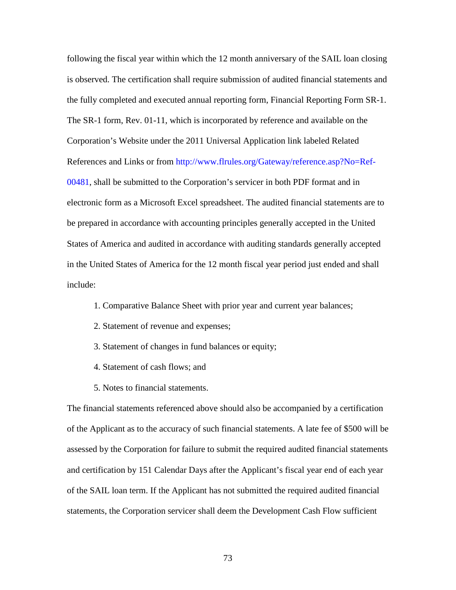following the fiscal year within which the 12 month anniversary of the SAIL loan closing is observed. The certification shall require submission of audited financial statements and the fully completed and executed annual reporting form, Financial Reporting Form SR-1. The SR-1 form, Rev. 01-11, which is incorporated by reference and available on the Corporation's Website under the 2011 Universal Application link labeled Related References and Links or from [http://www.flrules.org/Gateway/reference.asp?No=Ref-](https://www.flrules.org/Gateway/reference.asp?No=Ref-00481)[00481,](https://www.flrules.org/Gateway/reference.asp?No=Ref-00481) shall be submitted to the Corporation's servicer in both PDF format and in electronic form as a Microsoft Excel spreadsheet. The audited financial statements are to be prepared in accordance with accounting principles generally accepted in the United States of America and audited in accordance with auditing standards generally accepted in the United States of America for the 12 month fiscal year period just ended and shall include:

- 1. Comparative Balance Sheet with prior year and current year balances;
- 2. Statement of revenue and expenses;
- 3. Statement of changes in fund balances or equity;
- 4. Statement of cash flows; and
- 5. Notes to financial statements.

The financial statements referenced above should also be accompanied by a certification of the Applicant as to the accuracy of such financial statements. A late fee of \$500 will be assessed by the Corporation for failure to submit the required audited financial statements and certification by 151 Calendar Days after the Applicant's fiscal year end of each year of the SAIL loan term. If the Applicant has not submitted the required audited financial statements, the Corporation servicer shall deem the Development Cash Flow sufficient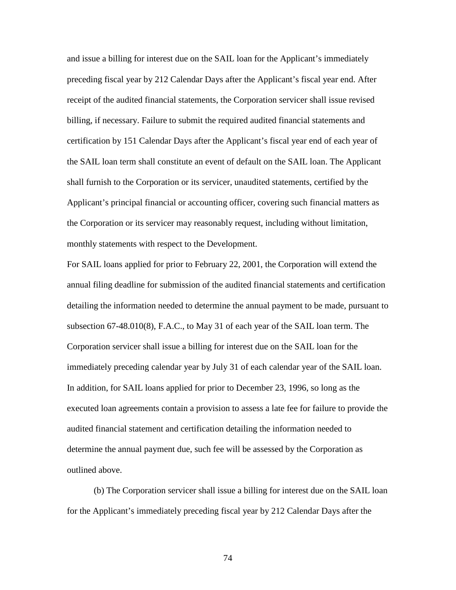and issue a billing for interest due on the SAIL loan for the Applicant's immediately preceding fiscal year by 212 Calendar Days after the Applicant's fiscal year end. After receipt of the audited financial statements, the Corporation servicer shall issue revised billing, if necessary. Failure to submit the required audited financial statements and certification by 151 Calendar Days after the Applicant's fiscal year end of each year of the SAIL loan term shall constitute an event of default on the SAIL loan. The Applicant shall furnish to the Corporation or its servicer, unaudited statements, certified by the Applicant's principal financial or accounting officer, covering such financial matters as the Corporation or its servicer may reasonably request, including without limitation, monthly statements with respect to the Development.

For SAIL loans applied for prior to February 22, 2001, the Corporation will extend the annual filing deadline for submission of the audited financial statements and certification detailing the information needed to determine the annual payment to be made, pursuant to subsection 67-48.010(8), F.A.C., to May 31 of each year of the SAIL loan term. The Corporation servicer shall issue a billing for interest due on the SAIL loan for the immediately preceding calendar year by July 31 of each calendar year of the SAIL loan. In addition, for SAIL loans applied for prior to December 23, 1996, so long as the executed loan agreements contain a provision to assess a late fee for failure to provide the audited financial statement and certification detailing the information needed to determine the annual payment due, such fee will be assessed by the Corporation as outlined above.

(b) The Corporation servicer shall issue a billing for interest due on the SAIL loan for the Applicant's immediately preceding fiscal year by 212 Calendar Days after the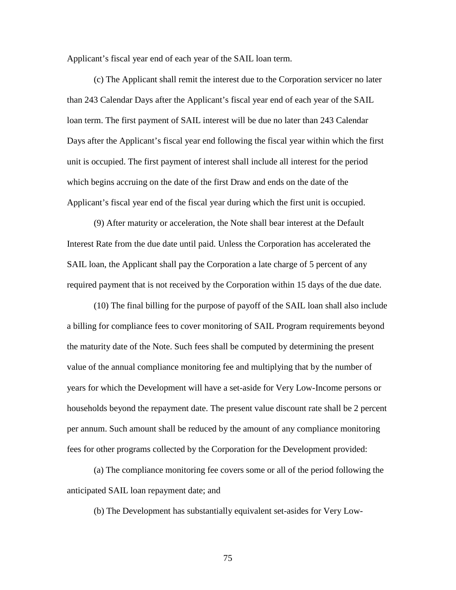Applicant's fiscal year end of each year of the SAIL loan term.

(c) The Applicant shall remit the interest due to the Corporation servicer no later than 243 Calendar Days after the Applicant's fiscal year end of each year of the SAIL loan term. The first payment of SAIL interest will be due no later than 243 Calendar Days after the Applicant's fiscal year end following the fiscal year within which the first unit is occupied. The first payment of interest shall include all interest for the period which begins accruing on the date of the first Draw and ends on the date of the Applicant's fiscal year end of the fiscal year during which the first unit is occupied.

(9) After maturity or acceleration, the Note shall bear interest at the Default Interest Rate from the due date until paid. Unless the Corporation has accelerated the SAIL loan, the Applicant shall pay the Corporation a late charge of 5 percent of any required payment that is not received by the Corporation within 15 days of the due date.

(10) The final billing for the purpose of payoff of the SAIL loan shall also include a billing for compliance fees to cover monitoring of SAIL Program requirements beyond the maturity date of the Note. Such fees shall be computed by determining the present value of the annual compliance monitoring fee and multiplying that by the number of years for which the Development will have a set-aside for Very Low-Income persons or households beyond the repayment date. The present value discount rate shall be 2 percent per annum. Such amount shall be reduced by the amount of any compliance monitoring fees for other programs collected by the Corporation for the Development provided:

(a) The compliance monitoring fee covers some or all of the period following the anticipated SAIL loan repayment date; and

(b) The Development has substantially equivalent set-asides for Very Low-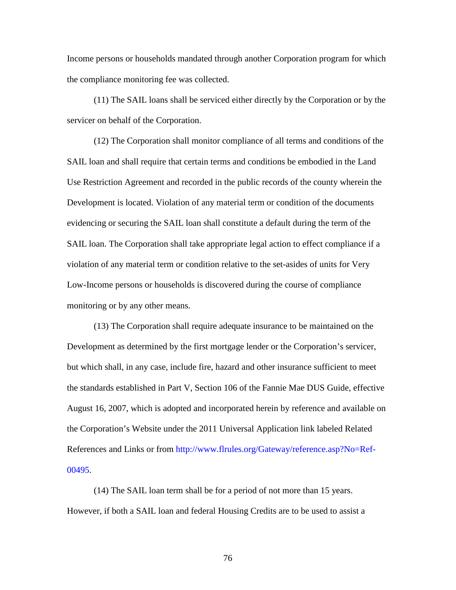Income persons or households mandated through another Corporation program for which the compliance monitoring fee was collected.

(11) The SAIL loans shall be serviced either directly by the Corporation or by the servicer on behalf of the Corporation.

(12) The Corporation shall monitor compliance of all terms and conditions of the SAIL loan and shall require that certain terms and conditions be embodied in the Land Use Restriction Agreement and recorded in the public records of the county wherein the Development is located. Violation of any material term or condition of the documents evidencing or securing the SAIL loan shall constitute a default during the term of the SAIL loan. The Corporation shall take appropriate legal action to effect compliance if a violation of any material term or condition relative to the set-asides of units for Very Low-Income persons or households is discovered during the course of compliance monitoring or by any other means.

(13) The Corporation shall require adequate insurance to be maintained on the Development as determined by the first mortgage lender or the Corporation's servicer, but which shall, in any case, include fire, hazard and other insurance sufficient to meet the standards established in Part V, Section 106 of the Fannie Mae DUS Guide, effective August 16, 2007, which is adopted and incorporated herein by reference and available on the Corporation's Website under the 2011 Universal Application link labeled Related References and Links or from [http://www.flrules.org/Gateway/reference.asp?No=Ref-](https://www.flrules.org/Gateway/reference.asp?No=Ref-00495)[00495.](https://www.flrules.org/Gateway/reference.asp?No=Ref-00495)

(14) The SAIL loan term shall be for a period of not more than 15 years. However, if both a SAIL loan and federal Housing Credits are to be used to assist a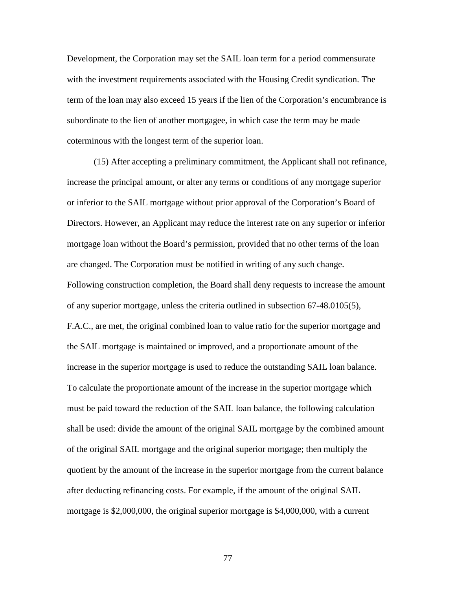Development, the Corporation may set the SAIL loan term for a period commensurate with the investment requirements associated with the Housing Credit syndication. The term of the loan may also exceed 15 years if the lien of the Corporation's encumbrance is subordinate to the lien of another mortgagee, in which case the term may be made coterminous with the longest term of the superior loan.

(15) After accepting a preliminary commitment, the Applicant shall not refinance, increase the principal amount, or alter any terms or conditions of any mortgage superior or inferior to the SAIL mortgage without prior approval of the Corporation's Board of Directors. However, an Applicant may reduce the interest rate on any superior or inferior mortgage loan without the Board's permission, provided that no other terms of the loan are changed. The Corporation must be notified in writing of any such change. Following construction completion, the Board shall deny requests to increase the amount of any superior mortgage, unless the criteria outlined in subsection 67-48.0105(5), F.A.C., are met, the original combined loan to value ratio for the superior mortgage and the SAIL mortgage is maintained or improved, and a proportionate amount of the increase in the superior mortgage is used to reduce the outstanding SAIL loan balance. To calculate the proportionate amount of the increase in the superior mortgage which must be paid toward the reduction of the SAIL loan balance, the following calculation shall be used: divide the amount of the original SAIL mortgage by the combined amount of the original SAIL mortgage and the original superior mortgage; then multiply the quotient by the amount of the increase in the superior mortgage from the current balance after deducting refinancing costs. For example, if the amount of the original SAIL mortgage is \$2,000,000, the original superior mortgage is \$4,000,000, with a current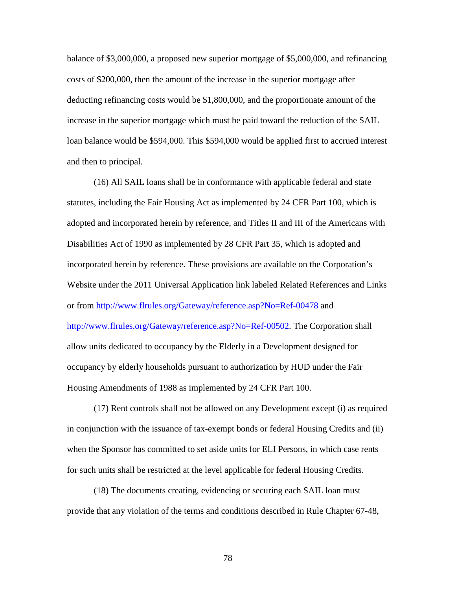balance of \$3,000,000, a proposed new superior mortgage of \$5,000,000, and refinancing costs of \$200,000, then the amount of the increase in the superior mortgage after deducting refinancing costs would be \$1,800,000, and the proportionate amount of the increase in the superior mortgage which must be paid toward the reduction of the SAIL loan balance would be \$594,000. This \$594,000 would be applied first to accrued interest and then to principal.

(16) All SAIL loans shall be in conformance with applicable federal and state statutes, including the Fair Housing Act as implemented by 24 CFR Part 100, which is adopted and incorporated herein by reference, and Titles II and III of the Americans with Disabilities Act of 1990 as implemented by 28 CFR Part 35, which is adopted and incorporated herein by reference. These provisions are available on the Corporation's Website under the 2011 Universal Application link labeled Related References and Links or from [http://www.flrules.org/Gateway/reference.asp?No=Ref-00478](https://www.flrules.org/Gateway/reference.asp?No=Ref-00478) and [http://www.flrules.org/Gateway/reference.asp?No=Ref-00502.](https://www.flrules.org/Gateway/reference.asp?No=Ref-00502) The Corporation shall allow units dedicated to occupancy by the Elderly in a Development designed for occupancy by elderly households pursuant to authorization by HUD under the Fair Housing Amendments of 1988 as implemented by 24 CFR Part 100.

(17) Rent controls shall not be allowed on any Development except (i) as required in conjunction with the issuance of tax-exempt bonds or federal Housing Credits and (ii) when the Sponsor has committed to set aside units for ELI Persons, in which case rents for such units shall be restricted at the level applicable for federal Housing Credits.

(18) The documents creating, evidencing or securing each SAIL loan must provide that any violation of the terms and conditions described in Rule Chapter 67-48,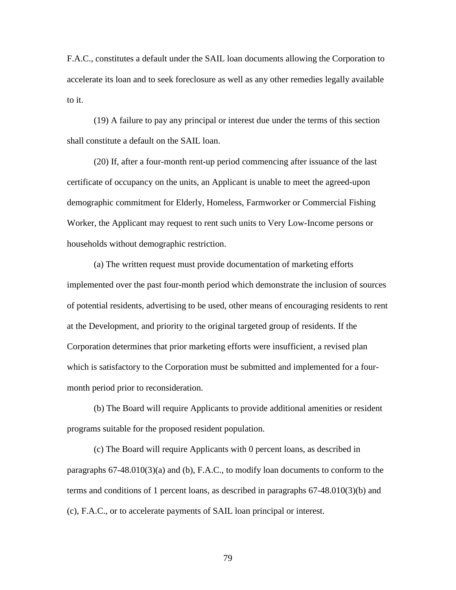F.A.C., constitutes a default under the SAIL loan documents allowing the Corporation to accelerate its loan and to seek foreclosure as well as any other remedies legally available to it.

(19) A failure to pay any principal or interest due under the terms of this section shall constitute a default on the SAIL loan.

(20) If, after a four-month rent-up period commencing after issuance of the last certificate of occupancy on the units, an Applicant is unable to meet the agreed-upon demographic commitment for Elderly, Homeless, Farmworker or Commercial Fishing Worker, the Applicant may request to rent such units to Very Low-Income persons or households without demographic restriction.

(a) The written request must provide documentation of marketing efforts implemented over the past four-month period which demonstrate the inclusion of sources of potential residents, advertising to be used, other means of encouraging residents to rent at the Development, and priority to the original targeted group of residents. If the Corporation determines that prior marketing efforts were insufficient, a revised plan which is satisfactory to the Corporation must be submitted and implemented for a fourmonth period prior to reconsideration.

(b) The Board will require Applicants to provide additional amenities or resident programs suitable for the proposed resident population.

(c) The Board will require Applicants with 0 percent loans, as described in paragraphs 67-48.010(3)(a) and (b), F.A.C., to modify loan documents to conform to the terms and conditions of 1 percent loans, as described in paragraphs 67-48.010(3)(b) and (c), F.A.C., or to accelerate payments of SAIL loan principal or interest.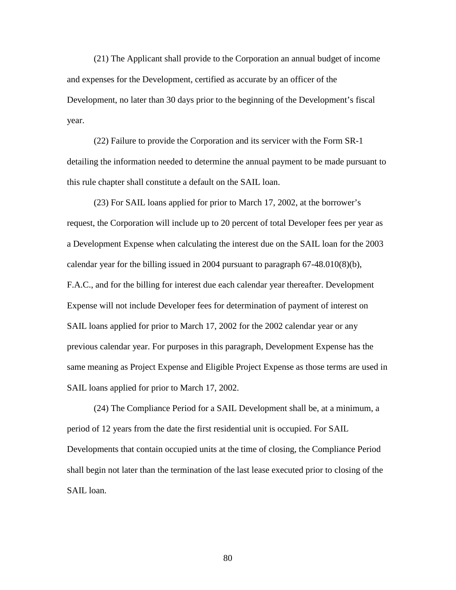(21) The Applicant shall provide to the Corporation an annual budget of income and expenses for the Development, certified as accurate by an officer of the Development, no later than 30 days prior to the beginning of the Development's fiscal year.

(22) Failure to provide the Corporation and its servicer with the Form SR-1 detailing the information needed to determine the annual payment to be made pursuant to this rule chapter shall constitute a default on the SAIL loan.

(23) For SAIL loans applied for prior to March 17, 2002, at the borrower's request, the Corporation will include up to 20 percent of total Developer fees per year as a Development Expense when calculating the interest due on the SAIL loan for the 2003 calendar year for the billing issued in 2004 pursuant to paragraph 67-48.010(8)(b), F.A.C., and for the billing for interest due each calendar year thereafter. Development Expense will not include Developer fees for determination of payment of interest on SAIL loans applied for prior to March 17, 2002 for the 2002 calendar year or any previous calendar year. For purposes in this paragraph, Development Expense has the same meaning as Project Expense and Eligible Project Expense as those terms are used in SAIL loans applied for prior to March 17, 2002.

(24) The Compliance Period for a SAIL Development shall be, at a minimum, a period of 12 years from the date the first residential unit is occupied. For SAIL Developments that contain occupied units at the time of closing, the Compliance Period shall begin not later than the termination of the last lease executed prior to closing of the SAIL loan.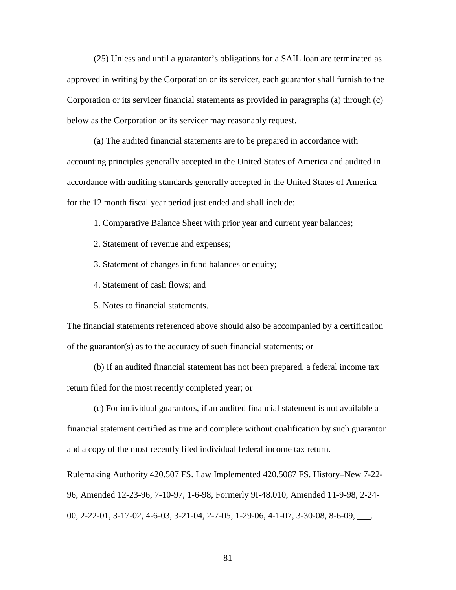(25) Unless and until a guarantor's obligations for a SAIL loan are terminated as approved in writing by the Corporation or its servicer, each guarantor shall furnish to the Corporation or its servicer financial statements as provided in paragraphs (a) through (c) below as the Corporation or its servicer may reasonably request.

(a) The audited financial statements are to be prepared in accordance with accounting principles generally accepted in the United States of America and audited in accordance with auditing standards generally accepted in the United States of America for the 12 month fiscal year period just ended and shall include:

1. Comparative Balance Sheet with prior year and current year balances;

- 2. Statement of revenue and expenses;
- 3. Statement of changes in fund balances or equity;
- 4. Statement of cash flows; and
- 5. Notes to financial statements.

The financial statements referenced above should also be accompanied by a certification of the guarantor(s) as to the accuracy of such financial statements; or

(b) If an audited financial statement has not been prepared, a federal income tax return filed for the most recently completed year; or

(c) For individual guarantors, if an audited financial statement is not available a financial statement certified as true and complete without qualification by such guarantor and a copy of the most recently filed individual federal income tax return.

Rulemaking Authority 420.507 FS. Law Implemented 420.5087 FS. History–New 7-22- 96, Amended 12-23-96, 7-10-97, 1-6-98, Formerly 9I-48.010, Amended 11-9-98, 2-24- 00, 2-22-01, 3-17-02, 4-6-03, 3-21-04, 2-7-05, 1-29-06, 4-1-07, 3-30-08, 8-6-09, \_\_\_.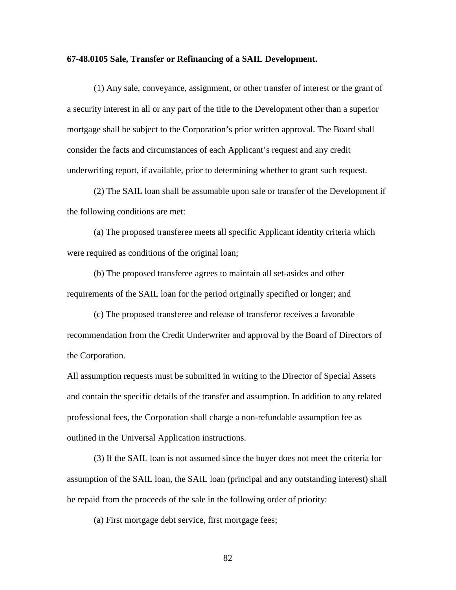#### **67-48.0105 Sale, Transfer or Refinancing of a SAIL Development.**

(1) Any sale, conveyance, assignment, or other transfer of interest or the grant of a security interest in all or any part of the title to the Development other than a superior mortgage shall be subject to the Corporation's prior written approval. The Board shall consider the facts and circumstances of each Applicant's request and any credit underwriting report, if available, prior to determining whether to grant such request.

(2) The SAIL loan shall be assumable upon sale or transfer of the Development if the following conditions are met:

(a) The proposed transferee meets all specific Applicant identity criteria which were required as conditions of the original loan;

(b) The proposed transferee agrees to maintain all set-asides and other requirements of the SAIL loan for the period originally specified or longer; and

(c) The proposed transferee and release of transferor receives a favorable recommendation from the Credit Underwriter and approval by the Board of Directors of the Corporation.

All assumption requests must be submitted in writing to the Director of Special Assets and contain the specific details of the transfer and assumption. In addition to any related professional fees, the Corporation shall charge a non-refundable assumption fee as outlined in the Universal Application instructions.

(3) If the SAIL loan is not assumed since the buyer does not meet the criteria for assumption of the SAIL loan, the SAIL loan (principal and any outstanding interest) shall be repaid from the proceeds of the sale in the following order of priority:

(a) First mortgage debt service, first mortgage fees;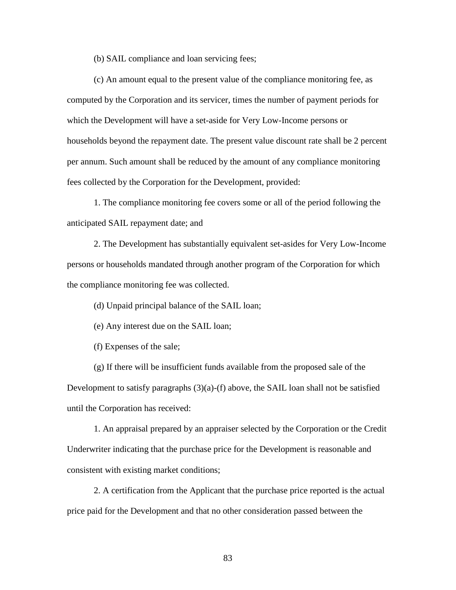(b) SAIL compliance and loan servicing fees;

(c) An amount equal to the present value of the compliance monitoring fee, as computed by the Corporation and its servicer, times the number of payment periods for which the Development will have a set-aside for Very Low-Income persons or households beyond the repayment date. The present value discount rate shall be 2 percent per annum. Such amount shall be reduced by the amount of any compliance monitoring fees collected by the Corporation for the Development, provided:

1. The compliance monitoring fee covers some or all of the period following the anticipated SAIL repayment date; and

2. The Development has substantially equivalent set-asides for Very Low-Income persons or households mandated through another program of the Corporation for which the compliance monitoring fee was collected.

(d) Unpaid principal balance of the SAIL loan;

(e) Any interest due on the SAIL loan;

(f) Expenses of the sale;

(g) If there will be insufficient funds available from the proposed sale of the Development to satisfy paragraphs  $(3)(a)-(f)$  above, the SAIL loan shall not be satisfied until the Corporation has received:

1. An appraisal prepared by an appraiser selected by the Corporation or the Credit Underwriter indicating that the purchase price for the Development is reasonable and consistent with existing market conditions;

2. A certification from the Applicant that the purchase price reported is the actual price paid for the Development and that no other consideration passed between the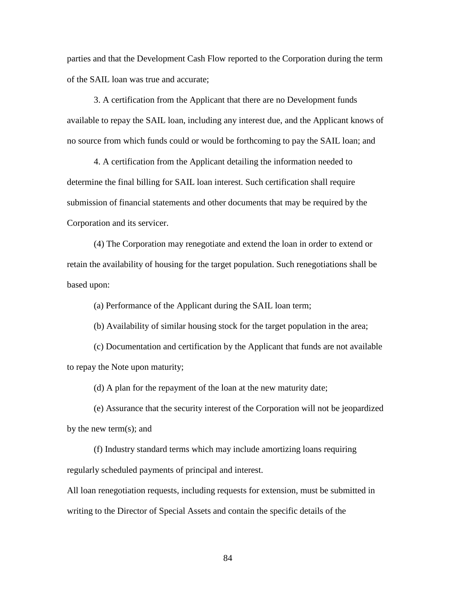parties and that the Development Cash Flow reported to the Corporation during the term of the SAIL loan was true and accurate;

3. A certification from the Applicant that there are no Development funds available to repay the SAIL loan, including any interest due, and the Applicant knows of no source from which funds could or would be forthcoming to pay the SAIL loan; and

4. A certification from the Applicant detailing the information needed to determine the final billing for SAIL loan interest. Such certification shall require submission of financial statements and other documents that may be required by the Corporation and its servicer.

(4) The Corporation may renegotiate and extend the loan in order to extend or retain the availability of housing for the target population. Such renegotiations shall be based upon:

(a) Performance of the Applicant during the SAIL loan term;

(b) Availability of similar housing stock for the target population in the area;

(c) Documentation and certification by the Applicant that funds are not available to repay the Note upon maturity;

(d) A plan for the repayment of the loan at the new maturity date;

(e) Assurance that the security interest of the Corporation will not be jeopardized by the new term(s); and

(f) Industry standard terms which may include amortizing loans requiring regularly scheduled payments of principal and interest.

All loan renegotiation requests, including requests for extension, must be submitted in writing to the Director of Special Assets and contain the specific details of the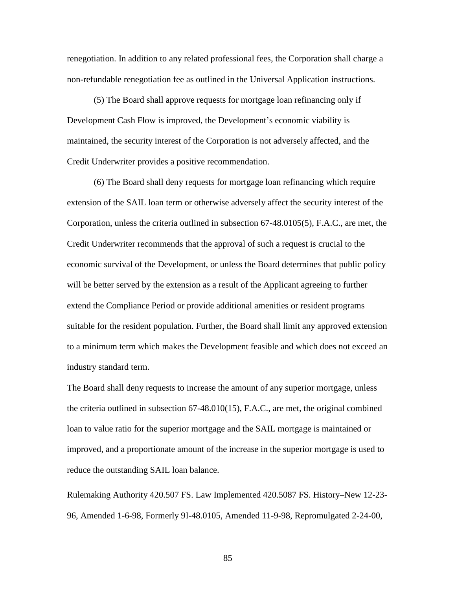renegotiation. In addition to any related professional fees, the Corporation shall charge a non-refundable renegotiation fee as outlined in the Universal Application instructions.

(5) The Board shall approve requests for mortgage loan refinancing only if Development Cash Flow is improved, the Development's economic viability is maintained, the security interest of the Corporation is not adversely affected, and the Credit Underwriter provides a positive recommendation.

(6) The Board shall deny requests for mortgage loan refinancing which require extension of the SAIL loan term or otherwise adversely affect the security interest of the Corporation, unless the criteria outlined in subsection 67-48.0105(5), F.A.C., are met, the Credit Underwriter recommends that the approval of such a request is crucial to the economic survival of the Development, or unless the Board determines that public policy will be better served by the extension as a result of the Applicant agreeing to further extend the Compliance Period or provide additional amenities or resident programs suitable for the resident population. Further, the Board shall limit any approved extension to a minimum term which makes the Development feasible and which does not exceed an industry standard term.

The Board shall deny requests to increase the amount of any superior mortgage, unless the criteria outlined in subsection 67-48.010(15), F.A.C., are met, the original combined loan to value ratio for the superior mortgage and the SAIL mortgage is maintained or improved, and a proportionate amount of the increase in the superior mortgage is used to reduce the outstanding SAIL loan balance.

Rulemaking Authority 420.507 FS. Law Implemented 420.5087 FS. History–New 12-23- 96, Amended 1-6-98, Formerly 9I-48.0105, Amended 11-9-98, Repromulgated 2-24-00,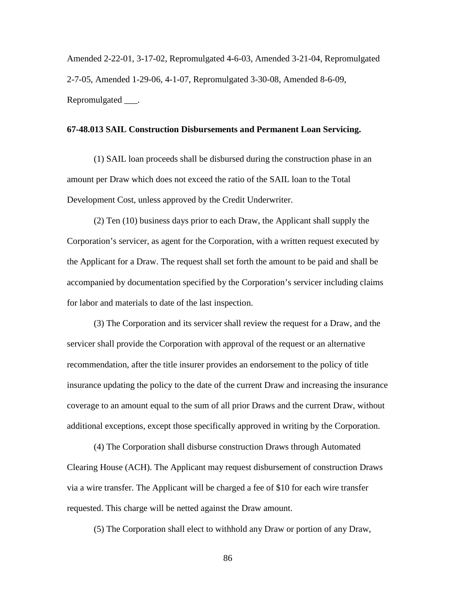Amended 2-22-01, 3-17-02, Repromulgated 4-6-03, Amended 3-21-04, Repromulgated 2-7-05, Amended 1-29-06, 4-1-07, Repromulgated 3-30-08, Amended 8-6-09, Repromulgated \_\_\_.

### **67-48.013 SAIL Construction Disbursements and Permanent Loan Servicing.**

(1) SAIL loan proceeds shall be disbursed during the construction phase in an amount per Draw which does not exceed the ratio of the SAIL loan to the Total Development Cost, unless approved by the Credit Underwriter.

(2) Ten (10) business days prior to each Draw, the Applicant shall supply the Corporation's servicer, as agent for the Corporation, with a written request executed by the Applicant for a Draw. The request shall set forth the amount to be paid and shall be accompanied by documentation specified by the Corporation's servicer including claims for labor and materials to date of the last inspection.

(3) The Corporation and its servicer shall review the request for a Draw, and the servicer shall provide the Corporation with approval of the request or an alternative recommendation, after the title insurer provides an endorsement to the policy of title insurance updating the policy to the date of the current Draw and increasing the insurance coverage to an amount equal to the sum of all prior Draws and the current Draw, without additional exceptions, except those specifically approved in writing by the Corporation.

(4) The Corporation shall disburse construction Draws through Automated Clearing House (ACH). The Applicant may request disbursement of construction Draws via a wire transfer. The Applicant will be charged a fee of \$10 for each wire transfer requested. This charge will be netted against the Draw amount.

(5) The Corporation shall elect to withhold any Draw or portion of any Draw,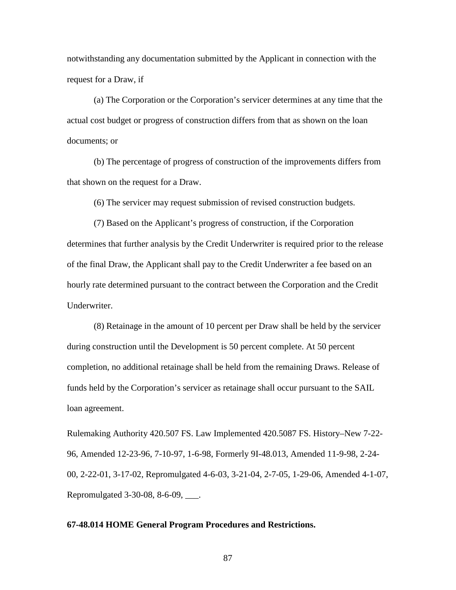notwithstanding any documentation submitted by the Applicant in connection with the request for a Draw, if

(a) The Corporation or the Corporation's servicer determines at any time that the actual cost budget or progress of construction differs from that as shown on the loan documents; or

(b) The percentage of progress of construction of the improvements differs from that shown on the request for a Draw.

(6) The servicer may request submission of revised construction budgets.

(7) Based on the Applicant's progress of construction, if the Corporation determines that further analysis by the Credit Underwriter is required prior to the release of the final Draw, the Applicant shall pay to the Credit Underwriter a fee based on an hourly rate determined pursuant to the contract between the Corporation and the Credit Underwriter.

(8) Retainage in the amount of 10 percent per Draw shall be held by the servicer during construction until the Development is 50 percent complete. At 50 percent completion, no additional retainage shall be held from the remaining Draws. Release of funds held by the Corporation's servicer as retainage shall occur pursuant to the SAIL loan agreement.

Rulemaking Authority 420.507 FS. Law Implemented 420.5087 FS. History–New 7-22- 96, Amended 12-23-96, 7-10-97, 1-6-98, Formerly 9I-48.013, Amended 11-9-98, 2-24- 00, 2-22-01, 3-17-02, Repromulgated 4-6-03, 3-21-04, 2-7-05, 1-29-06, Amended 4-1-07, Repromulgated 3-30-08, 8-6-09, \_\_\_.

# **67-48.014 HOME General Program Procedures and Restrictions.**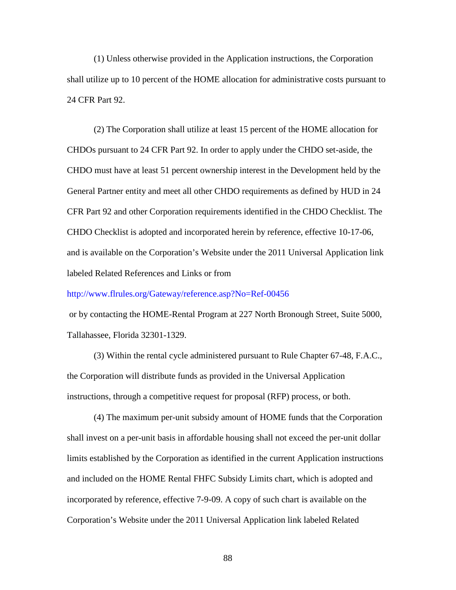(1) Unless otherwise provided in the Application instructions, the Corporation shall utilize up to 10 percent of the HOME allocation for administrative costs pursuant to 24 CFR Part 92.

(2) The Corporation shall utilize at least 15 percent of the HOME allocation for CHDOs pursuant to 24 CFR Part 92. In order to apply under the CHDO set-aside, the CHDO must have at least 51 percent ownership interest in the Development held by the General Partner entity and meet all other CHDO requirements as defined by HUD in 24 CFR Part 92 and other Corporation requirements identified in the CHDO Checklist. The CHDO Checklist is adopted and incorporated herein by reference, effective 10-17-06, and is available on the Corporation's Website under the 2011 Universal Application link labeled Related References and Links or from

<http://www.flrules.org/Gateway/reference.asp?No=Ref-00456>

or by contacting the HOME-Rental Program at 227 North Bronough Street, Suite 5000, Tallahassee, Florida 32301-1329.

(3) Within the rental cycle administered pursuant to Rule Chapter 67-48, F.A.C., the Corporation will distribute funds as provided in the Universal Application instructions, through a competitive request for proposal (RFP) process, or both.

(4) The maximum per-unit subsidy amount of HOME funds that the Corporation shall invest on a per-unit basis in affordable housing shall not exceed the per-unit dollar limits established by the Corporation as identified in the current Application instructions and included on the HOME Rental FHFC Subsidy Limits chart, which is adopted and incorporated by reference, effective 7-9-09. A copy of such chart is available on the Corporation's Website under the 2011 Universal Application link labeled Related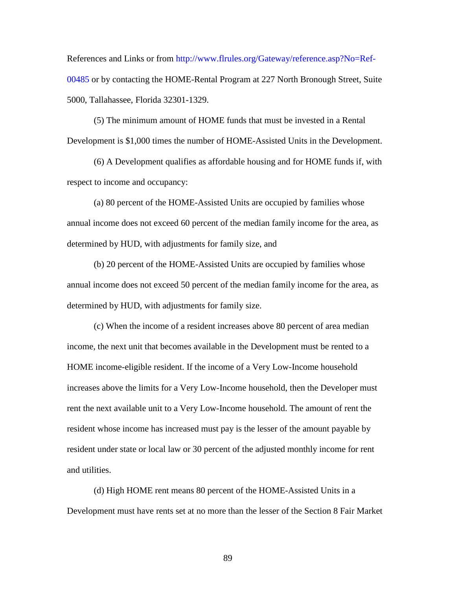References and Links or from [http://www.flrules.org/Gateway/reference.asp?No=Ref-](https://www.flrules.org/Gateway/reference.asp?No=Ref-00485)[00485](https://www.flrules.org/Gateway/reference.asp?No=Ref-00485) or by contacting the HOME-Rental Program at 227 North Bronough Street, Suite 5000, Tallahassee, Florida 32301-1329.

(5) The minimum amount of HOME funds that must be invested in a Rental Development is \$1,000 times the number of HOME-Assisted Units in the Development.

(6) A Development qualifies as affordable housing and for HOME funds if, with respect to income and occupancy:

(a) 80 percent of the HOME-Assisted Units are occupied by families whose annual income does not exceed 60 percent of the median family income for the area, as determined by HUD, with adjustments for family size, and

(b) 20 percent of the HOME-Assisted Units are occupied by families whose annual income does not exceed 50 percent of the median family income for the area, as determined by HUD, with adjustments for family size.

(c) When the income of a resident increases above 80 percent of area median income, the next unit that becomes available in the Development must be rented to a HOME income-eligible resident. If the income of a Very Low-Income household increases above the limits for a Very Low-Income household, then the Developer must rent the next available unit to a Very Low-Income household. The amount of rent the resident whose income has increased must pay is the lesser of the amount payable by resident under state or local law or 30 percent of the adjusted monthly income for rent and utilities.

(d) High HOME rent means 80 percent of the HOME-Assisted Units in a Development must have rents set at no more than the lesser of the Section 8 Fair Market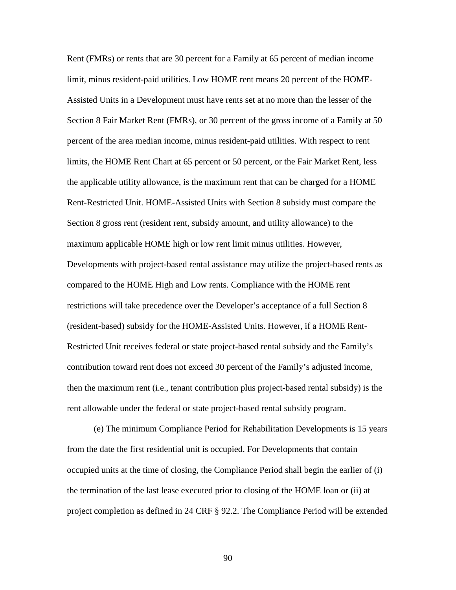Rent (FMRs) or rents that are 30 percent for a Family at 65 percent of median income limit, minus resident-paid utilities. Low HOME rent means 20 percent of the HOME-Assisted Units in a Development must have rents set at no more than the lesser of the Section 8 Fair Market Rent (FMRs), or 30 percent of the gross income of a Family at 50 percent of the area median income, minus resident-paid utilities. With respect to rent limits, the HOME Rent Chart at 65 percent or 50 percent, or the Fair Market Rent, less the applicable utility allowance, is the maximum rent that can be charged for a HOME Rent-Restricted Unit. HOME-Assisted Units with Section 8 subsidy must compare the Section 8 gross rent (resident rent, subsidy amount, and utility allowance) to the maximum applicable HOME high or low rent limit minus utilities. However, Developments with project-based rental assistance may utilize the project-based rents as compared to the HOME High and Low rents. Compliance with the HOME rent restrictions will take precedence over the Developer's acceptance of a full Section 8 (resident-based) subsidy for the HOME-Assisted Units. However, if a HOME Rent-Restricted Unit receives federal or state project-based rental subsidy and the Family's contribution toward rent does not exceed 30 percent of the Family's adjusted income, then the maximum rent (i.e., tenant contribution plus project-based rental subsidy) is the rent allowable under the federal or state project-based rental subsidy program.

(e) The minimum Compliance Period for Rehabilitation Developments is 15 years from the date the first residential unit is occupied. For Developments that contain occupied units at the time of closing, the Compliance Period shall begin the earlier of (i) the termination of the last lease executed prior to closing of the HOME loan or (ii) at project completion as defined in 24 CRF § 92.2. The Compliance Period will be extended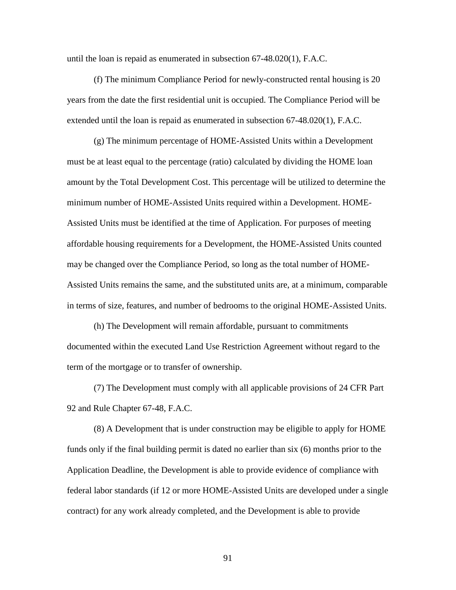until the loan is repaid as enumerated in subsection 67-48.020(1), F.A.C.

(f) The minimum Compliance Period for newly-constructed rental housing is 20 years from the date the first residential unit is occupied. The Compliance Period will be extended until the loan is repaid as enumerated in subsection 67-48.020(1), F.A.C.

(g) The minimum percentage of HOME-Assisted Units within a Development must be at least equal to the percentage (ratio) calculated by dividing the HOME loan amount by the Total Development Cost. This percentage will be utilized to determine the minimum number of HOME-Assisted Units required within a Development. HOME-Assisted Units must be identified at the time of Application. For purposes of meeting affordable housing requirements for a Development, the HOME-Assisted Units counted may be changed over the Compliance Period, so long as the total number of HOME-Assisted Units remains the same, and the substituted units are, at a minimum, comparable in terms of size, features, and number of bedrooms to the original HOME-Assisted Units.

(h) The Development will remain affordable, pursuant to commitments documented within the executed Land Use Restriction Agreement without regard to the term of the mortgage or to transfer of ownership.

(7) The Development must comply with all applicable provisions of 24 CFR Part 92 and Rule Chapter 67-48, F.A.C.

(8) A Development that is under construction may be eligible to apply for HOME funds only if the final building permit is dated no earlier than six (6) months prior to the Application Deadline, the Development is able to provide evidence of compliance with federal labor standards (if 12 or more HOME-Assisted Units are developed under a single contract) for any work already completed, and the Development is able to provide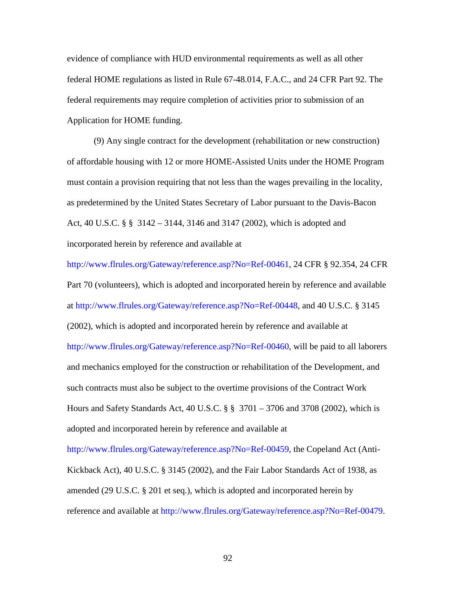evidence of compliance with HUD environmental requirements as well as all other federal HOME regulations as listed in Rule 67-48.014, F.A.C., and 24 CFR Part 92. The federal requirements may require completion of activities prior to submission of an Application for HOME funding.

(9) Any single contract for the development (rehabilitation or new construction) of affordable housing with 12 or more HOME-Assisted Units under the HOME Program must contain a provision requiring that not less than the wages prevailing in the locality, as predetermined by the United States Secretary of Labor pursuant to the Davis-Bacon Act, 40 U.S.C. § § 3142 – 3144, 3146 and 3147 (2002), which is adopted and incorporated herein by reference and available at

[http://www.flrules.org/Gateway/reference.asp?No=Ref-00461,](https://www.flrules.org/Gateway/reference.asp?No=Ref-00461) 24 CFR § 92.354, 24 CFR Part 70 (volunteers), which is adopted and incorporated herein by reference and available at [http://www.flrules.org/Gateway/reference.asp?No=Ref-00448,](https://www.flrules.org/Gateway/reference.asp?No=Ref-00448) and 40 U.S.C. § 3145 (2002), which is adopted and incorporated herein by reference and available at [http://www.flrules.org/Gateway/reference.asp?No=Ref-00460,](https://www.flrules.org/Gateway/reference.asp?No=Ref-00460) will be paid to all laborers and mechanics employed for the construction or rehabilitation of the Development, and such contracts must also be subject to the overtime provisions of the Contract Work Hours and Safety Standards Act, 40 U.S.C. § § 3701 – 3706 and 3708 (2002), which is adopted and incorporated herein by reference and available at [http://www.flrules.org/Gateway/reference.asp?No=Ref-00459,](https://www.flrules.org/Gateway/reference.asp?No=Ref-00459) the Copeland Act (Anti-

Kickback Act), 40 U.S.C. § 3145 (2002), and the Fair Labor Standards Act of 1938, as amended (29 U.S.C. § 201 et seq.), which is adopted and incorporated herein by reference and available at [http://www.flrules.org/Gateway/reference.asp?No=Ref-00479.](https://www.flrules.org/Gateway/reference.asp?No=Ref-00479)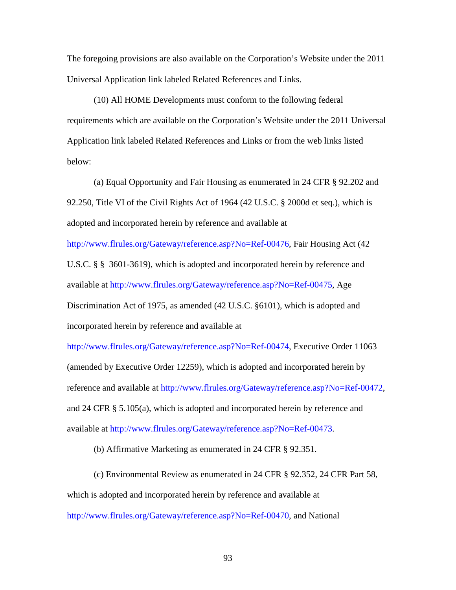The foregoing provisions are also available on the Corporation's Website under the 2011 Universal Application link labeled Related References and Links.

(10) All HOME Developments must conform to the following federal requirements which are available on the Corporation's Website under the 2011 Universal Application link labeled Related References and Links or from the web links listed below:

(a) Equal Opportunity and Fair Housing as enumerated in 24 CFR § 92.202 and 92.250, Title VI of the Civil Rights Act of 1964 (42 U.S.C. § 2000d et seq.), which is adopted and incorporated herein by reference and available at [http://www.flrules.org/Gateway/reference.asp?No=Ref-00476,](https://www.flrules.org/Gateway/reference.asp?No=Ref-00476) Fair Housing Act (42 U.S.C. § § 3601-3619), which is adopted and incorporated herein by reference and available at [http://www.flrules.org/Gateway/reference.asp?No=Ref-00475,](https://www.flrules.org/Gateway/reference.asp?No=Ref-00475) Age Discrimination Act of 1975, as amended (42 U.S.C. §6101), which is adopted and incorporated herein by reference and available at

[http://www.flrules.org/Gateway/reference.asp?No=Ref-00474,](https://www.flrules.org/Gateway/reference.asp?No=Ref-00474) Executive Order 11063 (amended by Executive Order 12259), which is adopted and incorporated herein by reference and available at [http://www.flrules.org/Gateway/reference.asp?No=Ref-00472,](https://www.flrules.org/Gateway/reference.asp?No=Ref-00472) and 24 CFR § 5.105(a), which is adopted and incorporated herein by reference and available at [http://www.flrules.org/Gateway/reference.asp?No=Ref-00473.](https://www.flrules.org/Gateway/reference.asp?No=Ref-00473)

(b) Affirmative Marketing as enumerated in 24 CFR § 92.351.

(c) Environmental Review as enumerated in 24 CFR § 92.352, 24 CFR Part 58, which is adopted and incorporated herein by reference and available at [http://www.flrules.org/Gateway/reference.asp?No=Ref-00470,](https://www.flrules.org/Gateway/reference.asp?No=Ref-00470) and National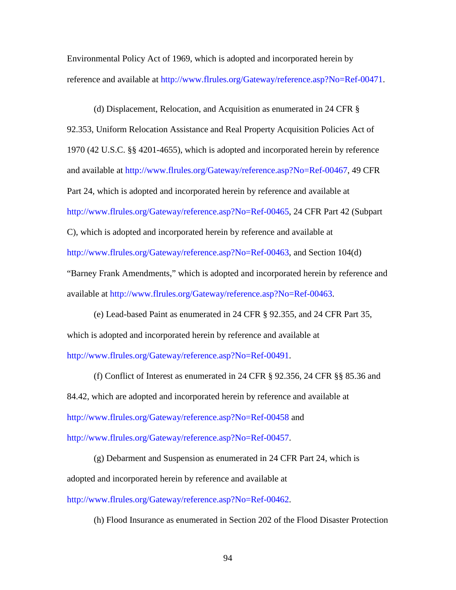Environmental Policy Act of 1969, which is adopted and incorporated herein by reference and available at [http://www.flrules.org/Gateway/reference.asp?No=Ref-00471.](https://www.flrules.org/Gateway/reference.asp?No=Ref-00471)

(d) Displacement, Relocation, and Acquisition as enumerated in 24 CFR § 92.353, Uniform Relocation Assistance and Real Property Acquisition Policies Act of 1970 (42 U.S.C. §§ 4201-4655), which is adopted and incorporated herein by reference and available at [http://www.flrules.org/Gateway/reference.asp?No=Ref-00467,](https://www.flrules.org/Gateway/reference.asp?No=Ref-00467) 49 CFR Part 24, which is adopted and incorporated herein by reference and available at [http://www.flrules.org/Gateway/reference.asp?No=Ref-00465,](https://www.flrules.org/Gateway/reference.asp?No=Ref-00465) 24 CFR Part 42 (Subpart C), which is adopted and incorporated herein by reference and available at [http://www.flrules.org/Gateway/reference.asp?No=Ref-00463,](https://www.flrules.org/Gateway/reference.asp?No=Ref-00463) and Section 104(d) "Barney Frank Amendments," which is adopted and incorporated herein by reference and available at [http://www.flrules.org/Gateway/reference.asp?No=Ref-00463.](https://www.flrules.org/Gateway/reference.asp?No=Ref-00463)

(e) Lead-based Paint as enumerated in 24 CFR § 92.355, and 24 CFR Part 35, which is adopted and incorporated herein by reference and available at [http://www.flrules.org/Gateway/reference.asp?No=Ref-00491.](https://www.flrules.org/Gateway/reference.asp?No=Ref-00491)

(f) Conflict of Interest as enumerated in 24 CFR § 92.356, 24 CFR §§ 85.36 and 84.42, which are adopted and incorporated herein by reference and available at [http://www.flrules.org/Gateway/reference.asp?No=Ref-00458](https://www.flrules.org/Gateway/reference.asp?No=Ref-00458) and [http://www.flrules.org/Gateway/reference.asp?No=Ref-00457.](https://www.flrules.org/Gateway/reference.asp?No=Ref-00457)

(g) Debarment and Suspension as enumerated in 24 CFR Part 24, which is adopted and incorporated herein by reference and available at [http://www.flrules.org/Gateway/reference.asp?No=Ref-00462.](https://www.flrules.org/Gateway/reference.asp?No=Ref-00462)

(h) Flood Insurance as enumerated in Section 202 of the Flood Disaster Protection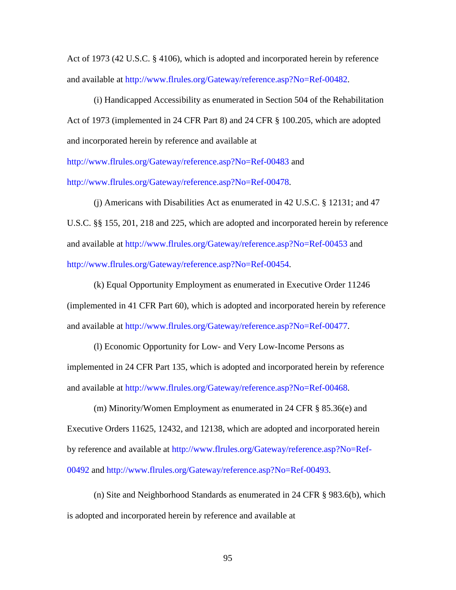Act of 1973 (42 U.S.C. § 4106), which is adopted and incorporated herein by reference and available at [http://www.flrules.org/Gateway/reference.asp?No=Ref-00482.](https://www.flrules.org/Gateway/reference.asp?No=Ref-00482)

(i) Handicapped Accessibility as enumerated in Section 504 of the Rehabilitation Act of 1973 (implemented in 24 CFR Part 8) and 24 CFR § 100.205, which are adopted and incorporated herein by reference and available at

[http://www.flrules.org/Gateway/reference.asp?No=Ref-00483](https://www.flrules.org/Gateway/reference.asp?No=Ref-00483) and

[http://www.flrules.org/Gateway/reference.asp?No=Ref-00478.](https://www.flrules.org/Gateway/reference.asp?No=Ref-00478)

(j) Americans with Disabilities Act as enumerated in 42 U.S.C. § 12131; and 47 U.S.C. §§ 155, 201, 218 and 225, which are adopted and incorporated herein by reference and available at [http://www.flrules.org/Gateway/reference.asp?No=Ref-00453](https://www.flrules.org/Gateway/reference.asp?No=Ref-00453) and [http://www.flrules.org/Gateway/reference.asp?No=Ref-00454.](https://www.flrules.org/Gateway/reference.asp?No=Ref-00454)

(k) Equal Opportunity Employment as enumerated in Executive Order 11246 (implemented in 41 CFR Part 60), which is adopted and incorporated herein by reference and available at [http://www.flrules.org/Gateway/reference.asp?No=Ref-00477.](https://www.flrules.org/Gateway/reference.asp?No=Ref-00477)

(l) Economic Opportunity for Low- and Very Low-Income Persons as implemented in 24 CFR Part 135, which is adopted and incorporated herein by reference and available at [http://www.flrules.org/Gateway/reference.asp?No=Ref-00468.](https://www.flrules.org/Gateway/reference.asp?No=Ref-00468)

(m) Minority/Women Employment as enumerated in 24 CFR § 85.36(e) and Executive Orders 11625, 12432, and 12138, which are adopted and incorporated herein by reference and available at [http://www.flrules.org/Gateway/reference.asp?No=Ref-](https://www.flrules.org/Gateway/reference.asp?No=Ref-00492)[00492](https://www.flrules.org/Gateway/reference.asp?No=Ref-00492) and [http://www.flrules.org/Gateway/reference.asp?No=Ref-00493.](https://www.flrules.org/Gateway/reference.asp?No=Ref-00493)

(n) Site and Neighborhood Standards as enumerated in 24 CFR § 983.6(b), which is adopted and incorporated herein by reference and available at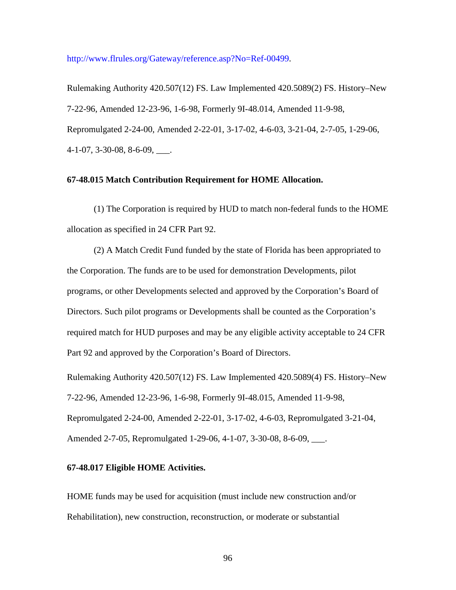[http://www.flrules.org/Gateway/reference.asp?No=Ref-00499.](https://www.flrules.org/Gateway/reference.asp?No=Ref-00499)

Rulemaking Authority 420.507(12) FS. Law Implemented 420.5089(2) FS. History–New 7-22-96, Amended 12-23-96, 1-6-98, Formerly 9I-48.014, Amended 11-9-98, Repromulgated 2-24-00, Amended 2-22-01, 3-17-02, 4-6-03, 3-21-04, 2-7-05, 1-29-06, 4-1-07, 3-30-08, 8-6-09, \_\_\_.

## **67-48.015 Match Contribution Requirement for HOME Allocation.**

(1) The Corporation is required by HUD to match non-federal funds to the HOME allocation as specified in 24 CFR Part 92.

(2) A Match Credit Fund funded by the state of Florida has been appropriated to the Corporation. The funds are to be used for demonstration Developments, pilot programs, or other Developments selected and approved by the Corporation's Board of Directors. Such pilot programs or Developments shall be counted as the Corporation's required match for HUD purposes and may be any eligible activity acceptable to 24 CFR Part 92 and approved by the Corporation's Board of Directors.

Rulemaking Authority 420.507(12) FS. Law Implemented 420.5089(4) FS. History–New 7-22-96, Amended 12-23-96, 1-6-98, Formerly 9I-48.015, Amended 11-9-98, Repromulgated 2-24-00, Amended 2-22-01, 3-17-02, 4-6-03, Repromulgated 3-21-04, Amended 2-7-05, Repromulgated 1-29-06, 4-1-07, 3-30-08, 8-6-09, \_\_\_.

# **67-48.017 Eligible HOME Activities.**

HOME funds may be used for acquisition (must include new construction and/or Rehabilitation), new construction, reconstruction, or moderate or substantial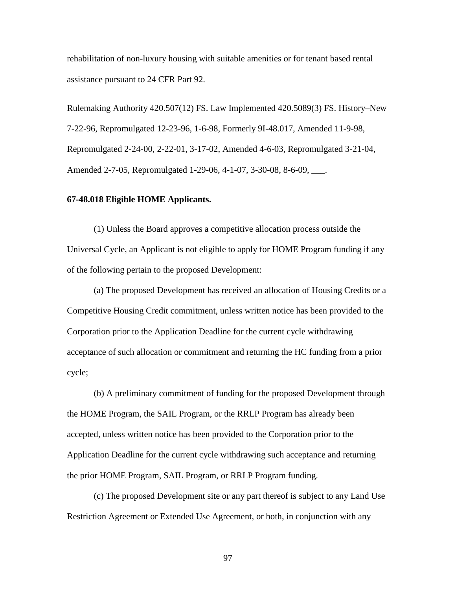rehabilitation of non-luxury housing with suitable amenities or for tenant based rental assistance pursuant to 24 CFR Part 92.

Rulemaking Authority 420.507(12) FS. Law Implemented 420.5089(3) FS. History–New 7-22-96, Repromulgated 12-23-96, 1-6-98, Formerly 9I-48.017, Amended 11-9-98, Repromulgated 2-24-00, 2-22-01, 3-17-02, Amended 4-6-03, Repromulgated 3-21-04, Amended 2-7-05, Repromulgated 1-29-06, 4-1-07, 3-30-08, 8-6-09, \_\_\_.

## **67-48.018 Eligible HOME Applicants.**

(1) Unless the Board approves a competitive allocation process outside the Universal Cycle, an Applicant is not eligible to apply for HOME Program funding if any of the following pertain to the proposed Development:

(a) The proposed Development has received an allocation of Housing Credits or a Competitive Housing Credit commitment, unless written notice has been provided to the Corporation prior to the Application Deadline for the current cycle withdrawing acceptance of such allocation or commitment and returning the HC funding from a prior cycle;

(b) A preliminary commitment of funding for the proposed Development through the HOME Program, the SAIL Program, or the RRLP Program has already been accepted, unless written notice has been provided to the Corporation prior to the Application Deadline for the current cycle withdrawing such acceptance and returning the prior HOME Program, SAIL Program, or RRLP Program funding.

(c) The proposed Development site or any part thereof is subject to any Land Use Restriction Agreement or Extended Use Agreement, or both, in conjunction with any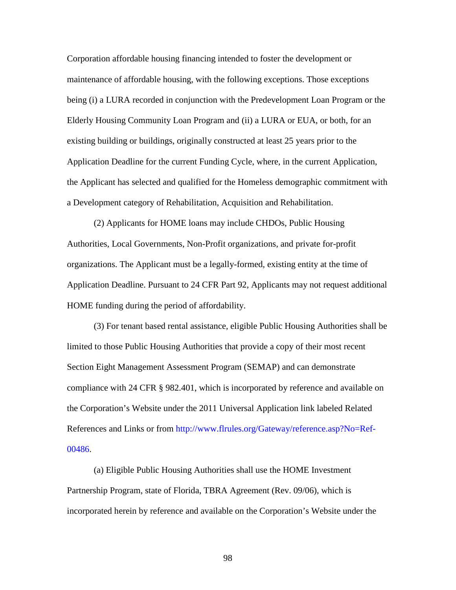Corporation affordable housing financing intended to foster the development or maintenance of affordable housing, with the following exceptions. Those exceptions being (i) a LURA recorded in conjunction with the Predevelopment Loan Program or the Elderly Housing Community Loan Program and (ii) a LURA or EUA, or both, for an existing building or buildings, originally constructed at least 25 years prior to the Application Deadline for the current Funding Cycle, where, in the current Application, the Applicant has selected and qualified for the Homeless demographic commitment with a Development category of Rehabilitation, Acquisition and Rehabilitation.

(2) Applicants for HOME loans may include CHDOs, Public Housing Authorities, Local Governments, Non-Profit organizations, and private for-profit organizations. The Applicant must be a legally-formed, existing entity at the time of Application Deadline. Pursuant to 24 CFR Part 92, Applicants may not request additional HOME funding during the period of affordability.

(3) For tenant based rental assistance, eligible Public Housing Authorities shall be limited to those Public Housing Authorities that provide a copy of their most recent Section Eight Management Assessment Program (SEMAP) and can demonstrate compliance with 24 CFR § 982.401, which is incorporated by reference and available on the Corporation's Website under the 2011 Universal Application link labeled Related References and Links or from [http://www.flrules.org/Gateway/reference.asp?No=Ref-](https://www.flrules.org/Gateway/reference.asp?No=Ref-00486)[00486.](https://www.flrules.org/Gateway/reference.asp?No=Ref-00486)

(a) Eligible Public Housing Authorities shall use the HOME Investment Partnership Program, state of Florida, TBRA Agreement (Rev. 09/06), which is incorporated herein by reference and available on the Corporation's Website under the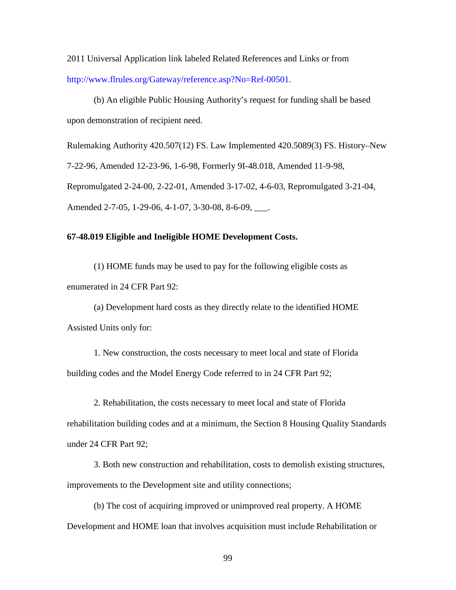2011 Universal Application link labeled Related References and Links or from [http://www.flrules.org/Gateway/reference.asp?No=Ref-00501.](https://www.flrules.org/Gateway/reference.asp?No=Ref-00501)

(b) An eligible Public Housing Authority's request for funding shall be based upon demonstration of recipient need.

Rulemaking Authority 420.507(12) FS. Law Implemented 420.5089(3) FS. History–New 7-22-96, Amended 12-23-96, 1-6-98, Formerly 9I-48.018, Amended 11-9-98, Repromulgated 2-24-00, 2-22-01, Amended 3-17-02, 4-6-03, Repromulgated 3-21-04, Amended 2-7-05, 1-29-06, 4-1-07, 3-30-08, 8-6-09, \_\_\_.

### **67-48.019 Eligible and Ineligible HOME Development Costs.**

(1) HOME funds may be used to pay for the following eligible costs as enumerated in 24 CFR Part 92:

(a) Development hard costs as they directly relate to the identified HOME Assisted Units only for:

1. New construction, the costs necessary to meet local and state of Florida building codes and the Model Energy Code referred to in 24 CFR Part 92;

2. Rehabilitation, the costs necessary to meet local and state of Florida rehabilitation building codes and at a minimum, the Section 8 Housing Quality Standards under 24 CFR Part 92;

3. Both new construction and rehabilitation, costs to demolish existing structures, improvements to the Development site and utility connections;

(b) The cost of acquiring improved or unimproved real property. A HOME Development and HOME loan that involves acquisition must include Rehabilitation or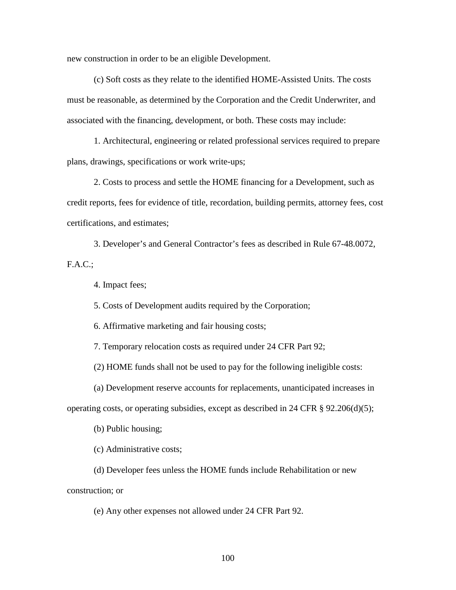new construction in order to be an eligible Development.

(c) Soft costs as they relate to the identified HOME-Assisted Units. The costs must be reasonable, as determined by the Corporation and the Credit Underwriter, and associated with the financing, development, or both. These costs may include:

1. Architectural, engineering or related professional services required to prepare plans, drawings, specifications or work write-ups;

2. Costs to process and settle the HOME financing for a Development, such as credit reports, fees for evidence of title, recordation, building permits, attorney fees, cost certifications, and estimates;

3. Developer's and General Contractor's fees as described in Rule 67-48.0072,  $F.A.C.:$ 

4. Impact fees;

5. Costs of Development audits required by the Corporation;

6. Affirmative marketing and fair housing costs;

7. Temporary relocation costs as required under 24 CFR Part 92;

(2) HOME funds shall not be used to pay for the following ineligible costs:

(a) Development reserve accounts for replacements, unanticipated increases in

operating costs, or operating subsidies, except as described in 24 CFR § 92.206(d)(5);

(b) Public housing;

(c) Administrative costs;

(d) Developer fees unless the HOME funds include Rehabilitation or new construction; or

(e) Any other expenses not allowed under 24 CFR Part 92.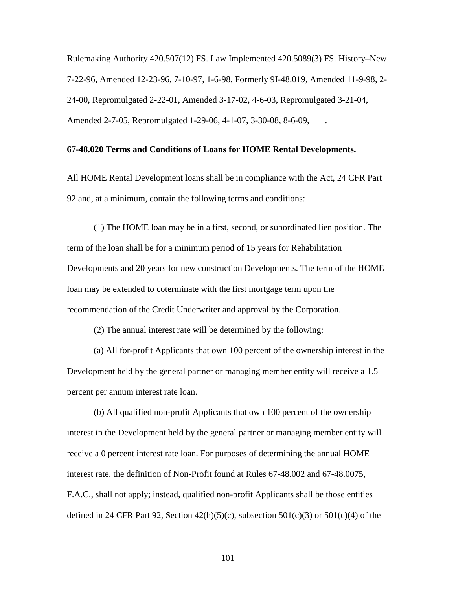Rulemaking Authority 420.507(12) FS. Law Implemented 420.5089(3) FS. History–New 7-22-96, Amended 12-23-96, 7-10-97, 1-6-98, Formerly 9I-48.019, Amended 11-9-98, 2- 24-00, Repromulgated 2-22-01, Amended 3-17-02, 4-6-03, Repromulgated 3-21-04, Amended 2-7-05, Repromulgated 1-29-06, 4-1-07, 3-30-08, 8-6-09, \_\_\_.

## **67-48.020 Terms and Conditions of Loans for HOME Rental Developments.**

All HOME Rental Development loans shall be in compliance with the Act, 24 CFR Part 92 and, at a minimum, contain the following terms and conditions:

(1) The HOME loan may be in a first, second, or subordinated lien position. The term of the loan shall be for a minimum period of 15 years for Rehabilitation Developments and 20 years for new construction Developments. The term of the HOME loan may be extended to coterminate with the first mortgage term upon the recommendation of the Credit Underwriter and approval by the Corporation.

(2) The annual interest rate will be determined by the following:

(a) All for-profit Applicants that own 100 percent of the ownership interest in the Development held by the general partner or managing member entity will receive a 1.5 percent per annum interest rate loan.

(b) All qualified non-profit Applicants that own 100 percent of the ownership interest in the Development held by the general partner or managing member entity will receive a 0 percent interest rate loan. For purposes of determining the annual HOME interest rate, the definition of Non-Profit found at Rules 67-48.002 and 67-48.0075, F.A.C., shall not apply; instead, qualified non-profit Applicants shall be those entities defined in 24 CFR Part 92, Section  $42(h)(5)(c)$ , subsection  $501(c)(3)$  or  $501(c)(4)$  of the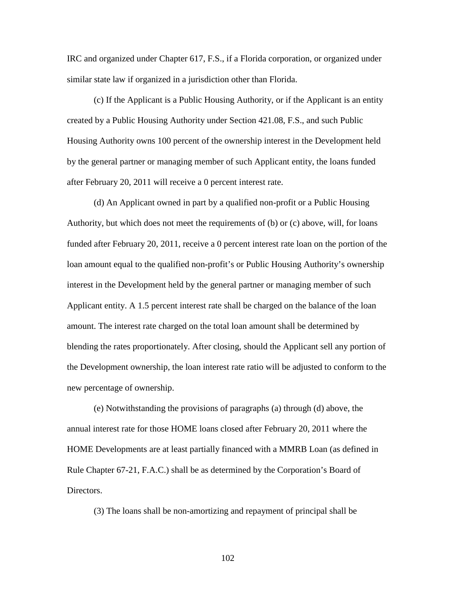IRC and organized under Chapter 617, F.S., if a Florida corporation, or organized under similar state law if organized in a jurisdiction other than Florida.

(c) If the Applicant is a Public Housing Authority, or if the Applicant is an entity created by a Public Housing Authority under Section 421.08, F.S., and such Public Housing Authority owns 100 percent of the ownership interest in the Development held by the general partner or managing member of such Applicant entity, the loans funded after February 20, 2011 will receive a 0 percent interest rate.

(d) An Applicant owned in part by a qualified non-profit or a Public Housing Authority, but which does not meet the requirements of (b) or (c) above, will, for loans funded after February 20, 2011, receive a 0 percent interest rate loan on the portion of the loan amount equal to the qualified non-profit's or Public Housing Authority's ownership interest in the Development held by the general partner or managing member of such Applicant entity. A 1.5 percent interest rate shall be charged on the balance of the loan amount. The interest rate charged on the total loan amount shall be determined by blending the rates proportionately. After closing, should the Applicant sell any portion of the Development ownership, the loan interest rate ratio will be adjusted to conform to the new percentage of ownership.

(e) Notwithstanding the provisions of paragraphs (a) through (d) above, the annual interest rate for those HOME loans closed after February 20, 2011 where the HOME Developments are at least partially financed with a MMRB Loan (as defined in Rule Chapter 67-21, F.A.C.) shall be as determined by the Corporation's Board of Directors.

(3) The loans shall be non-amortizing and repayment of principal shall be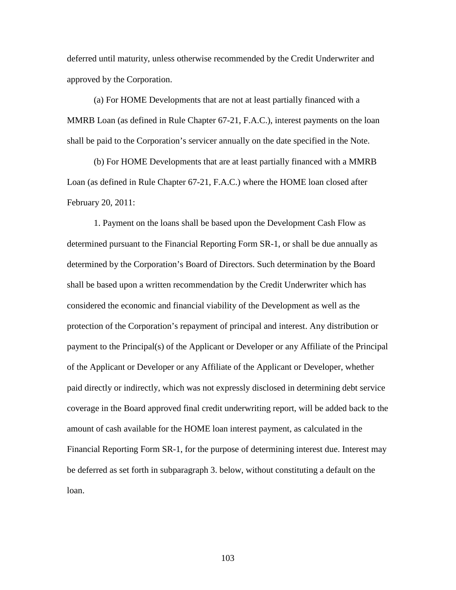deferred until maturity, unless otherwise recommended by the Credit Underwriter and approved by the Corporation.

(a) For HOME Developments that are not at least partially financed with a MMRB Loan (as defined in Rule Chapter 67-21, F.A.C.), interest payments on the loan shall be paid to the Corporation's servicer annually on the date specified in the Note.

(b) For HOME Developments that are at least partially financed with a MMRB Loan (as defined in Rule Chapter 67-21, F.A.C.) where the HOME loan closed after February 20, 2011:

1. Payment on the loans shall be based upon the Development Cash Flow as determined pursuant to the Financial Reporting Form SR-1, or shall be due annually as determined by the Corporation's Board of Directors. Such determination by the Board shall be based upon a written recommendation by the Credit Underwriter which has considered the economic and financial viability of the Development as well as the protection of the Corporation's repayment of principal and interest. Any distribution or payment to the Principal(s) of the Applicant or Developer or any Affiliate of the Principal of the Applicant or Developer or any Affiliate of the Applicant or Developer, whether paid directly or indirectly, which was not expressly disclosed in determining debt service coverage in the Board approved final credit underwriting report, will be added back to the amount of cash available for the HOME loan interest payment, as calculated in the Financial Reporting Form SR-1, for the purpose of determining interest due. Interest may be deferred as set forth in subparagraph 3. below, without constituting a default on the loan.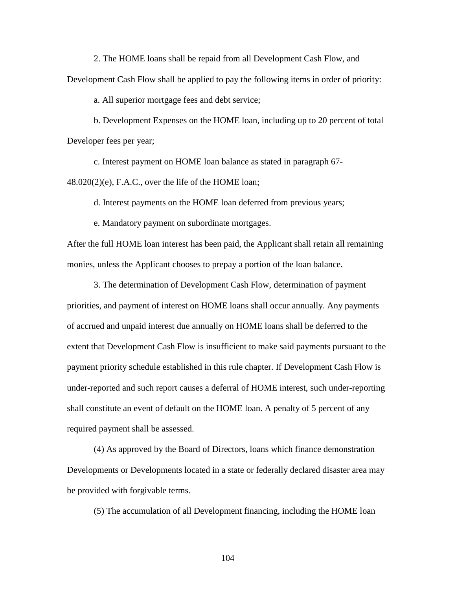2. The HOME loans shall be repaid from all Development Cash Flow, and

Development Cash Flow shall be applied to pay the following items in order of priority:

a. All superior mortgage fees and debt service;

b. Development Expenses on the HOME loan, including up to 20 percent of total Developer fees per year;

c. Interest payment on HOME loan balance as stated in paragraph 67-

48.020(2)(e), F.A.C., over the life of the HOME loan;

d. Interest payments on the HOME loan deferred from previous years;

e. Mandatory payment on subordinate mortgages.

After the full HOME loan interest has been paid, the Applicant shall retain all remaining monies, unless the Applicant chooses to prepay a portion of the loan balance.

3. The determination of Development Cash Flow, determination of payment priorities, and payment of interest on HOME loans shall occur annually. Any payments of accrued and unpaid interest due annually on HOME loans shall be deferred to the extent that Development Cash Flow is insufficient to make said payments pursuant to the payment priority schedule established in this rule chapter. If Development Cash Flow is under-reported and such report causes a deferral of HOME interest, such under-reporting shall constitute an event of default on the HOME loan. A penalty of 5 percent of any required payment shall be assessed.

(4) As approved by the Board of Directors, loans which finance demonstration Developments or Developments located in a state or federally declared disaster area may be provided with forgivable terms.

(5) The accumulation of all Development financing, including the HOME loan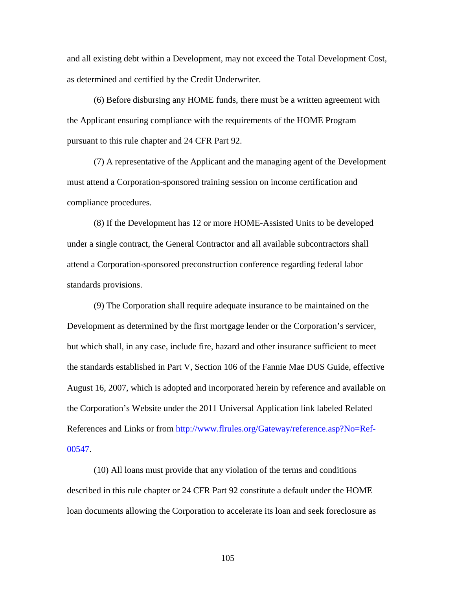and all existing debt within a Development, may not exceed the Total Development Cost, as determined and certified by the Credit Underwriter.

(6) Before disbursing any HOME funds, there must be a written agreement with the Applicant ensuring compliance with the requirements of the HOME Program pursuant to this rule chapter and 24 CFR Part 92.

(7) A representative of the Applicant and the managing agent of the Development must attend a Corporation-sponsored training session on income certification and compliance procedures.

(8) If the Development has 12 or more HOME-Assisted Units to be developed under a single contract, the General Contractor and all available subcontractors shall attend a Corporation-sponsored preconstruction conference regarding federal labor standards provisions.

(9) The Corporation shall require adequate insurance to be maintained on the Development as determined by the first mortgage lender or the Corporation's servicer, but which shall, in any case, include fire, hazard and other insurance sufficient to meet the standards established in Part V, Section 106 of the Fannie Mae DUS Guide, effective August 16, 2007, which is adopted and incorporated herein by reference and available on the Corporation's Website under the 2011 Universal Application link labeled Related References and Links or from [http://www.flrules.org/Gateway/reference.asp?No=Ref-](https://www.flrules.org/Gateway/reference.asp?No=Ref-00547)[00547.](https://www.flrules.org/Gateway/reference.asp?No=Ref-00547)

(10) All loans must provide that any violation of the terms and conditions described in this rule chapter or 24 CFR Part 92 constitute a default under the HOME loan documents allowing the Corporation to accelerate its loan and seek foreclosure as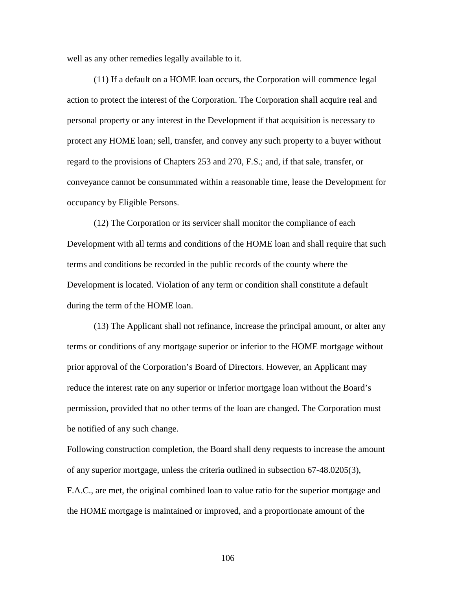well as any other remedies legally available to it.

(11) If a default on a HOME loan occurs, the Corporation will commence legal action to protect the interest of the Corporation. The Corporation shall acquire real and personal property or any interest in the Development if that acquisition is necessary to protect any HOME loan; sell, transfer, and convey any such property to a buyer without regard to the provisions of Chapters 253 and 270, F.S.; and, if that sale, transfer, or conveyance cannot be consummated within a reasonable time, lease the Development for occupancy by Eligible Persons.

(12) The Corporation or its servicer shall monitor the compliance of each Development with all terms and conditions of the HOME loan and shall require that such terms and conditions be recorded in the public records of the county where the Development is located. Violation of any term or condition shall constitute a default during the term of the HOME loan.

(13) The Applicant shall not refinance, increase the principal amount, or alter any terms or conditions of any mortgage superior or inferior to the HOME mortgage without prior approval of the Corporation's Board of Directors. However, an Applicant may reduce the interest rate on any superior or inferior mortgage loan without the Board's permission, provided that no other terms of the loan are changed. The Corporation must be notified of any such change.

Following construction completion, the Board shall deny requests to increase the amount of any superior mortgage, unless the criteria outlined in subsection 67-48.0205(3), F.A.C., are met, the original combined loan to value ratio for the superior mortgage and the HOME mortgage is maintained or improved, and a proportionate amount of the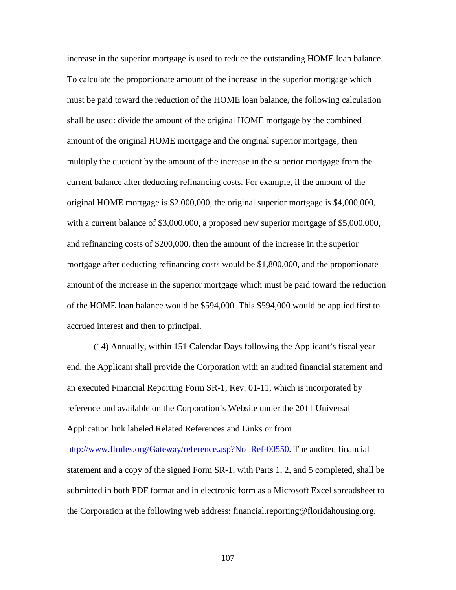increase in the superior mortgage is used to reduce the outstanding HOME loan balance. To calculate the proportionate amount of the increase in the superior mortgage which must be paid toward the reduction of the HOME loan balance, the following calculation shall be used: divide the amount of the original HOME mortgage by the combined amount of the original HOME mortgage and the original superior mortgage; then multiply the quotient by the amount of the increase in the superior mortgage from the current balance after deducting refinancing costs. For example, if the amount of the original HOME mortgage is \$2,000,000, the original superior mortgage is \$4,000,000, with a current balance of \$3,000,000, a proposed new superior mortgage of \$5,000,000, and refinancing costs of \$200,000, then the amount of the increase in the superior mortgage after deducting refinancing costs would be \$1,800,000, and the proportionate amount of the increase in the superior mortgage which must be paid toward the reduction of the HOME loan balance would be \$594,000. This \$594,000 would be applied first to accrued interest and then to principal.

(14) Annually, within 151 Calendar Days following the Applicant's fiscal year end, the Applicant shall provide the Corporation with an audited financial statement and an executed Financial Reporting Form SR-1, Rev. 01-11, which is incorporated by reference and available on the Corporation's Website under the 2011 Universal Application link labeled Related References and Links or from [http://www.flrules.org/Gateway/reference.asp?No=Ref-00550.](https://www.flrules.org/Gateway/reference.asp?No=Ref-00550) The audited financial statement and a copy of the signed Form SR-1, with Parts 1, 2, and 5 completed, shall be submitted in both PDF format and in electronic form as a Microsoft Excel spreadsheet to the Corporation at the following web address: financial.reporting@floridahousing.org.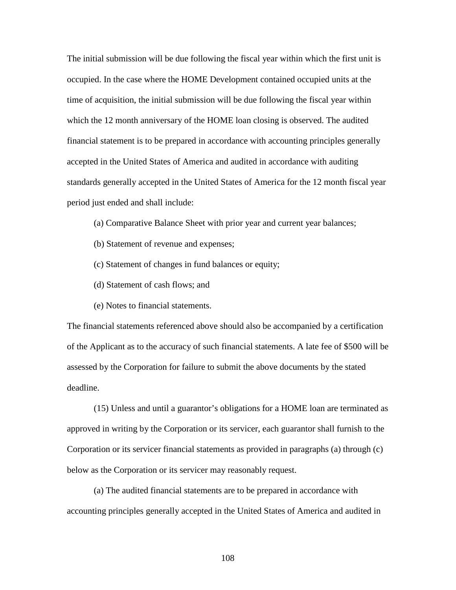The initial submission will be due following the fiscal year within which the first unit is occupied. In the case where the HOME Development contained occupied units at the time of acquisition, the initial submission will be due following the fiscal year within which the 12 month anniversary of the HOME loan closing is observed. The audited financial statement is to be prepared in accordance with accounting principles generally accepted in the United States of America and audited in accordance with auditing standards generally accepted in the United States of America for the 12 month fiscal year period just ended and shall include:

- (a) Comparative Balance Sheet with prior year and current year balances;
- (b) Statement of revenue and expenses;
- (c) Statement of changes in fund balances or equity;
- (d) Statement of cash flows; and
- (e) Notes to financial statements.

The financial statements referenced above should also be accompanied by a certification of the Applicant as to the accuracy of such financial statements. A late fee of \$500 will be assessed by the Corporation for failure to submit the above documents by the stated deadline.

(15) Unless and until a guarantor's obligations for a HOME loan are terminated as approved in writing by the Corporation or its servicer, each guarantor shall furnish to the Corporation or its servicer financial statements as provided in paragraphs (a) through (c) below as the Corporation or its servicer may reasonably request.

(a) The audited financial statements are to be prepared in accordance with accounting principles generally accepted in the United States of America and audited in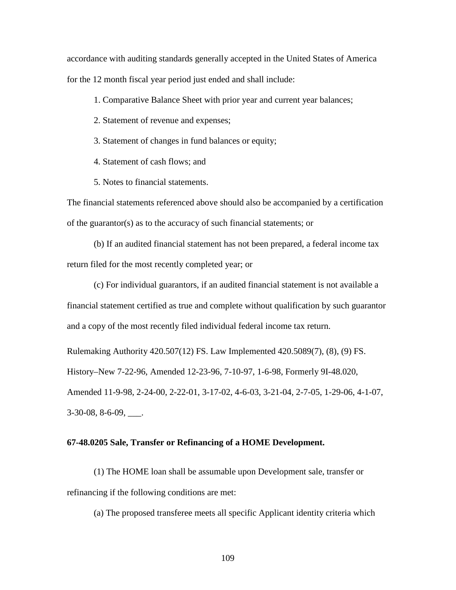accordance with auditing standards generally accepted in the United States of America for the 12 month fiscal year period just ended and shall include:

1. Comparative Balance Sheet with prior year and current year balances;

- 2. Statement of revenue and expenses;
- 3. Statement of changes in fund balances or equity;
- 4. Statement of cash flows; and
- 5. Notes to financial statements.

The financial statements referenced above should also be accompanied by a certification of the guarantor(s) as to the accuracy of such financial statements; or

(b) If an audited financial statement has not been prepared, a federal income tax return filed for the most recently completed year; or

(c) For individual guarantors, if an audited financial statement is not available a financial statement certified as true and complete without qualification by such guarantor and a copy of the most recently filed individual federal income tax return.

Rulemaking Authority 420.507(12) FS. Law Implemented 420.5089(7), (8), (9) FS. History–New 7-22-96, Amended 12-23-96, 7-10-97, 1-6-98, Formerly 9I-48.020, Amended 11-9-98, 2-24-00, 2-22-01, 3-17-02, 4-6-03, 3-21-04, 2-7-05, 1-29-06, 4-1-07, 3-30-08, 8-6-09, \_\_\_.

## **67-48.0205 Sale, Transfer or Refinancing of a HOME Development.**

(1) The HOME loan shall be assumable upon Development sale, transfer or refinancing if the following conditions are met:

(a) The proposed transferee meets all specific Applicant identity criteria which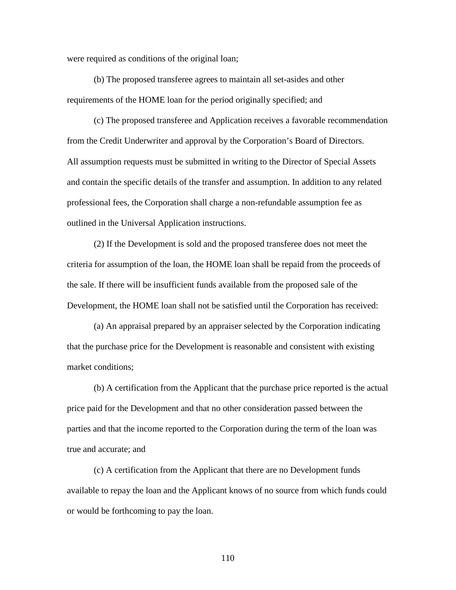were required as conditions of the original loan;

(b) The proposed transferee agrees to maintain all set-asides and other requirements of the HOME loan for the period originally specified; and

(c) The proposed transferee and Application receives a favorable recommendation from the Credit Underwriter and approval by the Corporation's Board of Directors. All assumption requests must be submitted in writing to the Director of Special Assets and contain the specific details of the transfer and assumption. In addition to any related professional fees, the Corporation shall charge a non-refundable assumption fee as outlined in the Universal Application instructions.

(2) If the Development is sold and the proposed transferee does not meet the criteria for assumption of the loan, the HOME loan shall be repaid from the proceeds of the sale. If there will be insufficient funds available from the proposed sale of the Development, the HOME loan shall not be satisfied until the Corporation has received:

(a) An appraisal prepared by an appraiser selected by the Corporation indicating that the purchase price for the Development is reasonable and consistent with existing market conditions;

(b) A certification from the Applicant that the purchase price reported is the actual price paid for the Development and that no other consideration passed between the parties and that the income reported to the Corporation during the term of the loan was true and accurate; and

(c) A certification from the Applicant that there are no Development funds available to repay the loan and the Applicant knows of no source from which funds could or would be forthcoming to pay the loan.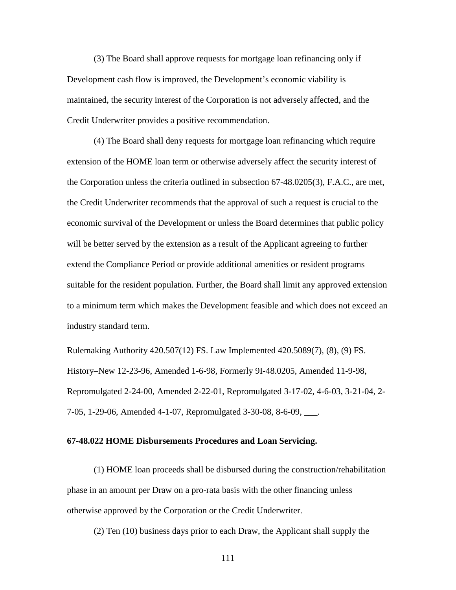(3) The Board shall approve requests for mortgage loan refinancing only if Development cash flow is improved, the Development's economic viability is maintained, the security interest of the Corporation is not adversely affected, and the Credit Underwriter provides a positive recommendation.

(4) The Board shall deny requests for mortgage loan refinancing which require extension of the HOME loan term or otherwise adversely affect the security interest of the Corporation unless the criteria outlined in subsection 67-48.0205(3), F.A.C., are met, the Credit Underwriter recommends that the approval of such a request is crucial to the economic survival of the Development or unless the Board determines that public policy will be better served by the extension as a result of the Applicant agreeing to further extend the Compliance Period or provide additional amenities or resident programs suitable for the resident population. Further, the Board shall limit any approved extension to a minimum term which makes the Development feasible and which does not exceed an industry standard term.

Rulemaking Authority 420.507(12) FS. Law Implemented 420.5089(7), (8), (9) FS. History–New 12-23-96, Amended 1-6-98, Formerly 9I-48.0205, Amended 11-9-98, Repromulgated 2-24-00, Amended 2-22-01, Repromulgated 3-17-02, 4-6-03, 3-21-04, 2- 7-05, 1-29-06, Amended 4-1-07, Repromulgated 3-30-08, 8-6-09, \_\_\_.

#### **67-48.022 HOME Disbursements Procedures and Loan Servicing.**

(1) HOME loan proceeds shall be disbursed during the construction/rehabilitation phase in an amount per Draw on a pro-rata basis with the other financing unless otherwise approved by the Corporation or the Credit Underwriter.

(2) Ten (10) business days prior to each Draw, the Applicant shall supply the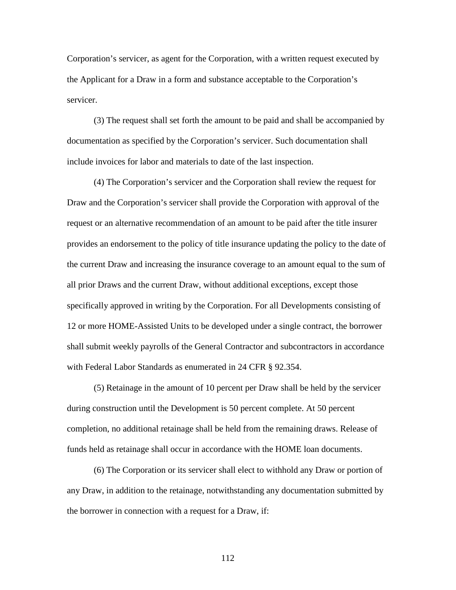Corporation's servicer, as agent for the Corporation, with a written request executed by the Applicant for a Draw in a form and substance acceptable to the Corporation's servicer.

(3) The request shall set forth the amount to be paid and shall be accompanied by documentation as specified by the Corporation's servicer. Such documentation shall include invoices for labor and materials to date of the last inspection.

(4) The Corporation's servicer and the Corporation shall review the request for Draw and the Corporation's servicer shall provide the Corporation with approval of the request or an alternative recommendation of an amount to be paid after the title insurer provides an endorsement to the policy of title insurance updating the policy to the date of the current Draw and increasing the insurance coverage to an amount equal to the sum of all prior Draws and the current Draw, without additional exceptions, except those specifically approved in writing by the Corporation. For all Developments consisting of 12 or more HOME-Assisted Units to be developed under a single contract, the borrower shall submit weekly payrolls of the General Contractor and subcontractors in accordance with Federal Labor Standards as enumerated in 24 CFR § 92.354.

(5) Retainage in the amount of 10 percent per Draw shall be held by the servicer during construction until the Development is 50 percent complete. At 50 percent completion, no additional retainage shall be held from the remaining draws. Release of funds held as retainage shall occur in accordance with the HOME loan documents.

(6) The Corporation or its servicer shall elect to withhold any Draw or portion of any Draw, in addition to the retainage, notwithstanding any documentation submitted by the borrower in connection with a request for a Draw, if: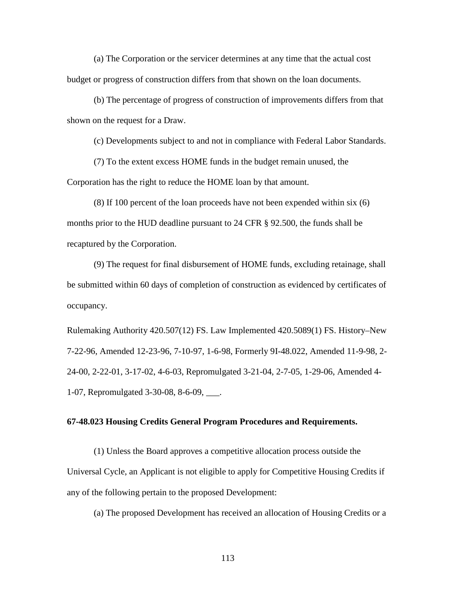(a) The Corporation or the servicer determines at any time that the actual cost budget or progress of construction differs from that shown on the loan documents.

(b) The percentage of progress of construction of improvements differs from that shown on the request for a Draw.

(c) Developments subject to and not in compliance with Federal Labor Standards.

(7) To the extent excess HOME funds in the budget remain unused, the Corporation has the right to reduce the HOME loan by that amount.

(8) If 100 percent of the loan proceeds have not been expended within six (6) months prior to the HUD deadline pursuant to 24 CFR § 92.500, the funds shall be recaptured by the Corporation.

(9) The request for final disbursement of HOME funds, excluding retainage, shall be submitted within 60 days of completion of construction as evidenced by certificates of occupancy.

Rulemaking Authority 420.507(12) FS. Law Implemented 420.5089(1) FS. History–New 7-22-96, Amended 12-23-96, 7-10-97, 1-6-98, Formerly 9I-48.022, Amended 11-9-98, 2- 24-00, 2-22-01, 3-17-02, 4-6-03, Repromulgated 3-21-04, 2-7-05, 1-29-06, Amended 4- 1-07, Repromulgated 3-30-08, 8-6-09, \_\_\_.

## **67-48.023 Housing Credits General Program Procedures and Requirements.**

(1) Unless the Board approves a competitive allocation process outside the Universal Cycle, an Applicant is not eligible to apply for Competitive Housing Credits if any of the following pertain to the proposed Development:

(a) The proposed Development has received an allocation of Housing Credits or a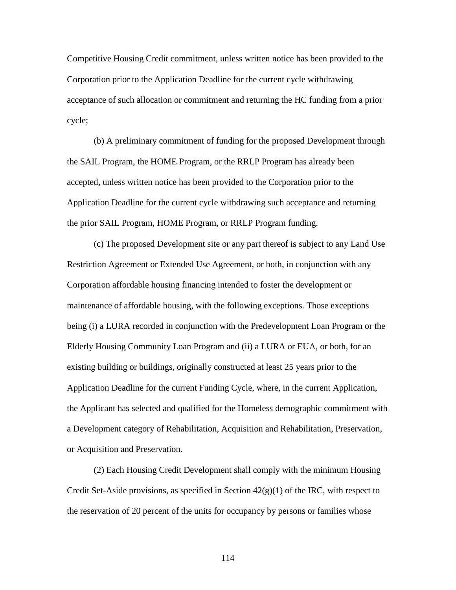Competitive Housing Credit commitment, unless written notice has been provided to the Corporation prior to the Application Deadline for the current cycle withdrawing acceptance of such allocation or commitment and returning the HC funding from a prior cycle;

(b) A preliminary commitment of funding for the proposed Development through the SAIL Program, the HOME Program, or the RRLP Program has already been accepted, unless written notice has been provided to the Corporation prior to the Application Deadline for the current cycle withdrawing such acceptance and returning the prior SAIL Program, HOME Program, or RRLP Program funding.

(c) The proposed Development site or any part thereof is subject to any Land Use Restriction Agreement or Extended Use Agreement, or both, in conjunction with any Corporation affordable housing financing intended to foster the development or maintenance of affordable housing, with the following exceptions. Those exceptions being (i) a LURA recorded in conjunction with the Predevelopment Loan Program or the Elderly Housing Community Loan Program and (ii) a LURA or EUA, or both, for an existing building or buildings, originally constructed at least 25 years prior to the Application Deadline for the current Funding Cycle, where, in the current Application, the Applicant has selected and qualified for the Homeless demographic commitment with a Development category of Rehabilitation, Acquisition and Rehabilitation, Preservation, or Acquisition and Preservation.

(2) Each Housing Credit Development shall comply with the minimum Housing Credit Set-Aside provisions, as specified in Section  $42(g)(1)$  of the IRC, with respect to the reservation of 20 percent of the units for occupancy by persons or families whose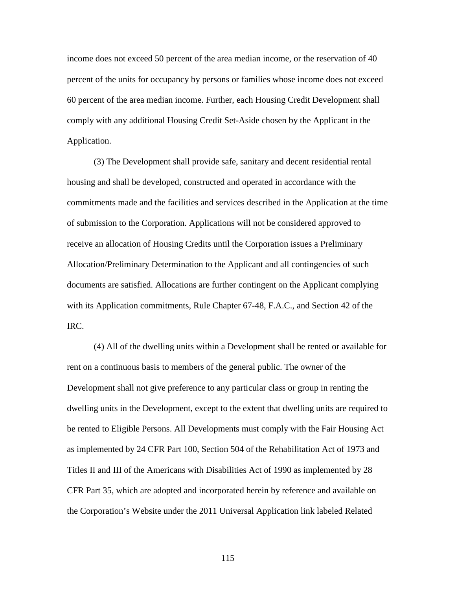income does not exceed 50 percent of the area median income, or the reservation of 40 percent of the units for occupancy by persons or families whose income does not exceed 60 percent of the area median income. Further, each Housing Credit Development shall comply with any additional Housing Credit Set-Aside chosen by the Applicant in the Application.

(3) The Development shall provide safe, sanitary and decent residential rental housing and shall be developed, constructed and operated in accordance with the commitments made and the facilities and services described in the Application at the time of submission to the Corporation. Applications will not be considered approved to receive an allocation of Housing Credits until the Corporation issues a Preliminary Allocation/Preliminary Determination to the Applicant and all contingencies of such documents are satisfied. Allocations are further contingent on the Applicant complying with its Application commitments, Rule Chapter 67-48, F.A.C., and Section 42 of the IRC.

(4) All of the dwelling units within a Development shall be rented or available for rent on a continuous basis to members of the general public. The owner of the Development shall not give preference to any particular class or group in renting the dwelling units in the Development, except to the extent that dwelling units are required to be rented to Eligible Persons. All Developments must comply with the Fair Housing Act as implemented by 24 CFR Part 100, Section 504 of the Rehabilitation Act of 1973 and Titles II and III of the Americans with Disabilities Act of 1990 as implemented by 28 CFR Part 35, which are adopted and incorporated herein by reference and available on the Corporation's Website under the 2011 Universal Application link labeled Related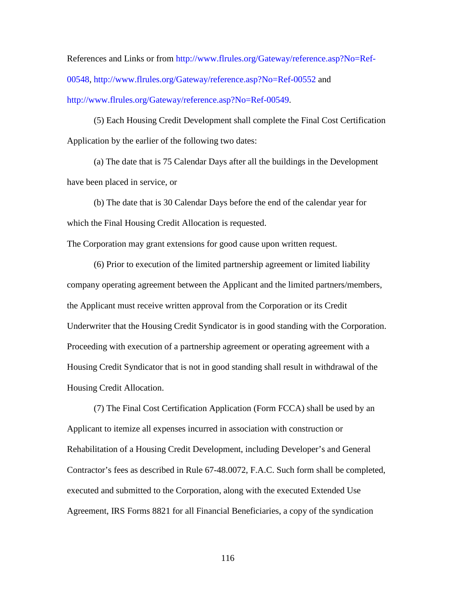References and Links or from [http://www.flrules.org/Gateway/reference.asp?No=Ref-](https://www.flrules.org/Gateway/reference.asp?No=Ref-00548)[00548,](https://www.flrules.org/Gateway/reference.asp?No=Ref-00548) [http://www.flrules.org/Gateway/reference.asp?No=Ref-00552](https://www.flrules.org/Gateway/reference.asp?No=Ref-00552) and [http://www.flrules.org/Gateway/reference.asp?No=Ref-00549.](https://www.flrules.org/Gateway/reference.asp?No=Ref-00549)

(5) Each Housing Credit Development shall complete the Final Cost Certification Application by the earlier of the following two dates:

(a) The date that is 75 Calendar Days after all the buildings in the Development have been placed in service, or

(b) The date that is 30 Calendar Days before the end of the calendar year for which the Final Housing Credit Allocation is requested.

The Corporation may grant extensions for good cause upon written request.

(6) Prior to execution of the limited partnership agreement or limited liability company operating agreement between the Applicant and the limited partners/members, the Applicant must receive written approval from the Corporation or its Credit Underwriter that the Housing Credit Syndicator is in good standing with the Corporation. Proceeding with execution of a partnership agreement or operating agreement with a Housing Credit Syndicator that is not in good standing shall result in withdrawal of the Housing Credit Allocation.

(7) The Final Cost Certification Application (Form FCCA) shall be used by an Applicant to itemize all expenses incurred in association with construction or Rehabilitation of a Housing Credit Development, including Developer's and General Contractor's fees as described in Rule 67-48.0072, F.A.C. Such form shall be completed, executed and submitted to the Corporation, along with the executed Extended Use Agreement, IRS Forms 8821 for all Financial Beneficiaries, a copy of the syndication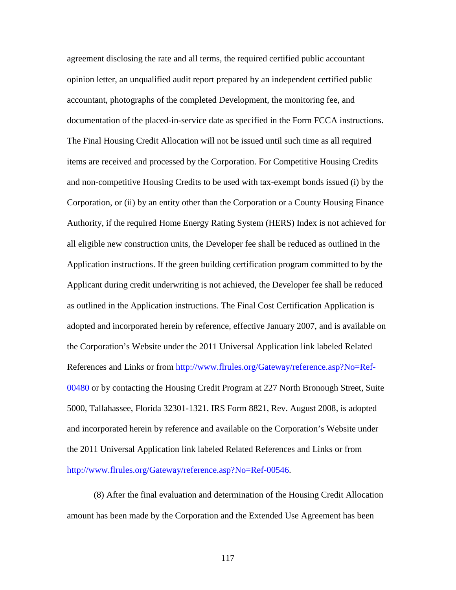agreement disclosing the rate and all terms, the required certified public accountant opinion letter, an unqualified audit report prepared by an independent certified public accountant, photographs of the completed Development, the monitoring fee, and documentation of the placed-in-service date as specified in the Form FCCA instructions. The Final Housing Credit Allocation will not be issued until such time as all required items are received and processed by the Corporation. For Competitive Housing Credits and non-competitive Housing Credits to be used with tax-exempt bonds issued (i) by the Corporation, or (ii) by an entity other than the Corporation or a County Housing Finance Authority, if the required Home Energy Rating System (HERS) Index is not achieved for all eligible new construction units, the Developer fee shall be reduced as outlined in the Application instructions. If the green building certification program committed to by the Applicant during credit underwriting is not achieved, the Developer fee shall be reduced as outlined in the Application instructions. The Final Cost Certification Application is adopted and incorporated herein by reference, effective January 2007, and is available on the Corporation's Website under the 2011 Universal Application link labeled Related References and Links or from [http://www.flrules.org/Gateway/reference.asp?No=Ref-](https://www.flrules.org/Gateway/reference.asp?No=Ref-00480)[00480](https://www.flrules.org/Gateway/reference.asp?No=Ref-00480) or by contacting the Housing Credit Program at 227 North Bronough Street, Suite 5000, Tallahassee, Florida 32301-1321. IRS Form 8821, Rev. August 2008, is adopted and incorporated herein by reference and available on the Corporation's Website under the 2011 Universal Application link labeled Related References and Links or from [http://www.flrules.org/Gateway/reference.asp?No=Ref-00546.](https://www.flrules.org/Gateway/reference.asp?No=Ref-00546)

(8) After the final evaluation and determination of the Housing Credit Allocation amount has been made by the Corporation and the Extended Use Agreement has been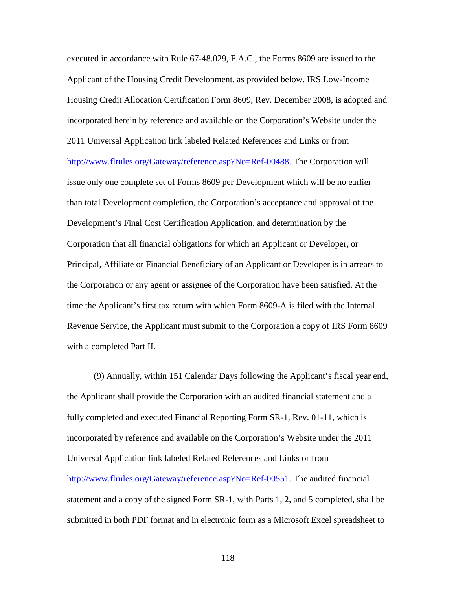executed in accordance with Rule 67-48.029, F.A.C., the Forms 8609 are issued to the Applicant of the Housing Credit Development, as provided below. IRS Low-Income Housing Credit Allocation Certification Form 8609, Rev. December 2008, is adopted and incorporated herein by reference and available on the Corporation's Website under the 2011 Universal Application link labeled Related References and Links or from [http://www.flrules.org/Gateway/reference.asp?No=Ref-00488.](https://www.flrules.org/Gateway/reference.asp?No=Ref-00488) The Corporation will issue only one complete set of Forms 8609 per Development which will be no earlier than total Development completion, the Corporation's acceptance and approval of the Development's Final Cost Certification Application, and determination by the Corporation that all financial obligations for which an Applicant or Developer, or Principal, Affiliate or Financial Beneficiary of an Applicant or Developer is in arrears to the Corporation or any agent or assignee of the Corporation have been satisfied. At the time the Applicant's first tax return with which Form 8609-A is filed with the Internal Revenue Service, the Applicant must submit to the Corporation a copy of IRS Form 8609 with a completed Part II.

(9) Annually, within 151 Calendar Days following the Applicant's fiscal year end, the Applicant shall provide the Corporation with an audited financial statement and a fully completed and executed Financial Reporting Form SR-1, Rev. 01-11, which is incorporated by reference and available on the Corporation's Website under the 2011 Universal Application link labeled Related References and Links or from [http://www.flrules.org/Gateway/reference.asp?No=Ref-00551.](https://www.flrules.org/Gateway/reference.asp?No=Ref-00551) The audited financial statement and a copy of the signed Form SR-1, with Parts 1, 2, and 5 completed, shall be submitted in both PDF format and in electronic form as a Microsoft Excel spreadsheet to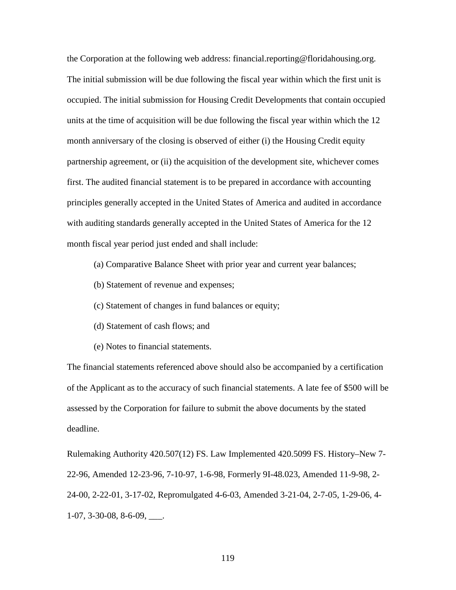the Corporation at the following web address: financial.reporting@floridahousing.org. The initial submission will be due following the fiscal year within which the first unit is occupied. The initial submission for Housing Credit Developments that contain occupied units at the time of acquisition will be due following the fiscal year within which the 12 month anniversary of the closing is observed of either (i) the Housing Credit equity partnership agreement, or (ii) the acquisition of the development site, whichever comes first. The audited financial statement is to be prepared in accordance with accounting principles generally accepted in the United States of America and audited in accordance with auditing standards generally accepted in the United States of America for the 12 month fiscal year period just ended and shall include:

- (a) Comparative Balance Sheet with prior year and current year balances;
- (b) Statement of revenue and expenses;
- (c) Statement of changes in fund balances or equity;
- (d) Statement of cash flows; and
- (e) Notes to financial statements.

The financial statements referenced above should also be accompanied by a certification of the Applicant as to the accuracy of such financial statements. A late fee of \$500 will be assessed by the Corporation for failure to submit the above documents by the stated deadline.

Rulemaking Authority 420.507(12) FS. Law Implemented 420.5099 FS. History–New 7- 22-96, Amended 12-23-96, 7-10-97, 1-6-98, Formerly 9I-48.023, Amended 11-9-98, 2- 24-00, 2-22-01, 3-17-02, Repromulgated 4-6-03, Amended 3-21-04, 2-7-05, 1-29-06, 4- 1-07, 3-30-08, 8-6-09, \_\_\_.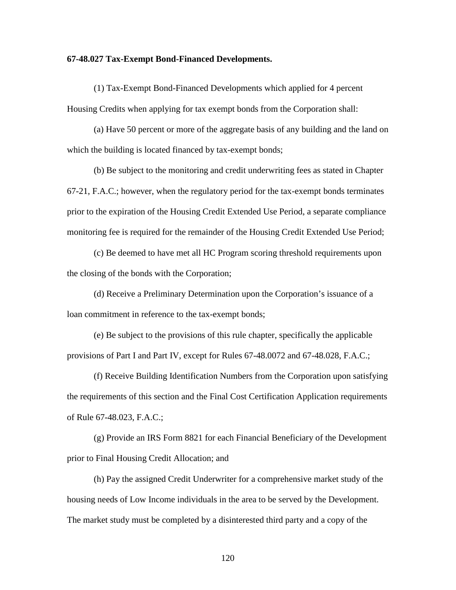## **67-48.027 Tax-Exempt Bond-Financed Developments.**

(1) Tax-Exempt Bond-Financed Developments which applied for 4 percent Housing Credits when applying for tax exempt bonds from the Corporation shall:

(a) Have 50 percent or more of the aggregate basis of any building and the land on which the building is located financed by tax-exempt bonds;

(b) Be subject to the monitoring and credit underwriting fees as stated in Chapter 67-21, F.A.C.; however, when the regulatory period for the tax-exempt bonds terminates prior to the expiration of the Housing Credit Extended Use Period, a separate compliance monitoring fee is required for the remainder of the Housing Credit Extended Use Period;

(c) Be deemed to have met all HC Program scoring threshold requirements upon the closing of the bonds with the Corporation;

(d) Receive a Preliminary Determination upon the Corporation's issuance of a loan commitment in reference to the tax-exempt bonds;

(e) Be subject to the provisions of this rule chapter, specifically the applicable provisions of Part I and Part IV, except for Rules 67-48.0072 and 67-48.028, F.A.C.;

(f) Receive Building Identification Numbers from the Corporation upon satisfying the requirements of this section and the Final Cost Certification Application requirements of Rule 67-48.023, F.A.C.;

(g) Provide an IRS Form 8821 for each Financial Beneficiary of the Development prior to Final Housing Credit Allocation; and

(h) Pay the assigned Credit Underwriter for a comprehensive market study of the housing needs of Low Income individuals in the area to be served by the Development. The market study must be completed by a disinterested third party and a copy of the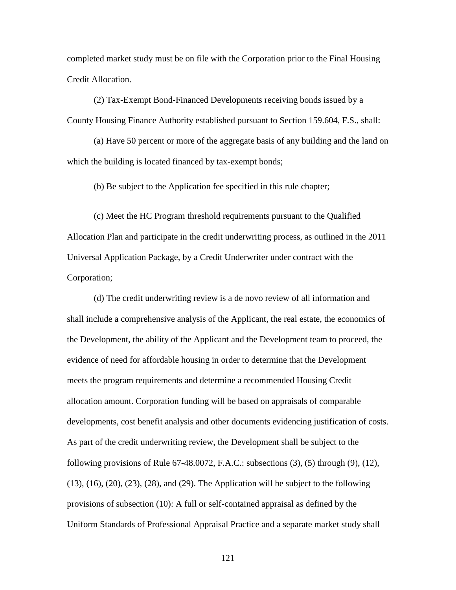completed market study must be on file with the Corporation prior to the Final Housing Credit Allocation.

(2) Tax-Exempt Bond-Financed Developments receiving bonds issued by a County Housing Finance Authority established pursuant to Section 159.604, F.S., shall:

(a) Have 50 percent or more of the aggregate basis of any building and the land on which the building is located financed by tax-exempt bonds;

(b) Be subject to the Application fee specified in this rule chapter;

(c) Meet the HC Program threshold requirements pursuant to the Qualified Allocation Plan and participate in the credit underwriting process, as outlined in the 2011 Universal Application Package, by a Credit Underwriter under contract with the Corporation;

(d) The credit underwriting review is a de novo review of all information and shall include a comprehensive analysis of the Applicant, the real estate, the economics of the Development, the ability of the Applicant and the Development team to proceed, the evidence of need for affordable housing in order to determine that the Development meets the program requirements and determine a recommended Housing Credit allocation amount. Corporation funding will be based on appraisals of comparable developments, cost benefit analysis and other documents evidencing justification of costs. As part of the credit underwriting review, the Development shall be subject to the following provisions of Rule 67-48.0072, F.A.C.: subsections (3), (5) through (9), (12),  $(13)$ ,  $(16)$ ,  $(20)$ ,  $(23)$ ,  $(28)$ , and  $(29)$ . The Application will be subject to the following provisions of subsection (10): A full or self-contained appraisal as defined by the Uniform Standards of Professional Appraisal Practice and a separate market study shall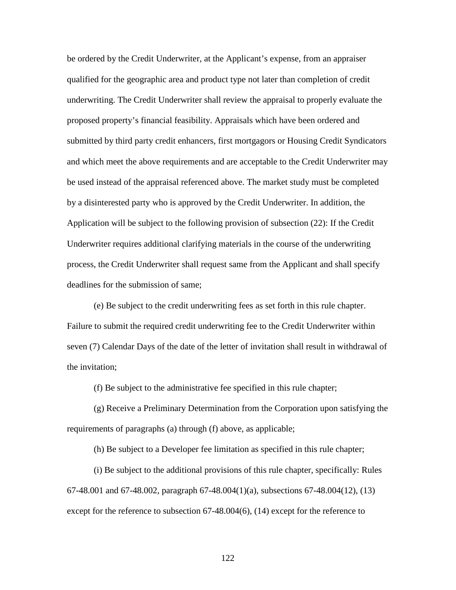be ordered by the Credit Underwriter, at the Applicant's expense, from an appraiser qualified for the geographic area and product type not later than completion of credit underwriting. The Credit Underwriter shall review the appraisal to properly evaluate the proposed property's financial feasibility. Appraisals which have been ordered and submitted by third party credit enhancers, first mortgagors or Housing Credit Syndicators and which meet the above requirements and are acceptable to the Credit Underwriter may be used instead of the appraisal referenced above. The market study must be completed by a disinterested party who is approved by the Credit Underwriter. In addition, the Application will be subject to the following provision of subsection (22): If the Credit Underwriter requires additional clarifying materials in the course of the underwriting process, the Credit Underwriter shall request same from the Applicant and shall specify deadlines for the submission of same;

(e) Be subject to the credit underwriting fees as set forth in this rule chapter. Failure to submit the required credit underwriting fee to the Credit Underwriter within seven (7) Calendar Days of the date of the letter of invitation shall result in withdrawal of the invitation;

(f) Be subject to the administrative fee specified in this rule chapter;

(g) Receive a Preliminary Determination from the Corporation upon satisfying the requirements of paragraphs (a) through (f) above, as applicable;

(h) Be subject to a Developer fee limitation as specified in this rule chapter;

(i) Be subject to the additional provisions of this rule chapter, specifically: Rules 67-48.001 and 67-48.002, paragraph 67-48.004(1)(a), subsections 67-48.004(12), (13) except for the reference to subsection 67-48.004(6), (14) except for the reference to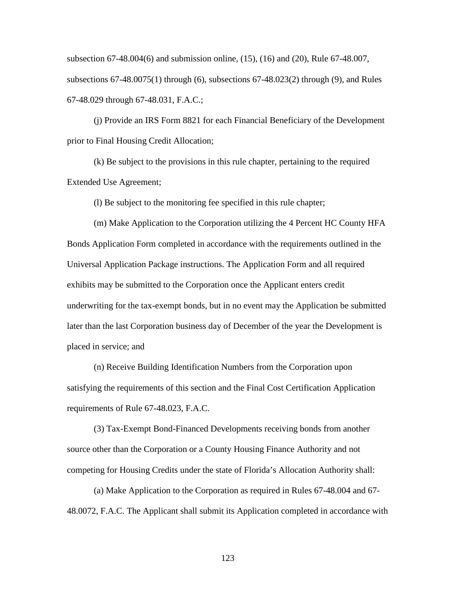subsection 67-48.004(6) and submission online, (15), (16) and (20), Rule 67-48.007, subsections 67-48.0075(1) through (6), subsections 67-48.023(2) through (9), and Rules 67-48.029 through 67-48.031, F.A.C.;

(j) Provide an IRS Form 8821 for each Financial Beneficiary of the Development prior to Final Housing Credit Allocation;

(k) Be subject to the provisions in this rule chapter, pertaining to the required Extended Use Agreement;

(l) Be subject to the monitoring fee specified in this rule chapter;

(m) Make Application to the Corporation utilizing the 4 Percent HC County HFA Bonds Application Form completed in accordance with the requirements outlined in the Universal Application Package instructions. The Application Form and all required exhibits may be submitted to the Corporation once the Applicant enters credit underwriting for the tax-exempt bonds, but in no event may the Application be submitted later than the last Corporation business day of December of the year the Development is placed in service; and

(n) Receive Building Identification Numbers from the Corporation upon satisfying the requirements of this section and the Final Cost Certification Application requirements of Rule 67-48.023, F.A.C.

(3) Tax-Exempt Bond-Financed Developments receiving bonds from another source other than the Corporation or a County Housing Finance Authority and not competing for Housing Credits under the state of Florida's Allocation Authority shall:

(a) Make Application to the Corporation as required in Rules 67-48.004 and 67- 48.0072, F.A.C. The Applicant shall submit its Application completed in accordance with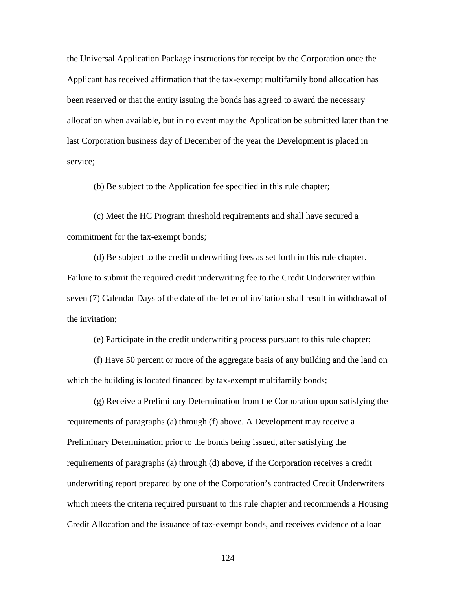the Universal Application Package instructions for receipt by the Corporation once the Applicant has received affirmation that the tax-exempt multifamily bond allocation has been reserved or that the entity issuing the bonds has agreed to award the necessary allocation when available, but in no event may the Application be submitted later than the last Corporation business day of December of the year the Development is placed in service;

(b) Be subject to the Application fee specified in this rule chapter;

(c) Meet the HC Program threshold requirements and shall have secured a commitment for the tax-exempt bonds;

(d) Be subject to the credit underwriting fees as set forth in this rule chapter. Failure to submit the required credit underwriting fee to the Credit Underwriter within seven (7) Calendar Days of the date of the letter of invitation shall result in withdrawal of the invitation;

(e) Participate in the credit underwriting process pursuant to this rule chapter;

(f) Have 50 percent or more of the aggregate basis of any building and the land on which the building is located financed by tax-exempt multifamily bonds;

(g) Receive a Preliminary Determination from the Corporation upon satisfying the requirements of paragraphs (a) through (f) above. A Development may receive a Preliminary Determination prior to the bonds being issued, after satisfying the requirements of paragraphs (a) through (d) above, if the Corporation receives a credit underwriting report prepared by one of the Corporation's contracted Credit Underwriters which meets the criteria required pursuant to this rule chapter and recommends a Housing Credit Allocation and the issuance of tax-exempt bonds, and receives evidence of a loan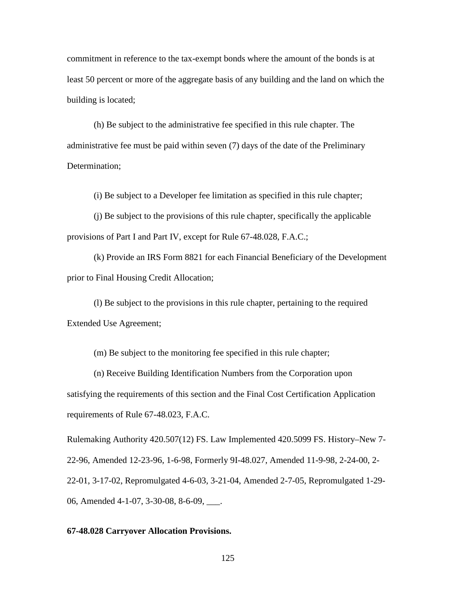commitment in reference to the tax-exempt bonds where the amount of the bonds is at least 50 percent or more of the aggregate basis of any building and the land on which the building is located;

(h) Be subject to the administrative fee specified in this rule chapter. The administrative fee must be paid within seven (7) days of the date of the Preliminary Determination;

(i) Be subject to a Developer fee limitation as specified in this rule chapter;

(j) Be subject to the provisions of this rule chapter, specifically the applicable provisions of Part I and Part IV, except for Rule 67-48.028, F.A.C.;

(k) Provide an IRS Form 8821 for each Financial Beneficiary of the Development prior to Final Housing Credit Allocation;

(l) Be subject to the provisions in this rule chapter, pertaining to the required Extended Use Agreement;

(m) Be subject to the monitoring fee specified in this rule chapter;

(n) Receive Building Identification Numbers from the Corporation upon satisfying the requirements of this section and the Final Cost Certification Application requirements of Rule 67-48.023, F.A.C.

Rulemaking Authority 420.507(12) FS. Law Implemented 420.5099 FS. History–New 7- 22-96, Amended 12-23-96, 1-6-98, Formerly 9I-48.027, Amended 11-9-98, 2-24-00, 2- 22-01, 3-17-02, Repromulgated 4-6-03, 3-21-04, Amended 2-7-05, Repromulgated 1-29- 06, Amended 4-1-07, 3-30-08, 8-6-09, \_\_\_.

## **67-48.028 Carryover Allocation Provisions.**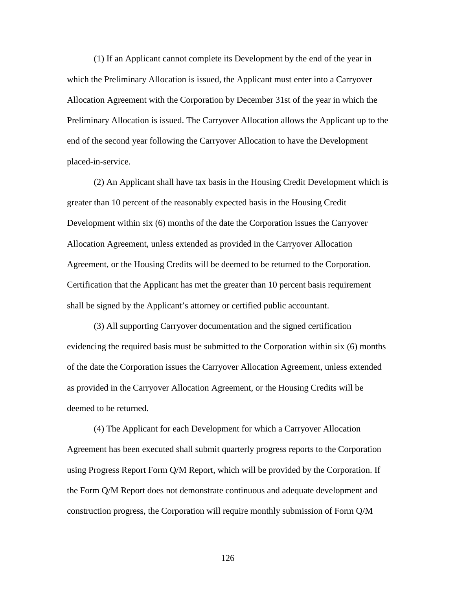(1) If an Applicant cannot complete its Development by the end of the year in which the Preliminary Allocation is issued, the Applicant must enter into a Carryover Allocation Agreement with the Corporation by December 31st of the year in which the Preliminary Allocation is issued. The Carryover Allocation allows the Applicant up to the end of the second year following the Carryover Allocation to have the Development placed-in-service.

(2) An Applicant shall have tax basis in the Housing Credit Development which is greater than 10 percent of the reasonably expected basis in the Housing Credit Development within six (6) months of the date the Corporation issues the Carryover Allocation Agreement, unless extended as provided in the Carryover Allocation Agreement, or the Housing Credits will be deemed to be returned to the Corporation. Certification that the Applicant has met the greater than 10 percent basis requirement shall be signed by the Applicant's attorney or certified public accountant.

(3) All supporting Carryover documentation and the signed certification evidencing the required basis must be submitted to the Corporation within six (6) months of the date the Corporation issues the Carryover Allocation Agreement, unless extended as provided in the Carryover Allocation Agreement, or the Housing Credits will be deemed to be returned.

(4) The Applicant for each Development for which a Carryover Allocation Agreement has been executed shall submit quarterly progress reports to the Corporation using Progress Report Form Q/M Report, which will be provided by the Corporation. If the Form Q/M Report does not demonstrate continuous and adequate development and construction progress, the Corporation will require monthly submission of Form Q/M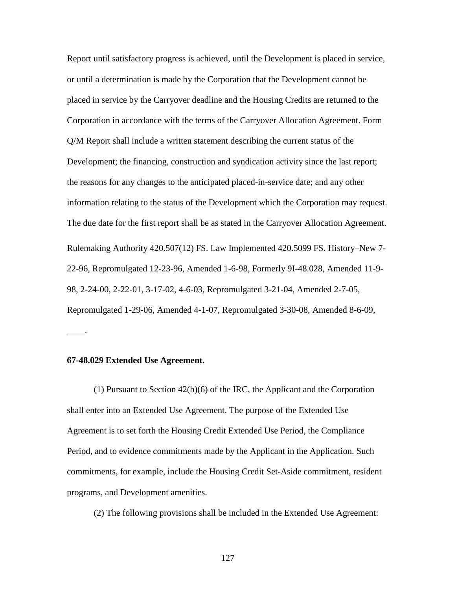Report until satisfactory progress is achieved, until the Development is placed in service, or until a determination is made by the Corporation that the Development cannot be placed in service by the Carryover deadline and the Housing Credits are returned to the Corporation in accordance with the terms of the Carryover Allocation Agreement. Form Q/M Report shall include a written statement describing the current status of the Development; the financing, construction and syndication activity since the last report; the reasons for any changes to the anticipated placed-in-service date; and any other information relating to the status of the Development which the Corporation may request. The due date for the first report shall be as stated in the Carryover Allocation Agreement. Rulemaking Authority 420.507(12) FS. Law Implemented 420.5099 FS. History–New 7- 22-96, Repromulgated 12-23-96, Amended 1-6-98, Formerly 9I-48.028, Amended 11-9- 98, 2-24-00, 2-22-01, 3-17-02, 4-6-03, Repromulgated 3-21-04, Amended 2-7-05, Repromulgated 1-29-06, Amended 4-1-07, Repromulgated 3-30-08, Amended 8-6-09,

#### **67-48.029 Extended Use Agreement.**

\_\_\_\_.

(1) Pursuant to Section 42(h)(6) of the IRC, the Applicant and the Corporation shall enter into an Extended Use Agreement. The purpose of the Extended Use Agreement is to set forth the Housing Credit Extended Use Period, the Compliance Period, and to evidence commitments made by the Applicant in the Application. Such commitments, for example, include the Housing Credit Set-Aside commitment, resident programs, and Development amenities.

(2) The following provisions shall be included in the Extended Use Agreement: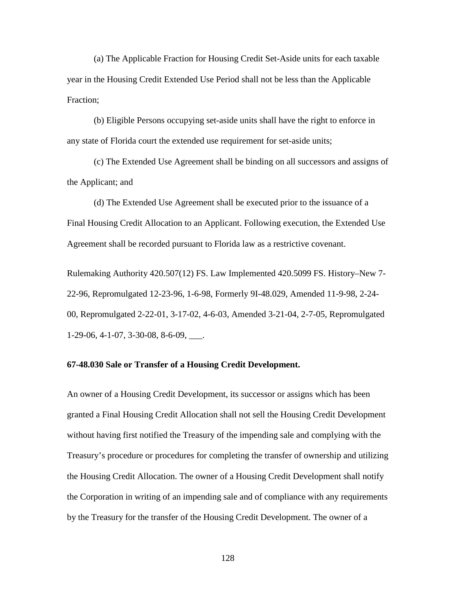(a) The Applicable Fraction for Housing Credit Set-Aside units for each taxable year in the Housing Credit Extended Use Period shall not be less than the Applicable Fraction;

(b) Eligible Persons occupying set-aside units shall have the right to enforce in any state of Florida court the extended use requirement for set-aside units;

(c) The Extended Use Agreement shall be binding on all successors and assigns of the Applicant; and

(d) The Extended Use Agreement shall be executed prior to the issuance of a Final Housing Credit Allocation to an Applicant. Following execution, the Extended Use Agreement shall be recorded pursuant to Florida law as a restrictive covenant.

Rulemaking Authority 420.507(12) FS. Law Implemented 420.5099 FS. History–New 7- 22-96, Repromulgated 12-23-96, 1-6-98, Formerly 9I-48.029, Amended 11-9-98, 2-24- 00, Repromulgated 2-22-01, 3-17-02, 4-6-03, Amended 3-21-04, 2-7-05, Repromulgated 1-29-06, 4-1-07, 3-30-08, 8-6-09, \_\_\_.

# **67-48.030 Sale or Transfer of a Housing Credit Development.**

An owner of a Housing Credit Development, its successor or assigns which has been granted a Final Housing Credit Allocation shall not sell the Housing Credit Development without having first notified the Treasury of the impending sale and complying with the Treasury's procedure or procedures for completing the transfer of ownership and utilizing the Housing Credit Allocation. The owner of a Housing Credit Development shall notify the Corporation in writing of an impending sale and of compliance with any requirements by the Treasury for the transfer of the Housing Credit Development. The owner of a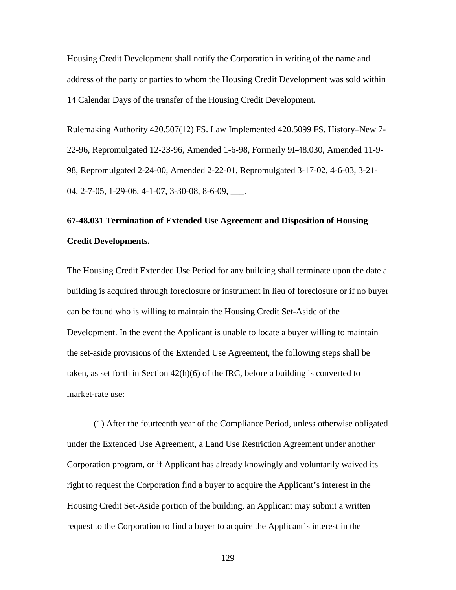Housing Credit Development shall notify the Corporation in writing of the name and address of the party or parties to whom the Housing Credit Development was sold within 14 Calendar Days of the transfer of the Housing Credit Development.

Rulemaking Authority 420.507(12) FS. Law Implemented 420.5099 FS. History–New 7- 22-96, Repromulgated 12-23-96, Amended 1-6-98, Formerly 9I-48.030, Amended 11-9- 98, Repromulgated 2-24-00, Amended 2-22-01, Repromulgated 3-17-02, 4-6-03, 3-21- 04, 2-7-05, 1-29-06, 4-1-07, 3-30-08, 8-6-09, \_\_\_.

# **67-48.031 Termination of Extended Use Agreement and Disposition of Housing Credit Developments.**

The Housing Credit Extended Use Period for any building shall terminate upon the date a building is acquired through foreclosure or instrument in lieu of foreclosure or if no buyer can be found who is willing to maintain the Housing Credit Set-Aside of the Development. In the event the Applicant is unable to locate a buyer willing to maintain the set-aside provisions of the Extended Use Agreement, the following steps shall be taken, as set forth in Section  $42(h)(6)$  of the IRC, before a building is converted to market-rate use:

(1) After the fourteenth year of the Compliance Period, unless otherwise obligated under the Extended Use Agreement, a Land Use Restriction Agreement under another Corporation program, or if Applicant has already knowingly and voluntarily waived its right to request the Corporation find a buyer to acquire the Applicant's interest in the Housing Credit Set-Aside portion of the building, an Applicant may submit a written request to the Corporation to find a buyer to acquire the Applicant's interest in the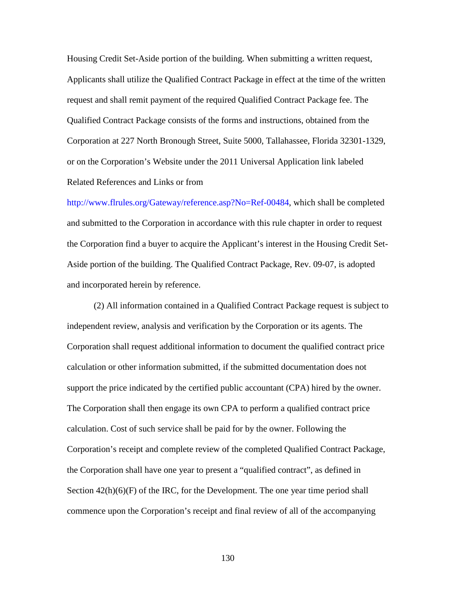Housing Credit Set-Aside portion of the building. When submitting a written request, Applicants shall utilize the Qualified Contract Package in effect at the time of the written request and shall remit payment of the required Qualified Contract Package fee. The Qualified Contract Package consists of the forms and instructions, obtained from the Corporation at 227 North Bronough Street, Suite 5000, Tallahassee, Florida 32301-1329, or on the Corporation's Website under the 2011 Universal Application link labeled Related References and Links or from

[http://www.flrules.org/Gateway/reference.asp?No=Ref-00484,](https://www.flrules.org/Gateway/reference.asp?No=Ref-00484) which shall be completed and submitted to the Corporation in accordance with this rule chapter in order to request the Corporation find a buyer to acquire the Applicant's interest in the Housing Credit Set-Aside portion of the building. The Qualified Contract Package, Rev. 09-07, is adopted and incorporated herein by reference.

(2) All information contained in a Qualified Contract Package request is subject to independent review, analysis and verification by the Corporation or its agents. The Corporation shall request additional information to document the qualified contract price calculation or other information submitted, if the submitted documentation does not support the price indicated by the certified public accountant (CPA) hired by the owner. The Corporation shall then engage its own CPA to perform a qualified contract price calculation. Cost of such service shall be paid for by the owner. Following the Corporation's receipt and complete review of the completed Qualified Contract Package, the Corporation shall have one year to present a "qualified contract", as defined in Section  $42(h)(6)(F)$  of the IRC, for the Development. The one year time period shall commence upon the Corporation's receipt and final review of all of the accompanying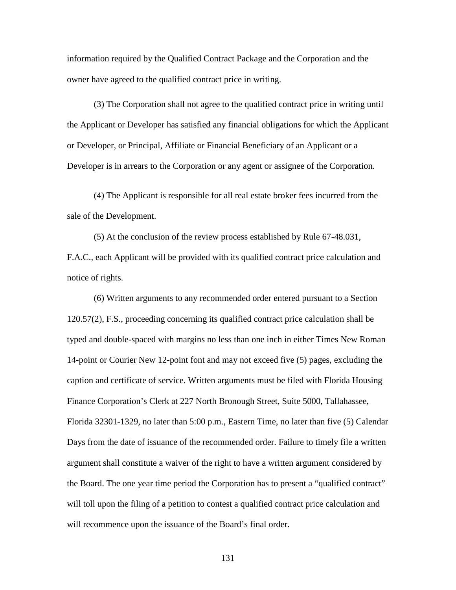information required by the Qualified Contract Package and the Corporation and the owner have agreed to the qualified contract price in writing.

(3) The Corporation shall not agree to the qualified contract price in writing until the Applicant or Developer has satisfied any financial obligations for which the Applicant or Developer, or Principal, Affiliate or Financial Beneficiary of an Applicant or a Developer is in arrears to the Corporation or any agent or assignee of the Corporation.

(4) The Applicant is responsible for all real estate broker fees incurred from the sale of the Development.

(5) At the conclusion of the review process established by Rule 67-48.031, F.A.C., each Applicant will be provided with its qualified contract price calculation and notice of rights.

(6) Written arguments to any recommended order entered pursuant to a Section 120.57(2), F.S., proceeding concerning its qualified contract price calculation shall be typed and double-spaced with margins no less than one inch in either Times New Roman 14-point or Courier New 12-point font and may not exceed five (5) pages, excluding the caption and certificate of service. Written arguments must be filed with Florida Housing Finance Corporation's Clerk at 227 North Bronough Street, Suite 5000, Tallahassee, Florida 32301-1329, no later than 5:00 p.m., Eastern Time, no later than five (5) Calendar Days from the date of issuance of the recommended order. Failure to timely file a written argument shall constitute a waiver of the right to have a written argument considered by the Board. The one year time period the Corporation has to present a "qualified contract" will toll upon the filing of a petition to contest a qualified contract price calculation and will recommence upon the issuance of the Board's final order.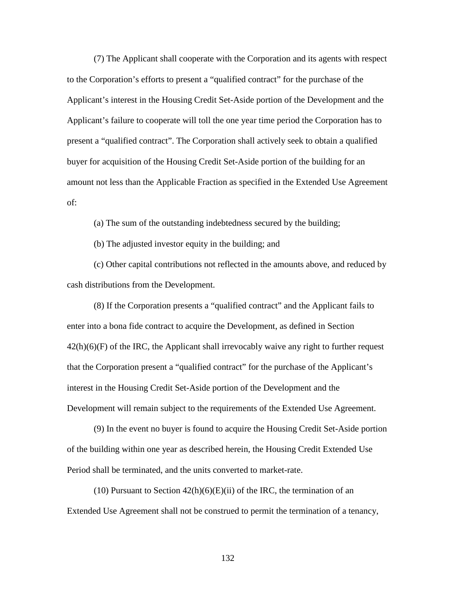(7) The Applicant shall cooperate with the Corporation and its agents with respect to the Corporation's efforts to present a "qualified contract" for the purchase of the Applicant's interest in the Housing Credit Set-Aside portion of the Development and the Applicant's failure to cooperate will toll the one year time period the Corporation has to present a "qualified contract". The Corporation shall actively seek to obtain a qualified buyer for acquisition of the Housing Credit Set-Aside portion of the building for an amount not less than the Applicable Fraction as specified in the Extended Use Agreement of:

(a) The sum of the outstanding indebtedness secured by the building;

(b) The adjusted investor equity in the building; and

(c) Other capital contributions not reflected in the amounts above, and reduced by cash distributions from the Development.

(8) If the Corporation presents a "qualified contract" and the Applicant fails to enter into a bona fide contract to acquire the Development, as defined in Section  $42(h)(6)(F)$  of the IRC, the Applicant shall irrevocably waive any right to further request that the Corporation present a "qualified contract" for the purchase of the Applicant's interest in the Housing Credit Set-Aside portion of the Development and the Development will remain subject to the requirements of the Extended Use Agreement.

(9) In the event no buyer is found to acquire the Housing Credit Set-Aside portion of the building within one year as described herein, the Housing Credit Extended Use Period shall be terminated, and the units converted to market-rate.

(10) Pursuant to Section  $42(h)(6)(E)(ii)$  of the IRC, the termination of an Extended Use Agreement shall not be construed to permit the termination of a tenancy,